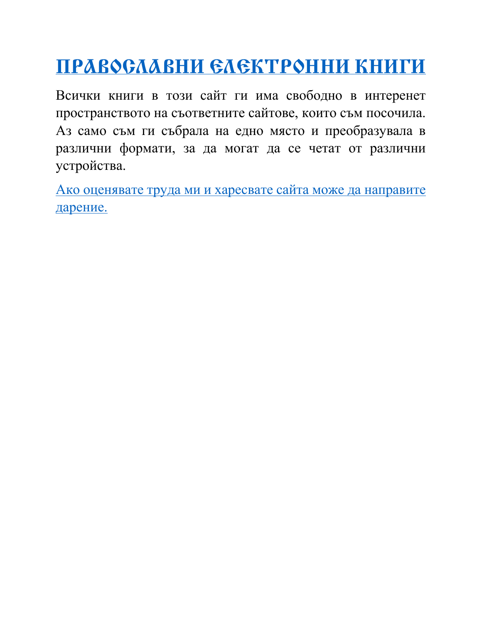# **[ПРАВОСЛАВНИ ЕЛЕКТРОННИ КНИГИ](http://ebooks.ucoz.com/)**

Всички книги в този сайт ги има свободно в интеренет пространството на съответните сайтове, които съм посочила. Аз само съм ги събрала на едно място и преобразувала в различни формати, за да могат да се четат от различни устройства.

[Ако оценявате труда ми и харесвате сайта може да направите](http://ebooks.ucoz.com/index/darenie_za_sajta/0-23)  [дарение.](http://ebooks.ucoz.com/index/darenie_za_sajta/0-23)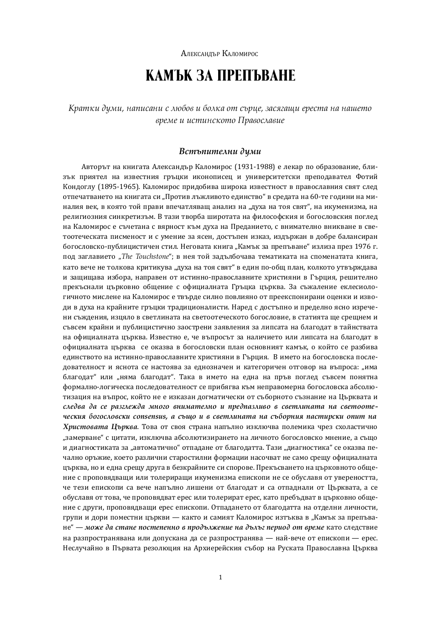АЛЕКСАНДЪР КАЛОМИРОС

## KAMЪК ЗА ПРЕПЪВАНЕ

**Кратки думи, написани с любов и болка от сърце, засягащи ереста на нашето** *ʵ˕ʺːʺȱˆȱˆ˖˘ˆˑ˖ˊ˓˘˓ȱʆ˕ʲʵ˓˖ˏʲʵˆʺ*

#### Встъпителни думи

Авторът на книгата Александър Каломирос (1931-1988) е лекар по образование, близък приятел на известния гръцки иконописец и университетски преподавател Фотий Кондоглу (1895-1965). Каломирос придобива широка известност в православния свят след отпечатването на книгата си "Против лъжливото единство" в средата на 60-те години на миналия век, в която той прави впечатляващ анализ на "духа на тоя свят", на икуменизма, на религиозния синкретизъм. В тази творба широтата на философския и богословския поглед на Каломирос е съчетана с вярност към духа на Преданието, с внимателно вникване в светоотеческата писменост и с умение за ясен, достъпен изказ, издържан в добре балансиран богословско-публицистичен стил. Неговата книга "Камък за препъване" излиза през 1976 г. под заглавието "*The Touchstone*"; в нея той задълбочава тематиката на споменатата книга, като вече не толкова критикува "духа на тоя свят" в един по-общ план, колкото утвърждава и защищава избора, направен от истинно-православните християни в Гърция, решително прекъснали църковно общение с официалната Гръцка църква. За съжаление еклесиологичното мислене на Каломирос е твърде силно повлияно от преекспонирани оценки и изводи в духа на крайните гръцки традиционалисти. Наред с достъпно и пределно ясно изречени съждения, изцяло в светлината на светоотеческото богословие, в статията ще срещнем и съвсем крайни и публицистично заострени заявления за липсата на благодат в тайнствата на официалната църква. Известно е, че въпросът за наличието или липсата на благодат в официалната църква се оказва в богословски план основният камък, о който се разбива единството на истинно-православните християни в Гърция. В името на богословска последователност и яснота се настоява за еднозначен и категоричен отговор на въпроса: "има благодат" или "няма благодат". Така в името на една на пръв поглед съвсем понятна формално-логическа последователност се прибягва към неправомерна богословска абсолютизация на въпрос, който не е изказан догматически от съборното съзнание на Църквата и следва да се разглежда много внимателно и предпазливо в светлината на светоотеческия богословски consensus, а също и в светлината на съборния пастирски опит на *Христовата Църква*. Това от своя страна напълно изключва полемика чрез схоластично "замерване" с цитати, изключва абсолютизирането на личното богословско мнение, а също и диагностиката за "автоматично" отпадане от благодатта. Тази "диагностика" се оказва печално оръжие, което различни старостилни формации насочват не само срещу официалната иърква, но и една срешу друга в безкрайните си спорове. Прекъсването на църковното общение с проповядващи или толериращи икуменизма епископи не се обуславя от увереността, че тези епископи са вече напълно лишени от благодат и са отпаднали от Църквата, а се обуславя от това, че проповядват ерес или толерират ерес, като пребъдват в църковно общение с други, проповядващи ерес епископи. Отпадането от благодатта на отделни личности, групи и дори поместни църкви — както и самият Каломирос изтъква в "Камък за препъване" — може да стане постепенно в продължение на дълъг период от време като следствие на разпространявана или допускана да се разпространява — най-вече от епископи — ерес. Неслучайно в Първата резолюция на Архиерейския събор на Руската Православна Църква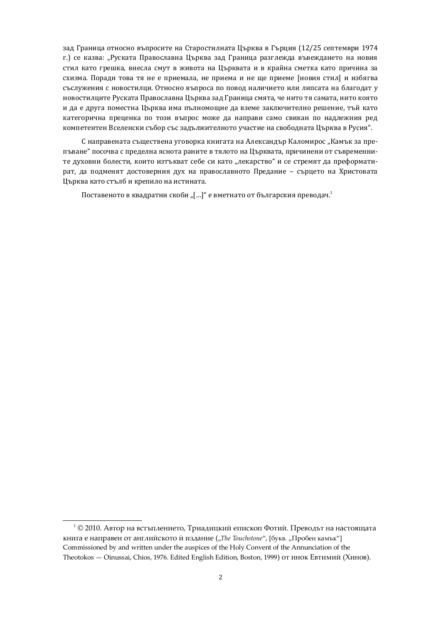зад Граница относно въпросите на Старостилната Църква в Гърция (12/25 септември 1974 г.) се казва: "Руската Православна Църква зад Граница разглежда въвеждането на новия стил като грешка, внесла смут в живота на Църквата и в крайна сметка като причина за схизма. Поради това тя не е приемала, не приема и не ще приеме [новия стил] и избягва съслужения с новостилци. Относно въпроса по повод наличието или липсата на благодат у новостилците Руската Православна Църква зад Граница смята, че нито тя самата, нито която и да е друга поместна Църква има пълномощие да вземе заключително решение, тъй като категорична преценка по този въпрос може да направи само свикан по надлежния ред компетентен Вселенски събор със задължителното участие на свободната Църква в Русия".

С направената съществена уговорка книгата на Александър Каломирос "Камък за препъване" посочва с пределна яснота раните в тялото на Църквата, причинени от съвременните духовни болести, които изтъкват себе си като "лекарство" и се стремят да преформатират, да подменят достоверния дух на православното Предание - сърцето на Христовата Църква като стълб и крепило на истината.

Поставеното в квадратни скоби "[…]" е вметнато от българския преводач.<sup>1</sup>

 $^1$  © 2010. Автор на встъплението, Триадицкий епископ Фотий. Преводът на настоящата книга е направен от английското ѝ издание ("The Touchstone", [букв. "Пробен камък"] Commissioned by and written under the auspices of the Holy Convent of the Annunciation of the Theotokos — Oinussai, Chios, 1976. Edited English Edition, Boston, 1999) от инок Евтимий (Хинов).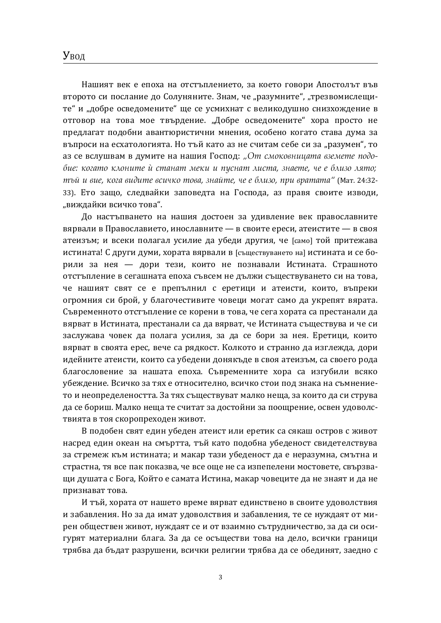Нашият век е епоха на отстъплението, за което говори Апостолът във второто си послание до Солуняните. Знам. че "разумните", "трезвомислешите" и "добре осведомените" ще се усмихнат с великодушно снизхождение в отговор на това мое твърдение. "Добре осведомените" хора просто не предлагат подобни авантюристични мнения, особено когато става дума за въпроси на есхатологията. Но тъй като аз не считам себе си за "разумен", то аз се вслушвам в думите на нашия Господ: "От смоковницата вземете подобие: когато клоните ѝ станат меки и пуснат листа, знаете, че е близо лято;  $m$ ъй и вие, кога видите всичко това, знайте, че е близо, при вратата" (Мат. 24:32-33). Ето зашо, следвайки заповедта на Господа, аз правя своите изводи, "виждайки всичко това".

До настъпването на нашия достоен за удивление век православните вярвали в Православието, инославните — в своите ереси, атеистите — в своя атеизъм; и всеки полагал усилие да убеди другия, че [само] той притежава истината! С други думи, хората вярвали в [съществуването на] истината и се борили за нея — дори тези, които не познавали Истината. Страшното отстъпление в сегашната епоха съвсем не дължи съществуването си на това, че нашият свят се е препълнил с еретици и атеисти, които, въпреки огромния си брой, у благочестивите човеци могат само да укрепят вярата. Съвременното отстъпление се корени в това, че сега хората са престанали да вярват в Истината, престанали са да вярват, че Истината съществува и че си заслужава човек да полага усилия, за да се бори за нея. Еретици, които вярват в своята ерес, вече са рядкост. Колкото и странно да изглежда, дори идейните атеисти, които са убедени донякъде в своя атеизъм, са своего рода благословение за нашата епоха. Съвременните хора са изгубили всяко убеждение. Всичко за тях е относително, всичко стои под знака на съмнението и неопределеността. За тях съществуват малко неща, за които да си струва да се бориш. Малко неща те считат за достойни за поощрение, освен удоволствията в тоя скоропреходен живот.

В подобен свят един убеден атеист или еретик са сякаш остров с живот насред един океан на смъртта, тъй като подобна убеденост свидетелствува за стремеж към истината; и макар тази убеденост да е неразумна, смътна и страстна, тя все пак показва, че все още не са изпепелени мостовете, свързващи душата с Бога, Който е самата Истина, макар човеците да не знаят и да не признават това.

И тъй, хората от нашето време вярват единствено в своите удоволствия и забавления. Но за да имат удоволствия и забавления, те се нуждаят от мирен обществен живот, нуждаят се и от взаимно сътрудничество, за да си осигурят материални блага. За да се осъществи това на дело, всички граници трябва да бъдат разрушени, всички религии трябва да се обединят, заедно с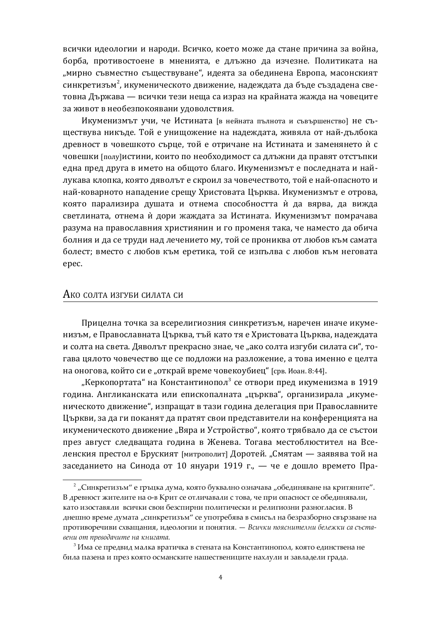всички идеологии и народи. Всичко, което може да стане причина за война, борба, противостоене в мненията, е длъжно да изчезне. Политиката на "мирно съвместно съществуване", идеята за обединена Европа, масонският синкретизъм<sup>2</sup>, икуменическото движение, надеждата да бъде създадена световна Държава — всички тези неща са израз на крайната жажда на човеците за живот в необезпокоявани удоволствия.

Икуменизмът учи, че Истината [в нейната пълнота и съвършенство] не съществува никъде. Той е унищожение на надеждата, живяла от най-дълбока древност в човешкото сърце, той е отричане на Истината и заменянето ѝ с човешки [полу]истини, които по необходимост са длъжни да правят отстъпки една пред друга в името на общото благо. Икуменизмът е последната и найлукава клопка, която дяволът е скроил за човечеството, той е най-опасното и най-коварното нападение срещу Христовата Църква. Икуменизмът е отрова, която парализира душата и отнема способността ѝ да вярва, да вижда светлината, отнема ѝ дори жаждата за Истината. Икуменизмът помрачава разума на православния християнин и го променя така, че наместо да обича болния и да се труди над лечението му, той се прониква от любов към самата болест; вместо с любов към еретика, той се изпълва с любов към неговата epec.

#### Ако солта изгуби силата си

Прицелна точка за всерелигиозния синкретизъм, наречен иначе икуменизъм, е Православната Църква, тъй като тя е Христовата Църква, надеждата и солта на света. Дяволът прекрасно знае, че "ако солта изгуби силата си", тогава цялото човечество ще се подложи на разложение, а това именно е целта на оногова, който си е "открай време човекоубиец" [срв. Иоан. 8:44].

"Керкопортата" на Константинопол $^3$  се отвори пред икуменизма в 1919 година. Англиканската или епископалната "църква", организирала "икуменическото движение", изпращат в тази година делегация при Православните Църкви, за да ги поканят да пратят свои представители на конференцията на икуменическото движение "Вяра и Устройство", която трябвало да се състои през август следващата година в Женева. Тогава местоблюстител на Вселенския престол е Бруският [митрополит] Доротей. "Смятам — заявява той на заседанието на Синода от 10 януари 1919 г., — че е дошло времето Пра-

 $^2$  "Синкретизъм" е гръцка дума, която буквално означава "обединяване на критяните". В древност жителите на о-в Крит се отличавали с това, че при опасност се обединявали, като изоставяли всички свои безспирни политически и религиозни разногласия. В днешно време думата "синкретизъм" се употребява в смисъл на безразборно свързване на противоречиви схващания, идеологии и понятия. - Всички пояснителни бележки са съста-*ʵʺˑˆȱ˓˘ȱ˔˕ʺʵ˓ʹʲˣˆ˘ʺȱˑʲȱˊˑˆʶʲ˘ʲ.*

 $^3$  Има се предвид малка вратичка в стената на Константинопол, която единствена не била пазена и през която османските нашествениците нахлули и завладели града.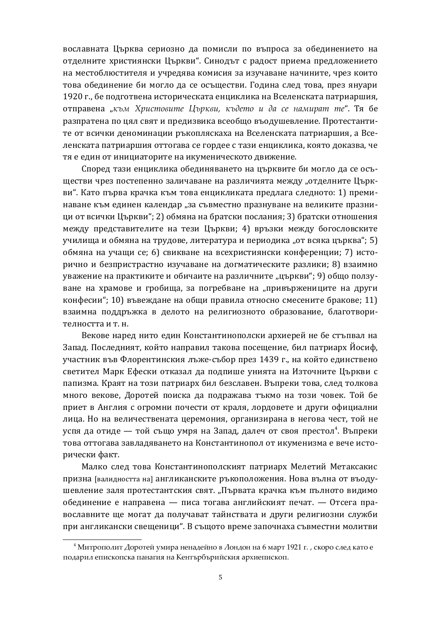вославната Църква сериозно да помисли по въпроса за обединението на отделните християнски Църкви". Синодът с радост приема предложението на местоблюстителя и учредява комисия за изучаване начините, чрез които това обединение би могло да се осъществи. Година след това, през януари 1920 г., бе подготвена историческата енциклика на Вселенската патриаршия, отправена "към Христовите Църкви, където и да се намират те". Тя бе разпратена по цял свят и предизвика всеобщо въодушевление. Протестантите от всички деноминации ръкопляскаха на Вселенската патриаршия, а Вселенската патриаршия оттогава се гордее с тази енциклика, която доказва, че тя е един от инициаторите на икуменическото движение.

Според тази енциклика обединяването на църквите би могло да се осъществи чрез постепенно заличаване на различията между "отделните Църкви". Като първа крачка към това енцикликата предлага следното: 1) преминаване към единен календар "за съвместно празнуване на великите празници от всички Църкви"; 2) обмяна на братски послания; 3) братски отношения между представителите на тези Църкви; 4) връзки между богословските училища и обмяна на трудове, литература и периодика "от всяка църква"; 5) обмяна на учащи се; 6) свикване на всехристиянски конференции; 7) исторично и безпристрастно изучаване на догматическите разлики: 8) взаимно уважение на практиките и обичаите на различните "църкви"; 9) общо ползуване на храмове и гробиша, за погребване на "привържениците на други конфесии"; 10) въвеждане на общи правила относно смесените бракове; 11) взаимна поддръжка в делото на религиозното образование, благотворителността и т. н.

Векове наред нито един Константинополски архиерей не бе стъпвал на Запад. Последният, който направил такова посещение, бил патриарх Йосиф, участник във Флорентинския лъже-събор през 1439 г., на който единствено светител Марк Ефески отказал да подпише унията на Източните Църкви с папизма. Краят на този патриарх бил безславен. Въпреки това, след толкова много векове, Доротей поиска да подражава тъкмо на този човек. Той бе приет в Англия с огромни почести от краля, лордовете и други официални лица. Но на величествената церемония, организирана в негова чест, той не успя да отиде — той също умря на Запад, далеч от своя престол $^4$ . Въпреки това оттогава завладяването на Константинопол от икуменизма е вече исторически факт.

Малко след това Константинополският патриарх Мелетий Метаксакис призна [валидността на] англиканските ръкоположения. Нова вълна от въодушевление заля протестантския свят. "Първата крачка към пълното видимо обединение е направена — писа тогава английският печат. — Отсега православните ше могат да получават тайнствата и други религиозни служби при англикански свещеници". В същото време започнаха съвместни молитви

 $^4$  Митрополит Доротей умира ненадейно в Лондон на 6 март 1921 г. , скоро след като е подарил епископска панагия на Кентърбърийския архиепископ.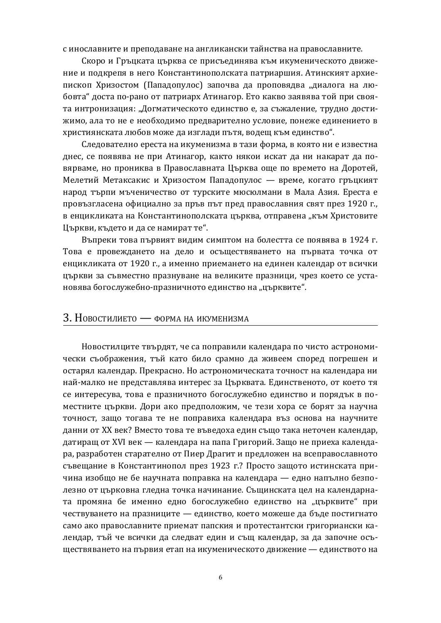с инославните и преподаване на англикански тайнства на православните.

Скоро и Гръцката църква се присъединява към икуменическото движение и полкрепя в него Константинополската патриаршия. Атинският архиепископ Хризостом (Пападопулос) започва да проповядва "диалога на любовта" доста по-рано от патриарх Атинагор. Ето какво заявява той при своята интронизация: "Догматическото единство е, за съжаление, трудно достижимо, ала то не е необходимо предварително условие, понеже единението в християнската любов може да изглади пътя, водещ към единство".

Следователно ереста на икуменизма в тази форма, в която ни е известна днес, се появява не при Атинагор, както някои искат да ни накарат да повярваме, но прониква в Православната Църква още по времето на Доротей, Мелетий Метаксакис и Хризостом Пападопулос — време, когато гръцкият народ търпи мъченичество от турските мюсюлмани в Мала Азия. Ереста е провъзгласена официално за пръв път пред православния свят през 1920 г., в енцикликата на Константинополската църква, отправена "към Христовите Църкви, където и да се намират те".

Въпреки това първият видим симптом на болестта се появява в 1924 г. Това е провеждането на дело и осъществяването на първата точка от енцикликата от 1920 г., а именно приемането на единен календар от всички църкви за съвместно празнуване на великите празници, чрез което се установява богослужебно-празничното единство на "църквите".

#### 3. Новостилието — форма на икуменизма

Новостилците твърдят, че са поправили календара по чисто астрономически съображения, тъй като било срамно да живеем според погрешен и остарял календар. Прекрасно. Но астрономическата точност на календара ни най-малко не представлява интерес за Църквата. Единственото, от което тя се интересува, това е празничното богослужебно единство и порядък в поместните църкви. Дори ако предположим, че тези хора се борят за научна точност, защо тогава те не поправиха календара въз основа на научните данни от XX век? Вместо това те въведоха един също така неточен календар, латираш от XVI век — календара на папа Григорий. Зашо не приеха календара, разработен старателно от Пиер Драгит и предложен на всеправославното съвещание в Константинопол през 1923 г.? Просто защото истинската причина изобщо не бе научната поправка на календара — едно напълно безполезно от църковна гледна точка начинание. Същинската цел на календарната промяна бе именно едно богослужебно единство на "църквите" при чествуването на празниците — единство, което можеше да бъде постигнато само ако православните приемат папския и протестантски григориански календар, тъй че всички да следват един и същ календар, за да започне осъществяването на първия етап на икуменическото движение - единството на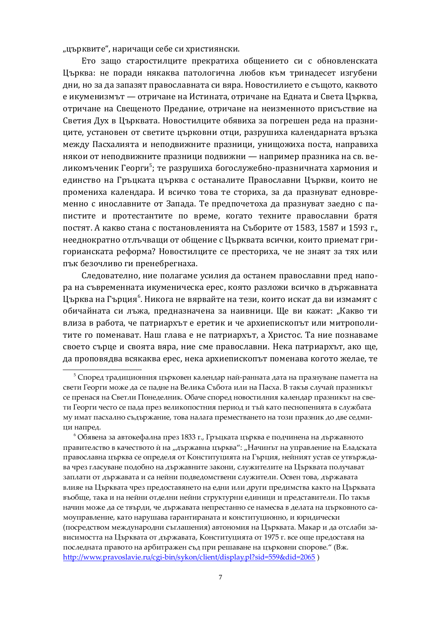"църквите", наричащи себе си християнски.

Ето защо старостилците прекратиха общението си с обновленската Църква: не поради някаква патологична любов към тринадесет изгубени дни, но за да запазят православната си вяра. Новостилието е същото, каквото е икуменизмът — отричане на Истината, отричане на Едната и Света Църква, отричане на Свещеното Предание, отричане на неизменното присъствие на Светия Дух в Църквата. Новостилците обявиха за погрешен реда на празниците, установен от светите църковни отци, разрушиха календарната връзка между Пасхалията и неподвижните празници, унищожиха поста, направиха някои от неподвижните празници подвижни — например празника на св. великомъченик Георги<sup>5</sup>; те разрушиха богослужебно-празничната хармония и единство на Гръцката църква с останалите Православни Църкви, които не промениха календара. И всичко това те сториха, за да празнуват едновременно с инославните от Запада. Те предпочетоха да празнуват заедно с папистите и протестантите по време, когато техните православни братя постят. А какво стана с постановленията на Съборите от 1583, 1587 и 1593 г., нееднократно отлъчващи от общение с Църквата всички, които приемат григорианската реформа? Новостилците се престориха, че не знаят за тях или пък безочливо ги пренебрегнаха.

Следователно, ние полагаме усилия да останем православни пред напора на съвременната икуменическа ерес, която разложи всичко в държавната Църква на Гърция<sup>6</sup>. Никога не вярвайте на тези, които искат да ви измамят с обичайната си лъжа, предназначена за наивници. Ще ви кажат: "Какво ти влиза в работа, че патриархът е еретик и че архиепископът или митрополитите го поменават. Наш глава е не патриархът, а Христос. Та ние познаваме своето сърце и своята вяра, ние сме православни. Нека патриархът, ако ще. да проповядва всякаква ерес, нека архиепископът поменава когото желае, те

 $^5$  Според традиционния църковен календар най-ранната дата на празнуване паметта на свети Георги може да се падне на Велика Събота или на Пасха. В такъв случай празникът се пренася на Светли Понеделник. Обаче според новостилния календар празникът на свети Георги често се пада през великопостния период и тъй като песнопенията в службата му имат пасхално съдържание, това налага преместването на този празник до две седмици напред.

 $^6$  Обявена за автокефална през 1833 г., Гръцката църква е подчинена на държавното правителство в качеството ѝ на "държавна църква": "Начинът на управление на Еладската православна църква се определя от Конституцията на Гърция, нейният устав се утвърждава чрез гласуване подобно на държавните закони, служителите на Църквата получават заплати от държавата и са нейни подведомствени служители. Освен това, държавата влияе на Църквата чрез предоставянето на едни или други предимства както на Църквата въобще, така и на нейни отделни нейни структурни единици и представители. По такъв начин може да се твърди, че държавата непрестанно се намесва в делата на църковното самоуправление, като нарушава гарантираната и конституционно, и юридически (посредством международни съглашения) автономия на Църквата. Макар и да отслаби зависимостта на Църквата от държавата, Конституцията от 1975 г. все още предоставя на последната правото на арбитражен съд при решаване на църковни спорове." (Вж. <http://www.pravoslavie.ru/cgi-bin/sykon/client/display.pl?sid=559&did=2065>)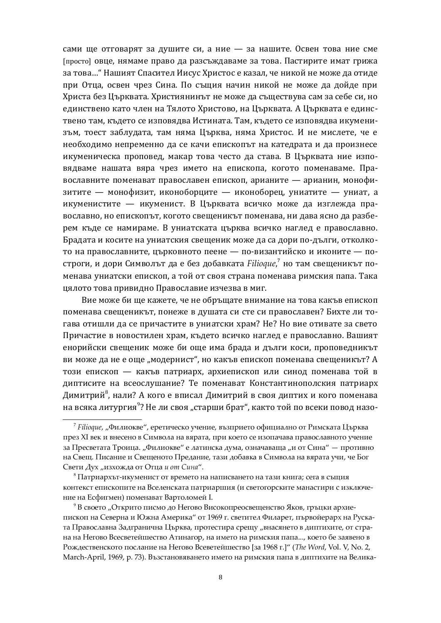сами ще отговарят за душите си, а ние - за нашите. Освен това ние сме [просто] ОВЦе, нямаме право да разсъждаваме за това. Пастирите имат грижа за това..." Нашият Спасител Иисус Христос е казал, че никой не може да отиде при Отца, освен чрез Сина. По същия начин никой не може да дойде при Христа без Църквата. Християнинът не може да съществува сам за себе си, но единствено като член на Тялото Христово, на Църквата. А Църквата е единствено там, където се изповядва Истината. Там, където се изповядва икуменизъм, тоест заблудата, там няма Църква, няма Христос. И не мислете, че е необходимо непременно да се качи епископът на катедрата и да произнесе икуменическа проповед, макар това често да става. В Църквата ние изповядваме нашата вяра чрез името на епископа, когото поменаваме. Православните поменават православен епископ, арианите — арианин, монофизитите — монофизит, иконоборците — иконоборец, униатите — униат, а икуменистите — икуменист. В Църквата всичко може да изглежда православно, но епископът, когото свещеникът поменава, ни дава ясно да разберем къде се намираме. В униатската църква всичко наглед е православно. Брадата и косите на униатския свещеник може да са дори по-дълги, отколкото на православните, църковното пеене — по-византийско и иконите — построги, и дори Символът да е без добавката Filioque,<sup>7</sup> но там свещеникът поменава униатски епископ, а той от своя страна поменава римския папа. Така иялото това привидно Православие изчезва в миг.

Вие може би ще кажете, че не обръщате внимание на това какъв епископ поменава свещеникът, понеже в душата си сте си православен? Бихте ли тогава отишли да се причастите в униатски храм? Не? Но вие отивате за свето Причастие в новостилен храм, където всичко наглед е православно. Вашият енорийски свещеник може би още има брада и дълги коси, проповедникът ви може да не е още "модернист", но какъв епископ поменава свещеникът? А този епископ — какъв патриарх, архиепископ или синод поменава той в диптисите на всеослушание? Те поменават Константинополския патриарх Димитрий $^8$ , нали? А кого е вписал Димитрий в своя диптих и кого поменава на всяка литургия<sup>9</sup>? Не ли своя "старши брат", както той по всеки повод назо-

<sup>&</sup>lt;sup>7</sup> Filioque, "Филиокве", еретическо учение, възприето официално от Римската Църква през XI век и внесено в Символа на вярата, при което се изопачава православното учение за Пресветата Троица. "Филиокве" е латинска дума, означаваща "и от Сина" — противно на Свещ. Писание и Свещеното Предание, тази добавка в Символа на вярата учи, че Бог Свети Дух "изхожда от Отца и от Сина".

 $^8$  Патриархът-икуменист от времето на написването на тази книга; сега в същия контекст епископите на Вселенската патриаршия (и светогорските манастири с изключение на Есфигмен) поменават Вартоломей I.

<sup>&</sup>lt;sup>9</sup> В своето "Открито писмо до Негово Високопреосвещенство Яков, гръцки архиепископ на Северна и Южна Америка" от 1969 г. светител Филарет, първойерарх на Руската Православна Задгранична Църква, протестира срещу "внасянето в диптихите, от страна на Негово Всесветейшество Атинагор, на името на римския папа..., което бе заявено в Рождественското послание на Негово Всеветейшество [за 1968 г.]" (*The Word*, Vol. V, No. 2, March-April, 1969, p. 73). Възстановяването името на римския папа в диптихите на Велика-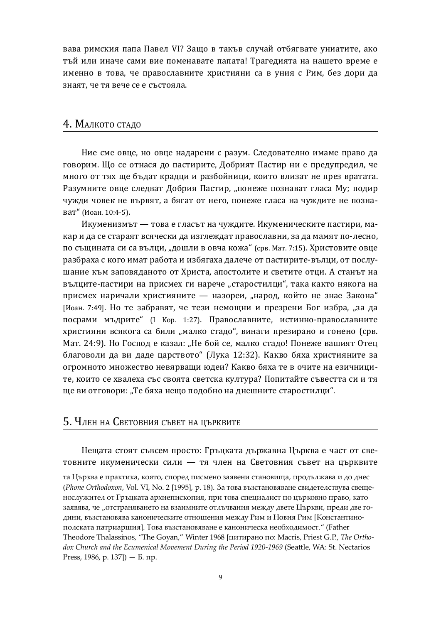вава римския папа Павел VI? Защо в такъв случай отбягвате униатите, ако тъй или иначе сами вие поменавате папата! Трагедията на нашето време е именно в това, че православните християни са в уния с Рим, без дори да знаят, че тя вече се е състояла.

#### 4. Малкото стадо

Ние сме овце, но овце надарени с разум. Следователно имаме право да говорим. Що се отнася до пастирите, Добрият Пастир ни е предупредил, че много от тях ше бълат кралци и разбойници, които влизат не през вратата. Разумните овце следват Добрия Пастир, "понеже познават гласа Му; подир чужди човек не вървят, а бягат от него, понеже гласа на чуждите не познават" (Иоан. 10:4-5).

Икуменизмът — това е гласът на чуждите. Икуменическите пастири, макар и да се стараят всячески да изглеждат православни, за да мамят по-лесно, по същината си са вълци, "дошли в овча кожа" (срв. Мат. 7:15). Христовите овце разбраха с кого имат работа и избягаха далече от пастирите-вълци, от послушание към заповяданото от Христа, апостолите и светите отци. А станът на вълците-пастири на присмех ги нарече "старостилци", така както някога на присмех наричали християните — назореи, "народ, който не знае Закона" [Иоан. 7:49]. Но те забравят, че тези немощни и презрени Бог избра, "за да посрами мъдрите" (I Кор. 1:27). Православните, истинно-православните християни всякога са били "малко стадо", винаги презирано и гонено (срв. Мат. 24:9). Но Господ е казал: "Не бой се, малко стадо! Понеже вашият Отец благоволи да ви даде царството" (Лука 12:32). Какво бяха християните за огромното множество невярващи юдеи? Какво бяха те в очите на езичниците, които се хвалеха със своята светска култура? Попитайте съвестта си и тя ще ви отговори: "Те бяха нещо подобно на днешните старостилци".

## 5. Член на Световния съвет на църквите

Нещата стоят съвсем просто: Гръцката държавна Църква е част от световните икуменически сили — тя член на Световния съвет на църквите

та Църква е практика, която, според писмено заявени становища, продължава и до днес (*Phone Orthodoxon, Vol. VI, No.* 2 [1995], р. 18). За това възстановяване свидетелствува свещенослужител от Гръцката архиепископия, при това специалист по църковно право, като заявява, че "отстраняването на взаимните отлъчвания между двете Църкви, преди две години, възстановява каноническите отношения между Рим и Новия Рим [Константинополската патриаршия]. Това възстановяване е каноническа необходимост." (Father Theodore Thalassinos, "The Goyan," Winter 1968 [цитирано по: Macris, Priest G.P., *The Orthodox Church and the Ecumenical Movement During the Period 1920-1969* (Seattle, WA: St. Nectarios Press, 1986, p. 137]) —  $\Sigma$ .  $\pi p$ .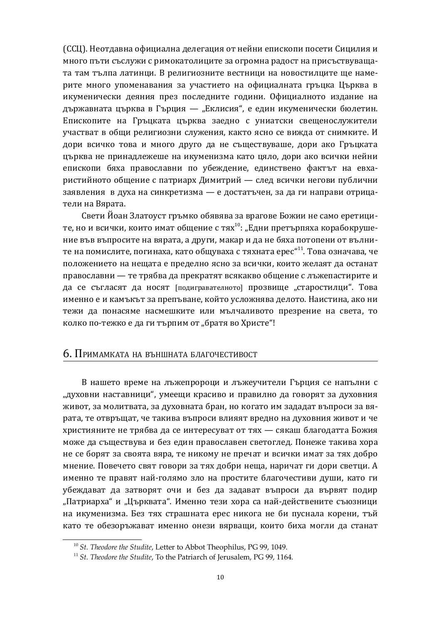(ССЦ). Неотдавна официална делегация от нейни епископи посети Сицилия и много пъти съслужи с римокатолиците за огромна радост на присъствуващата там тълпа латинци. В религиозните вестници на новостилците ще намерите много упоменавания за участието на официалната гръцка Църква в икуменически деяния през последните години. Официалното издание на държавната църква в Гърция — "Еклисия", е един икуменически бюлетин. Епископите на Гръцката църква заедно с униатски свещенослужители участват в общи религиозни служения, както ясно се вижда от снимките. И дори всичко това и много друго да не съществуваше, дори ако Гръцката църква не принадлежеше на икуменизма като цяло, дори ако всички нейни епископи бяха православни по убеждение, единствено фактът на евхаристийното общение с патриарх Димитрий — след всички негови публични заявления в духа на синкретизма — е достатъчен, за да ги направи отрицатели на Вярата.

Свети Йоан Златоуст гръмко обявява за врагове Божии не само еретиците, но и всички, които имат общение с тях $^{10}$ : "Едни претърпяха корабокрушение във въпросите на вярата, а други, макар и да не бяха потопени от вълните на помислите, погинаха, като общуваха с тяхната ерес"<sup>11</sup>. Това означава, че положението на нещата е пределно ясно за всички, които желаят да останат православни — те трябва да прекратят всякакво общение с лъжепастирите и да се съгласят да носят [подигравателното] прозвище "старостилци". Това именно е и камъкът за препъване, който усложнява делото. Наистина, ако ни тежи да понасяме насмешките или мълчаливото презрение на света, то колко по-тежко е да ги търпим от "братя во Христе"!

## 6. Примамката на външната благочестивост

В нашето време на лъжепророци и лъжеучители Гърция се напълни с "духовни наставници", умеещи красиво и правилно да говорят за духовния живот, за молитвата, за духовната бран, но когато им зададат въпроси за вярата, те отвръщат, че такива въпроси влияят вредно на духовния живот и че християните не трябва да се интересуват от тях — сякаш благодатта Божия може да съществува и без един православен светоглед. Понеже такива хора не се борят за своята вяра, те никому не пречат и всички имат за тях добро мнение. Повечето свят говори за тях добри неща, наричат ги дори светци. А именно те правят най-голямо зло на простите благочестиви души, като ги убеждават да затворят очи и без да задават въпроси да вървят подир "Патриарха" и "Църквата". Именно тези хора са най-действените съюзници на икуменизма. Без тях страшната ерес никога не би пуснала корени, тъй като те обезоръжават именно онези вярващи, които биха могли да станат

<sup>&</sup>lt;sup>10</sup> *St. Theodore the Studite*, Letter to Abbot Theophilus, PG 99, 1049.

<sup>&</sup>lt;sup>11</sup> *St. Theodore the Studite*, To the Patriarch of Jerusalem, PG 99, 1164.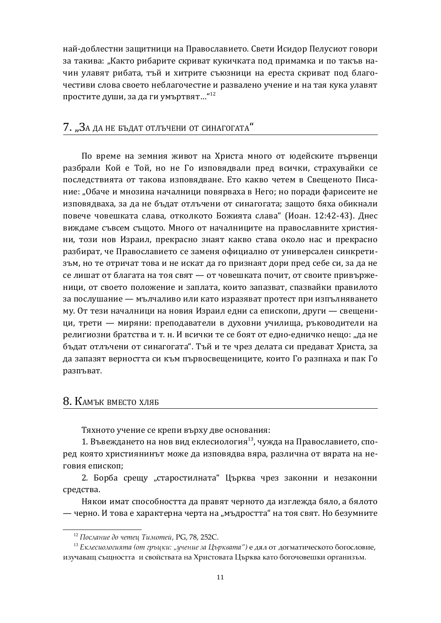най-доблестни защитници на Православието. Свети Исидор Пелусиот говори за такива: "Както рибарите скриват кукичката под примамка и по такъв начин улавят рибата, тъй и хитрите съюзници на ереста скриват под благочестиви слова своето неблагочестие и развалено учение и на тая кука улавят простите души, за да ги умъртвят..."<sup>12</sup>

## 7. "За да не бъдат отлъчени от синагогата"

По време на земния живот на Христа много от юдейските първенци разбрали Кой е Той, но не Го изповядвали пред всички, страхувайки се последствията от такова изповядване. Ето какво четем в Свещеното Писание: "Обаче и мнозина началници повярваха в Него; но поради фарисеите не изповядваха, за да не бъдат отлъчени от синагогата; защото бяха обикнали повече човешката слава, отколкото Божията слава" (Иоан. 12:42-43). Днес виждаме съвсем същото. Много от началниците на православните християни, този нов Израил, прекрасно знаят какво става около нас и прекрасно разбират, че Православието се заменя официално от универсален синкретизъм, но те отричат това и не искат да го признаят дори пред себе си, за да не се лишат от благата на тоя свят — от човешката почит, от своите привърженици, от своето положение и заплата, които запазват, спазвайки правилото за послушание — мълчаливо или като изразяват протест при изпълняването му. От тези началници на новия Израил едни са епископи, други — свещеници, трети — миряни: преподаватели в духовни училища, ръководители на религиозни братства и т. н. И всички те се боят от едно-едничко нещо: "да не бъдат отлъчени от синагогата". Тъй и те чрез делата си предават Христа, за да запазят верността си към първосвещениците, които Го разпнаха и пак Го разпъват.

### 8. КАМЪК ВМЕСТО ХЛЯБ

Тяхното учение се крепи върху две основания:

1. Въвеждането на нов вид еклесиология<sup>13</sup>, чужда на Православието, според която християнинът може да изповядва вяра, различна от вярата на неговия епископ:

2. Борба срещу "старостилната" Църква чрез законни и незаконни средства.

Някои имат способността да правят черното да изглежда бяло, а бялото — черно. И това е характерна черта на "мъдростта" на тоя свят. Но безумните

<sup>&</sup>lt;sup>12</sup> Послание до четец Тимотей, PG, 78, 252С.

<sup>&</sup>lt;sup>13</sup> Еклесиологията (от гръцки: "учение за Църквата") е дял от догматическото богословие, изучаващ сыцността и свойствата на Христовата Църква като богочовешки организъм.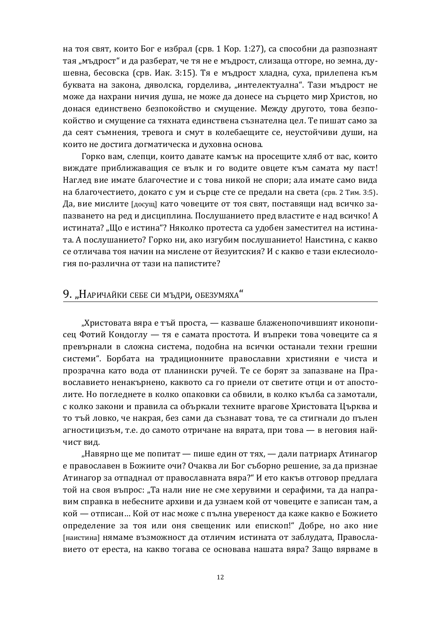на тоя свят, които Бог е избрал (срв. 1 Кор. 1:27), са способни да разпознаят тая "мъдрост" и да разберат, че тя не е мъдрост, слизаща отгоре, но земна, душевна, бесовска (срв. Иак. 3:15). Тя е мъдрост хладна, суха, прилепена към буквата на закона, дяволска, горделива, "интелектуална". Тази мъдрост не може да нахрани ничия душа, не може да донесе на сърцето мир Христов, но донася единствено безпокойство и смущение. Между другото, това безпокойство и смущение са тяхната единствена съзнателна цел. Те пишат само за да сеят съмнения, тревога и смут в колебаещите се, неустойчиви души, на които не достига догматическа и духовна основа.

Горко вам, слепци, които давате камък на просещите хляб от вас, които виждате приближаващия се вълк и го водите овцете към самата му паст! Наглед вие имате благочестие и с това никой не спори; ала имате само вида на благочестието, докато с ум и сърце сте се предали на света (срв. 2 Тим. 3:5). Да, вие мислите [досущ] като човеците от тоя свят, поставящи над всичко запазването на ред и дисциплина. Послушанието пред властите е над всичко! А истината? "Що е истина"? Няколко протеста са удобен заместител на истината. А послушанието? Горко ни, ако изгубим послушанието! Наистина, с какво се отличава тоя начин на мислене от йезуитския? И с какво е тази еклесиология по-различна от тази на папистите?

#### 9. "Наричайки себе си мъдри, обезумяха"

"Христовата вяра е тъй проста, — казваше блаженопочившият иконописец Фотий Кондоглу — тя е самата простота. И въпреки това човеците са я превърнали в сложна система, полобна на всички останали техни грешни системи". Борбата на традиционните православни християни е чиста и прозрачна като вода от планински ручей. Те се борят за запазване на Православието ненакърнено, каквото са го приели от светите отци и от апостолите. Но погледнете в колко опаковки са обвили, в колко кълба са замотали, с колко закони и правила са объркали техните врагове Христовата Църква и то тъй ловко, че накрая, без сами да съзнават това, те са стигнали до пълен агностицизъм, т.е. до самото отричане на вярата, при това — в неговия найчист вид.

"Навярно ще ме попитат — пише един от тях, — дали патриарх Атинагор е православен в Божиите очи? Очаква ли Бог съборно решение, за да признае Атинагор за отпаднал от православната вяра?" И ето какъв отговор предлага той на своя въпрос: "Та нали ние не сме херувими и серафими, та да направим справка в небесните архиви и да узнаем кой от човеците е записан там, а кой — отписан... Кой от нас може с пълна увереност да каже какво е Божието определение за тоя или оня свешеник или епископ!" Добре, но ако ние [наистина] нямаме възможност да отличим истината от заблудата, Православието от ереста, на какво тогава се основава нашата вяра? Защо вярваме в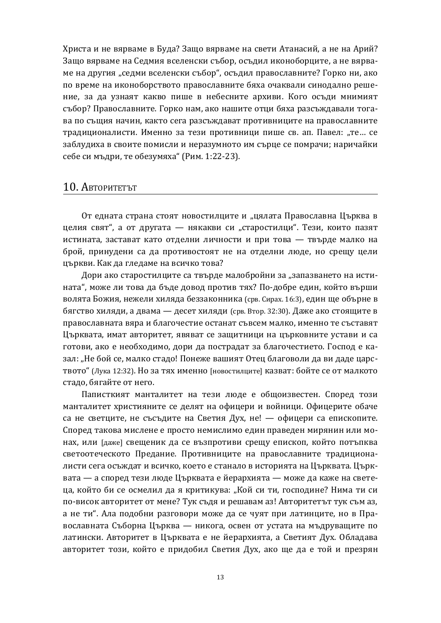Христа и не вярваме в Буда? Защо вярваме на свети Атанасий, а не на Арий? Защо вярваме на Седмия вселенски събор, осъдил иконоборците, а не вярваме на другия "седми вселенски събор", осъдил православните? Горко ни, ако по време на иконоборството православните бяха очаквали синодално решение, за да узнаят какво пише в небесните архиви. Кого осъди мнимият събор? Православните. Горко нам, ако нашите отци бяха разсъждавали тогава по същия начин, както сега разсъждават противниците на православните традиционалисти. Именно за тези противници пише св. ап. Павел: "те... се заблудиха в своите помисли и неразумното им сърце се помрачи; наричайки себе си мъдри, те обезумяха" (Рим. 1:22-23).

#### 10. Авторитетът

От едната страна стоят новостилците и "цялата Православна Църква в целия свят", а от другата — някакви си "старостилци". Тези, които пазят истината, застават като отделни личности и при това — твърде малко на брой, принудени са да противостоят не на отделни люде, но срещу цели църкви. Как да гледаме на всичко това?

Дори ако старостилците са твърде малобройни за "запазването на истината", може ли това да бъде довод против тях? По-добре един, който върши волята Божия, нежели хиляда беззаконника (срв. Сирах. 16:3), един ще обърне в бягство хиляди, а двама — десет хиляди (срв. Втор. 32:30). Даже ако стоящите в православната вяра и благочестие останат съвсем малко, именно те съставят Църквата, имат авторитет, явяват се защитници на църковните устави и са готови, ако е необходимо, дори да пострадат за благочестието. Господ е казал: "Не бой се, малко стадо! Понеже вашият Отец благоволи да ви даде царството" (Лука 12:32). Но за тях именно [новостилците] казват: бойте се от малкото стадо, бягайте от него.

Паписткият манталитет на тези люде е общоизвестен. Според този манталитет християните се делят на офицери и войници. Офицерите обаче са не светците, не съсъдите на Светия Дух, не! — офицери са епископите. Според такова мислене е просто немислимо един праведен мирянин или монах, или [даже] свещеник да се възпротиви срещу епископ, който потъпква светоотеческото Предание. Противниците на православните традиционалисти сега осъждат и всичко, което е станало в историята на Църквата. Църквата — а според тези люде Църквата е йерархията — може да каже на светеца, който би се осмелил да я критикува: "Кой си ти, господине? Нима ти си по-висок авторитет от мене? Тук съдя и решавам аз! Авторитетът тук съм аз, а не ти". Ала подобни разговори може да се чуят при латинците, но в Православната Съборна Църква — никога, освен от устата на мъдруващите по латински. Авторитет в Църквата е не йерархията, а Светият Дух. Обладава авторитет този, който е придобил Светия Дух, ако ще да е той и презрян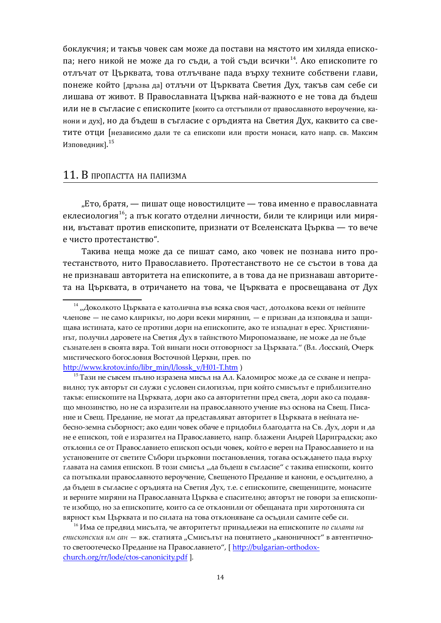боклукчия: и такъв човек сам може да постави на мястото им хиляда епископа; него никой не може да го съди, а той съди всички<sup>14</sup>. Ако епископите го отлъчат от Църквата, това отлъчване пада върху техните собствени глави, понеже който [дръзва да] отлъчи от Църквата Светия Дух, такъв сам себе си лишава от живот. В Православната Църква най-важното е не това да бъдеш или не в съгласие с епископите [които са отстъпили от православното вероучение, канони и дух], но да бъдеш в съгласие с оръдията на Светия Дух, каквито са светите отци Гнезависимо дали те са епископи или прости монаси, като напр. св. Максим Изповедник]. $^{15}$ 

## 11. В пропастта на папизма

"Ето, братя, — пишат още новостилците — това именно е православната еклесиология<sup>16</sup>; а пък когато отделни личности, били те клирици или миряни, въстават против епископите, признати от Вселенската Църква — то вече е чисто протестанство".

Такива неща може да се пишат само, ако човек не познава нито протестанството, нито Православието. Протестанството не се състои в това да не признаваш авторитета на епископите, а в това да не признаваш авторитета на Църквата, в отричането на това, че Църквата е просвещавана от Дух

 $^{15}$ Тази не съвсем пълно изразена мисъл на Ал. Каломирос може да се схване и неправилно; тук авторът си служи с условен силогизъм, при който смисълът е приблизително такъв: епископите на Църквата, дори ако са авторитетни пред света, дори ако са подавящо мнозинство, но не са изразители на православното учение въз основа на Свещ. Писание и Свещ. Предание, не могат да представляват авторитет в Църквата в нейната небесно-земна съборност; ако един човек обаче е придобил благодатта на Св. Дух, дори и да не е епископ, той е изразител на Православието, напр. блажени Андрей Цариградски; ако отклонил се от Православието епископ осъди човек, който е верен на Православието и на установените от светите Събори църковни постановления, тогава осъждането пада върху главата на самия епископ. В този смисъл "да бъдеш в съгласие" с такива епископи, които са потъпкали православното вероучение, Свещеното Предание и канони, е осъдително, а да бъдеш в съгласие с оръдията на Светия Дух, т.е. с епископите, свещениците, монасите и верните миряни на Православната Църква е спасително; авторът не говори за епископите изобщо, но за епископите, които са се отклонили от обещаната при хиротонията си вярност към Църквата и по силата на това отклоняване са осъдили самите себе си.

 $16$  Има се предвид мисълта, че авторитетът принадлежи на епископите *по силата* на *епископския им сан* — вж. статията "Смисълът на понятието "каноничност" в автентичното светоотеческо Предание на Православието", [ http://bulgarian-orthodoxchurch.org/rr/lode/ctos-canonicity.pdf ].

 $^{\rm 14}$  "Доколкото Църквата е католична във всяка своя част, дотолкова всеки от нейните членове — не само клирикът, но дори всеки мирянин, — е призван да изповядва и защищава истината, като се противи дори на епископите, ако те изпаднат в ерес. Християнинът, получил даровете на Светия Дух в тайнството Миропомазване, не може да не бъде съзнателен в своята вяра. Той винаги носи отговорност за Църквата." (Вл. Лосский, Очерк мистического богословия Восточной Церкви, прев. по [http://www.krotov.info/libr\\_min/l/lossk\\_v/H01-T.htm](http://www.krotov.info/libr_min/l/lossk_v/H01-T.htm) )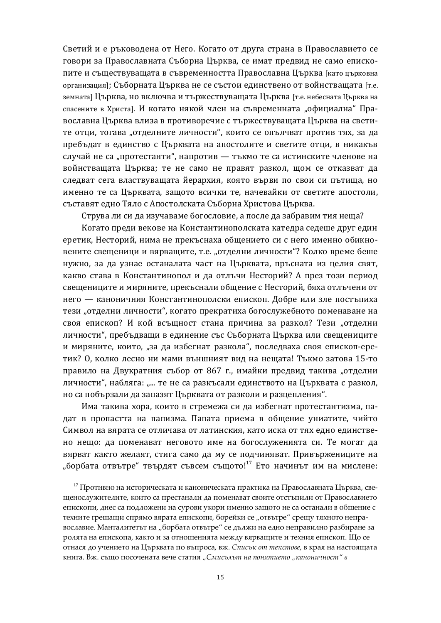Светий и е ръководена от Него. Когато от друга страна в Православието се говори за Православната Съборна Църква, се имат предвид не само епископите и съществуващата в съвременността Православна Църква [като църковна организация]; Съборната Църква не се състои единствено от войнстващата [т.е. земната] Църква, но включва и тържествуващата Църква [т.е. небесната Църква на спасените в Христа]. И когато някой член на съвременната "официална" Православна Църква влиза в противоречие с тържествуващата Църква на светите отци, тогава "отделните личности", които се опълчват против тях, за да пребъдат в единство с Църквата на апостолите и светите отци, в никакъв случай не са "протестанти", напротив — тъкмо те са истинските членове на войнстващата Църква; те не само не правят разкол, щом се отказват да следват сега властвуващата йерархия, която върви по свои си пътища, но именно те са Църквата, защото всички те, начевайки от светите апостоли, съставят едно Тяло с Апостолската Съборна Христова Църква.

Струва ли си да изучаваме богословие, а после да забравим тия неща?

Когато преди векове на Константинополската катедра седеше друг един еретик, Несторий, нима не прекъснаха общението си с него именно обикновените свещеници и вярващите, т.е. "отделни личности"? Колко време беше нужно, за да узнае останалата част на Църквата, пръсната из целия свят, какво става в Константинопол и да отлъчи Несторий? А през този период свещениците и миряните, прекъснали общение с Несторий, бяха отлъчени от него — каноничния Константинополски епископ. Добре или зле постъпиха тези "отделни личности", когато прекратиха богослужебното поменаване на своя епископ? И кой всъщност стана причина за разкол? Тези "отделни личности", пребъдващи в единение със Съборната Църква или свещениците и миряните, които, "за да избегнат разкола", последваха своя епископ-еретик? О, колко лесно ни мами външният вид на нещата! Тъкмо затова 15-то правило на Двукратния събор от 867 г., имайки предвид такива "отделни личности", набляга: "... те не са разкъсали единството на Църквата с разкол, но са побързали да запазят Църквата от разколи и разцепления".

Има такива хора, които в стремежа си да избегнат протестантизма, падат в пропастта на папизма. Папата приема в общение униатите, чийто Символ на вярата се отличава от латинския, като иска от тях едно единствено нещо: да поменават неговото име на богослуженията си. Те могат да вярват както желаят, стига само да му се подчиняват. Привържениците на "борбата отвътре" твърдят съвсем същото!<sup>17</sup> Ето начинът им на мислене:

 $^{17}$  Противно на историческата и каноническата практика на Православната Църква, свещенослужителите, които са престанали да поменават своите отстъпили от Православието епископи, днес са подложени на сурови укори именно защото не са останали в общение с техните грешащи спрямо вярата епископи, борейки се "отвътре" срещу тяхното неправославие. Манталитетът на "борбата отвътре" се дължи на едно неправилно разбиране за ролята на епископа, както и за отношенията между вярващите и техния епископ. Що се отнася до учението на Църквата по въпроса, вж. Списък от текстове, в края на настоящата ˊˑˆʶʲ. ɪʾ. ˖˨˧˓ȱ˔˓˖˓ˣʺˑʲ˘ʲȱʵʺˣʺȱ˖˘ʲ˘ˆˮ *Ǯʈːˆ˖˨ˏ˨˘ȱˑʲȱ˔˓ˑˮ˘ˆʺ˘˓ "ˊʲˑ˓ˑˆˣˑ˓˖˘" ʵ*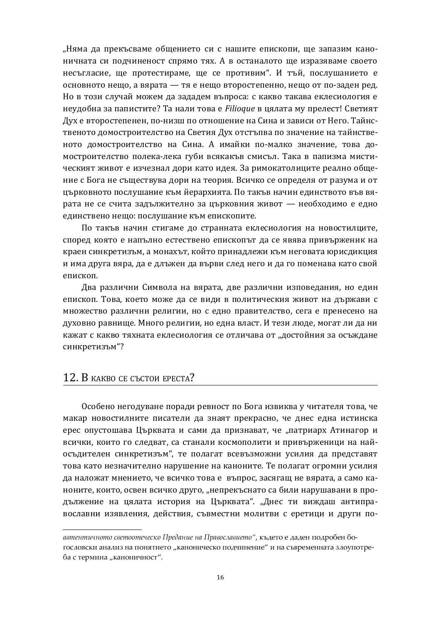"Няма да прекъсваме общението си с нашите епископи, ще запазим каноничната си подчиненост спрямо тях. А в останалото ще изразяваме своето несъгласие, ще протестираме, ще се противим". И тъй, послушанието е основното нещо, а вярата — тя е нещо второстепенно, нещо от по-заден ред. Но в този случай можем да зададем въпроса: с какво такава еклесиология е неудобна за папистите? Та нали това е Filioque в цялата му прелест! Светият Дух е второстепенен, по-низш по отношение на Сина и зависи от Него. Тайнственото домостроителство на Светия Дух отстъпва по значение на тайнственото домостроителство на Сина. А имайки по-малко значение, това домостроителство полека-лека губи всякакъв смисъл. Така в папизма мистическият живот е изчезнал дори като идея. За римокатолиците реално общение с Бога не съществува дори на теория. Всичко се определя от разума и от църковното послушание към йерархията. По такъв начин единството във вярата не се счита задължително за църковния живот - необходимо е едно единствено нещо: послушание към епископите.

По такъв начин стигаме до странната еклесиология на новостилците, според която е напълно естествено епископът да се явява привърженик на краен синкретизъм, а монахът, който принадлежи към неговата юрисдикция и има друга вяра, да е длъжен да върви след него и да го поменава като свой епископ.

Два различни Символа на вярата, две различни изповедания, но един епископ. Това, което може да се види в политическия живот на държави с множество различни религии, но с едно правителство, сега е пренесено на духовно равнище. Много религии, но една власт. И тези люде, могат ли да ни кажат с какво тяхната еклесиология се отличава от "достойния за осъждане синкретизъм"?

## 12. B KAKBO CE CЪСТОИ ЕРЕСТА?

Особено негодуване поради ревност по Бога извиква у читателя това, че макар новостилните писатели да знаят прекрасно, че днес една истинска ерес опустошава Църквата и сами да признават, че "патриарх Атинагор и всички, които го следват, са станали космополити и привърженици на найосъдителен синкретизъм", те полагат всевъзможни усилия да представят това като незначително нарушение на каноните. Те полагат огромни усилия да наложат мнението, че всичко това е въпрос, засягащ не вярата, а само каноните, които, освен всичко друго, "непрекъснато са били нарушавани в продължение на цялата история на Църквата". "Днес ти виждаш антиправославни изявления, действия, съвместни молитви с еретици и други по-

автентичното светоотеческо Предание на Православието", където е даден подробен богословски анализ на понятието "каноническо подчинение" и на съвременната злоупотреба с термина "каноничност".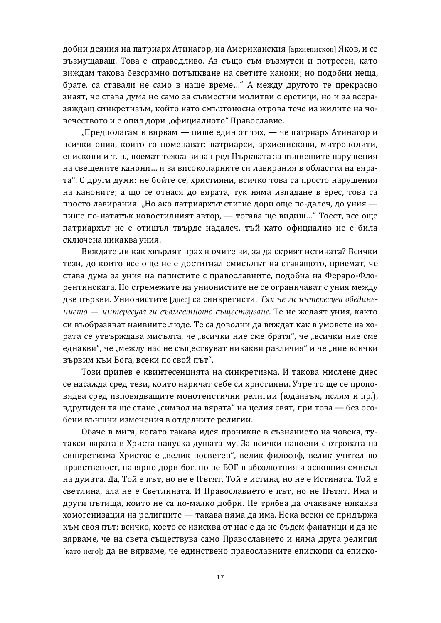добни деяния на патриарх Атинагор, на Американския [архиепископ] Яков, и се възмущаваш. Това е справедливо. Аз също съм възмутен и потресен, като виждам такова безсрамно потъпкване на светите канони: но подобни неша. брате, са ставали не само в наше време..." А между другото те прекрасно знаят, че става дума не само за съвместни молитви с еретици, но и за всеразяждащ синкретизъм, който като смъртоносна отрова тече из жилите на човечеството и е опил дори "официалното" Православие.

"Предполагам и вярвам — пише един от тях, — че патриарх Атинагор и всички ония, които го поменават: патриарси, архиепископи, митрополити, епископи и т. н., поемат тежка вина пред Църквата за въпиещите нарушения на свещените канони... и за високопарните си лавирания в областта на вярата". С други думи: не бойте се, християни, всичко това са просто нарушения на каноните; а що се отнася до вярата, тук няма изпадане в ерес, това са просто лавирания! "Но ако патриархът стигне дори още по-далеч, до уния пише по-нататък новостилният автор, — тогава ще видиш..." Тоест, все още патриархът не е отишъл твърде надалеч, тъй като официално не е била сключена никаква уния.

Виждате ли как хвърлят прах в очите ви, за да скрият истината? Всички тези, до които все още не е достигнал смисълът на ставащото, приемат, че става дума за уния на папистите с православните, подобна на Фераро-Флорентинската. Но стремежите на унионистите не се ограничават с уния между две църкви. Унионистите [днес] са синкретисти. Тях не ги интересува обедине- $\mu$  нието — интересува ги съвместното съществуване. Те не желаят уния, както си въобразяват наивните люде. Те са доволни да виждат как в умовете на хората се утвърждава мисълта, че "всички ние сме братя", че "всички ние сме еднакви", че "между нас не съществуват никакви различия" и че "ние всички вървим към Бога, всеки по свой път".

Този припев е квинтесенцията на синкретизма. И такова мислене днес се насажда сред тези, които наричат себе си християни. Утре то ще се проповядва сред изповядващите монотеистични религии (юдаизъм, ислям и пр.). вдругиден тя ще стане "символ на вярата" на целия свят, при това — без особени външни изменения в отделните религии.

Обаче в мига, когато такава идея проникне в съзнанието на човека, тутакси вярата в Христа напуска душата му. За всички напоени с отровата на синкретизма Христос е "велик посветен", велик философ, велик учител по нравственост, навярно дори бог, но не БОГ в абсолютния и основния смисъл на думата. Да, Той е път, но не е Пътят. Той е истина, но не е Истината. Той е светлина, ала не е Светлината. И Православието е път, но не Пътят. Има и други пътища, които не са по-малко добри. Не трябва да очакваме някаква хомогенизация на религиите — такава няма да има. Нека всеки се придържа към своя път; всичко, което се изисква от нас е да не бъдем фанатици и да не вярваме, че на света съществува само Православието и няма друга религия [като него]; да не вярваме, че единствено православните епископи са еписко-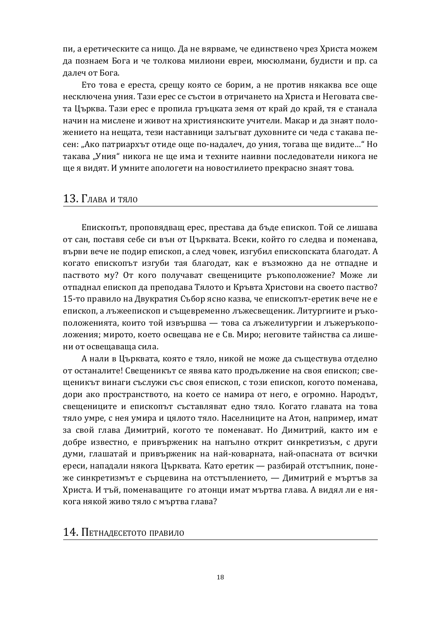пи, а еретическите са нищо. Да не вярваме, че единствено чрез Христа можем да познаем Бога и че толкова милиони евреи, мюсюлмани, будисти и пр. са далеч от Бога.

Ето това е ереста, срещу която се борим, а не против някаква все още несключена уния. Тази ерес се състои в отричането на Христа и Неговата света Църква. Тази ерес е пропила гръцката земя от край до край, тя е станала начин на мислене и живот на християнските учители. Макар и да знаят положението на нещата, тези наставници залъгват духовните си чеда с такава песен: "Ако патриархът отиде още по-надалеч, до уния, тогава ще видите..." Но такава "Уния" никога не ще има и техните наивни последователи никога не ще я видят. И умните апологети на новостилието прекрасно знаят това.

#### 13. Глава и тяло

Епископът, проповядващ ерес, престава да бъде епископ. Той се лишава от сан, поставя себе си вън от Църквата. Всеки, който го следва и поменава, върви вече не подир епископ, а след човек, изгубил епископската благодат. А когато епископът изгуби тая благодат, как е възможно да не отпадне и паството му? От кого получават свещениците ръкоположение? Може ли отпаднал епископ да преподава Тялото и Кръвта Христови на своето паство? 15-то правило на Двукратия Събор ясно казва, че епископът-еретик вече не е епископ, а лъжеепископ и същевременно лъжесвещеник. Литургиите и ръкоположенията, които той извършва — това са лъжелитургии и лъжеръкоположения; мирото, което освещава не е Св. Миро; неговите тайнства са лишени от освешаваша сила.

А нали в Църквата, която е тяло, никой не може да съществува отделно от останалите! Свещеникът се явява като продължение на своя епископ; свещеникът винаги съслужи със своя епископ, с този епископ, когото поменава, дори ако пространството, на което се намира от него, е огромно. Народът, свещениците и епископът съставляват едно тяло. Когато главата на това тяло умре, с нея умира и цялото тяло. Населниците на Атон, например, имат за свой глава Димитрий, когото те поменават. Но Димитрий, както им е добре известно, е привърженик на напълно открит синкретизъм, с други думи, глашатай и привърженик на най-коварната, най-опасната от всички ереси, нападали някога Църквата. Като еретик — разбирай отстъпник, понеже синкретизмът е сърцевина на отстъплението, — Димитрий е мъртъв за Христа. И тъй, поменаващите го атонци имат мъртва глава. А видял ли е някога някой живо тяло с мъртва глава?

14. ПЕТНАДЕСЕТОТО ПРАВИЛО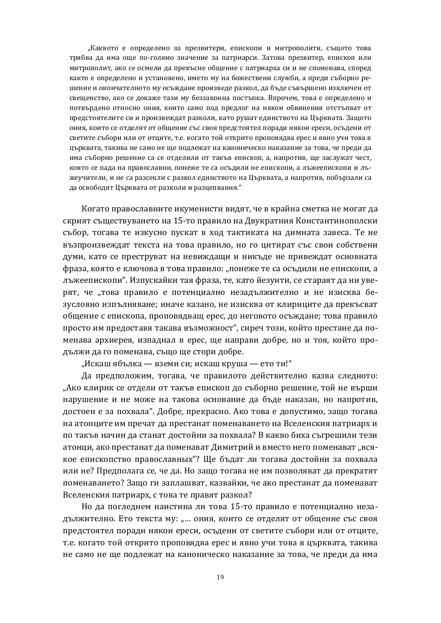"Каквото е определено за презвитери, епископи и митрополити, същото това трябва да има още по-голямо значение за патриарси. Затова презвитер, епископ или митрополит, ако се осмели да прекъсне общение с патриарха си и не споменава, според както е определено и установено, името му на божествени служби, а преди съборно решение и окончателното му осъждане произведе разкол, да бъде съвършено изключен от свещенство, ако се докаже тази му беззаконна постъпка. Впрочем, това е определено и потвърдено относно ония, които само под предлог на някои обвинения отстъпват от предстоятелите си и произвеждат разколи, като рушат единството на Църквата. Защото ония, които се отделят от общение със своя предстоятел поради някои ереси, осъдени от светите събори или от отците, т.е. когато той открито проповядва ерес и явно учи това в църквата, такива не само не ще подлежат на каноническо наказание за това, че преди да има съборно решение са се отделили от такъв епископ, а, напротив, ще заслужат чест, която се пада на православни, понеже те са осъдили не епископи, а лъжеепископи и лъжеучители, и не са разсекли с разкол единството на Църквата, а напротив, побързали са да освободят Църквата от разколи и разцепвания."

Когато православните икуменисти видят, че в крайна сметка не могат да скрият съществуването на 15-то правило на Двукратния Константинополски събор, тогава те изкусно пускат в ход тактиката на димната завеса. Те не възпроизвеждат текста на това правило, но го цитират със свои собствени думи, като се преструват на невиждащи и никъде не привеждат основната фраза, която е ключова в това правило: "понеже те са осъдили не епископи, а лъжеепископи". Изпускайки тая фраза, те, като йезуити, се стараят да ни уверят, че "това правило е потенциално незадължително и не изисква безусловно изпълняване; иначе казано, не изисква от клириците да прекъсват общение с епископа, проповядващ ерес, до неговото осъждане; това правило просто им предоставя такава възможност", сиреч този, който престане да поменава архиерея, изпаднал в ерес, ще направи добре, но и тоя, който продължи да го поменава, също ще стори добре.

"Искаш ябълка — вземи си; искаш круша — ето ти!"

Да предположим, тогава, че правилото действително казва следното: "Ако клирик се отдели от такъв епископ до съборно решение, той не върши нарушение и не може на такова основание да бъде наказан, но напротив, достоен е за похвала". Добре, прекрасно. Ако това е допустимо, защо тогава на атонците им пречат да престанат поменаването на Вселенския патриарх и по такъв начин да станат достойни за похвала? В какво биха съгрешили тези атонци, ако престанат да поменават Димитрий и вместо него поменават "всякое епископство православных"? Ще бъдат ли тогава достойни за похвала или не? Предполага се, че да. Но защо тогава не им позволяват да прекратят поменаването? Защо ги заплашват, казвайки, че ако престанат да поменават Вселенския патриарх, с това те правят разкол?

Но да погледнем наистина ли това 15-то правило е потенциално незадължително. Ето текста му: "... ония, които се отделят от общение със своя предстоятел поради някои ереси, осъдени от светите събори или от отците, т.е. когато той открито проповядва ерес и явно учи това в църквата, такива не само не ще подлежат на каноническо наказание за това, че преди да има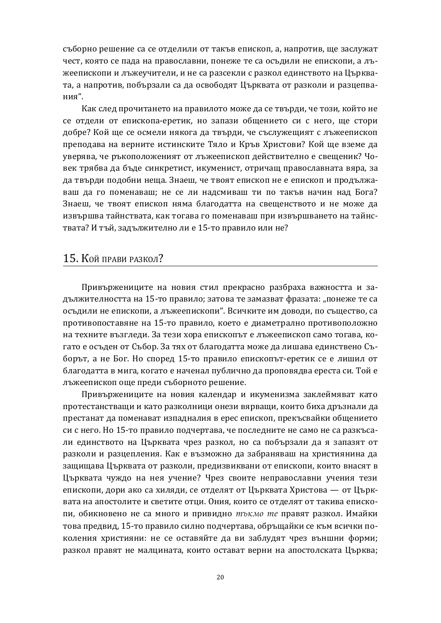съборно решение са се отделили от такъв епископ, а, напротив, ще заслужат чест, която се пада на православни, понеже те са осъдили не епископи, а лъжеепископи и лъжеучители, и не са разсекли с разкол единството на Църквата, а напротив, побързали са да освободят Църквата от разколи и разцепвания".

Как след прочитането на правилото може да се твърди, че този, който не се отдели от епископа-еретик, но запази обшението си с него, ше стори добре? Кой ще се осмели някога да твърди, че съслужещият с лъжеепископ преподава на верните истинските Тяло и Кръв Христови? Кой ще вземе да уверява, че ръкоположеният от лъжеепископ действително е свещеник? Човек трябва да бъде синкретист, икуменист, отричащ православната вяра, за да твърди подобни неща. Знаеш, че твоят епископ не е епископ и продължаваш да го поменаваш; не се ли надсмиваш ти по такъв начин над Бога? Знаеш, че твоят епископ няма благодатта на свещенството и не може да извършва тайнствата, как тогава го поменаваш при извършването на тайнствата? И тъй, задължително ли е 15-то правило или не?

## 15. Кой прави разкол?

Привържениците на новия стил прекрасно разбраха важността и задължителността на 15-то правило; затова те замазват фразата: "понеже те са осъдили не епископи, а лъжеепископи". Всичките им доводи, по същество, са противопоставяне на 15-то правило, което е диаметрално противоположно на техните възгледи. За тези хора епископът е лъжеепископ само тогава, когато е осъден от Събор. За тях от благодатта може да лишава единствено Съборът, а не Бог. Но според 15-то правило епископът-еретик се е лишил от благодатта в мига, когато е наченал публично да проповядва ереста си. Той е лъжеепископ още преди съборното решение.

Привържениците на новия календар и икуменизма заклеймяват като протестанстващи и като разколници онези вярващи, които биха дръзнали да престанат да поменават изпадналия в ерес епископ, прекъсвайки общението си с него. Но 15-то правило подчертава, че последните не само не са разкъсали единството на Църквата чрез разкол, но са побързали да я запазят от разколи и разцепления. Как е възможно да забраняваш на християнина да защищава Църквата от разколи, предизвиквани от епископи, които внасят в Църквата чуждо на нея учение? Чрез своите неправославни учения тези епископи, дори ако са хиляди, се отделят от Църквата Христова — от Църквата на апостолите и светите отци. Ония, които се отделят от такива епископи, обикновено не са много и привидно *тъкмо те* правят разкол. Имайки това предвид, 15-то правило силно подчертава, обръщайки се към всички поколения християни: не се оставяйте да ви заблудят чрез външни форми; разкол правят не малцината, които остават верни на апостолската Църква;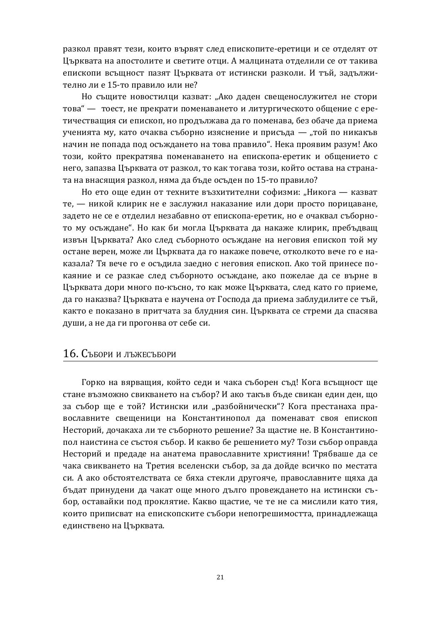разкол правят тези, които вървят след епископите-еретици и се отделят от Църквата на апостолите и светите отци. А малцината отделили се от такива епископи всъшност пазят Църквата от истински разколи. И тъй, залължително ли е 15-то правило или не?

Но същите новостилци казват: "Ако даден свещенослужител не стори това" — тоест, не прекрати поменаването и литургическото общение с еретичествашия си епископ, но продължава да го поменава, без обаче да приема ученията му, като очаква съборно изяснение и присъда — "той по никакъв начин не попада под осъждането на това правило". Нека проявим разум! Ако този, който прекратява поменаването на епископа-еретик и общението с него, запазва Църквата от разкол, то как тогава този, който остава на страната на внасящия разкол, няма да бъде осъден по 15-то правило?

Но ето още един от техните възхитителни софизми: "Никога — казват те, — никой клирик не е заслужил наказание или дори просто порицаване, задето не се е отделил незабавно от епископа-еретик, но е очаквал съборното му осъждане". Но как би могла Църквата да накаже клирик, пребъдващ извън Църквата? Ако след съборното осъждане на неговия епископ той му остане верен, може ли Църквата да го накаже повече, отколкото вече го е наказала? Тя вече го е осъдила заедно с неговия епископ. Ако той принесе покаяние и се разкае след съборното осъждане, ако пожелае да се върне в Църквата дори много по-късно, то как може Църквата, след като го приеме, да го наказва? Църквата е научена от Господа да приема заблудилите се тъй, както е показано в притчата за блудния син. Църквата се стреми да спасява души, а не да ги прогонва от себе си.

#### 16. Събори и лъжесъбори

Горко на вярващия, който седи и чака съборен съд! Кога всъщност ще стане възможно свикването на събор? И ако такъв бъде свикан един ден, що за събор ще е той? Истински или "разбойнически"? Кога престанаха православните свещеници на Константинопол да поменават своя епископ Несторий, дочакаха ли те съборното решение? За щастие не. В Константинопол наистина се състоя събор. И какво бе решението му? Този събор оправда Несторий и предаде на анатема православните християни! Трябваше да се чака свикването на Третия вселенски събор, за да дойде всичко по местата си. А ако обстоятелствата се бяха стекли другояче, православните щяха да бъдат принудени да чакат още много дълго провеждането на истински събор, оставайки под проклятие. Какво щастие, че те не са мислили като тия, които приписват на епископските събори непогрешимостта, принадлежаща единствено на Църквата.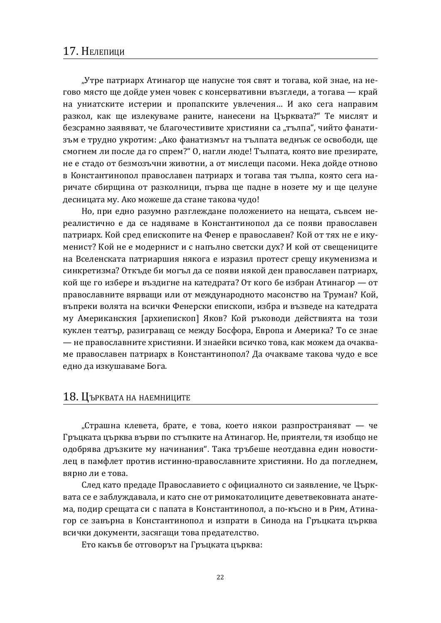## 17. Нелепици

"Утре патриарх Атинагор ще напусне тоя свят и тогава, койзнае, на негово място ще дойде умен човек с консервативни възгледи, а тогава - край на униатските истерии и пропапските увлечения... И ако сега направим разкол, как ще излекуваме раните, нанесени на Църквата?" Те мислят и безсрамно заявяват, че благочестивите християни са "тълпа", чийто фанатизъм е трудно укротим: "Ако фанатизмът на тълпата веднъж се освободи, ще смогнем ли после да го спрем?" О, нагли люде! Тълпата, която вие презирате, не е стадо от безмозъчни животни, а от мислещи пасоми. Нека дойде отново в Константинопол православен патриарх и тогава тая тълпа, която сега наричате сбирщина от разколници, първа ще падне в нозете му и ще целуне десницата му. Ако можеше да стане такова чудо!

Но, при едно разумно разглеждане положението на нещата, съвсем нереалистично е да се надяваме в Константинопол да се появи православен патриарх. Кой сред епископите на Фенер е православен? Кой от тях не е икуменист? Кой не е модернист и с напълно светски дух? И кой от свещениците на Вселенската патриаршия някога е изразил протест срещу икуменизма и синкретизма? Откъде би могъл да се появи някой ден православен патриарх, кой ще го избере и въздигне на катедрата? От кого бе избран Атинагор — от православните вярващи или от международното масонство на Труман? Кой, въпреки волята на всички Фенерски епископи, избра и възведе на катедрата му Американския [архиепископ] Яков? Кой ръководи действията на този куклен театър, разиграващ се между Босфора, Европа и Америка? То се знае — не православните християни. И знаейки всичко това, как можем да очакваме православен патриарх в Константинопол? Да очакваме такова чудо е все едно да изкушаваме Бога.

#### 18. Църквата на наемниците

"Страшна клевета, брате, е това, което някои разпространяват — че Гръцката църква върви по стъпките на Атинагор. Не, приятели, тя изобщо не одобрява дръзките му начинания". Така тръбеше неотдавна един новостилец в памфлет против истинно-православните християни. Но да погледнем, вярно ли е това.

След като предаде Православието с официалното си заявление, че Църквата се е заблуждавала, и като сне от римокатолиците деветвековната анатема, подир срещата си с папата в Константинопол, а по-късно и в Рим, Атинагор се завърна в Константинопол и изпрати в Синода на Гръцката църква всички документи, засягащи това предателство.

Ето какъв бе отговорът на Гръцката църква: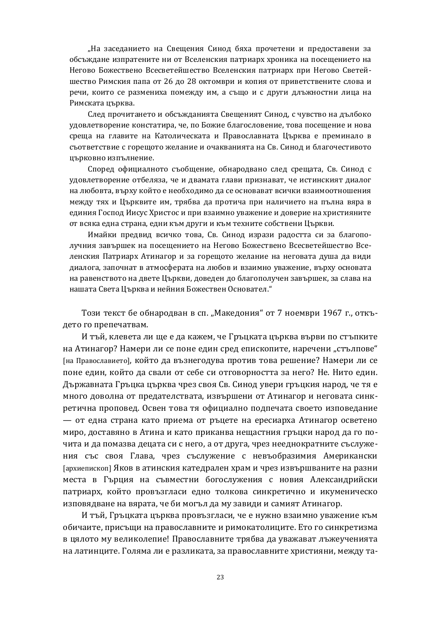"На заседанието на Свещения Синод бяха прочетени и предоставени за обсъждане изпратените ни от Вселенския патриарх хроника на посещението на Негово Божествено Всесветейшество Вселенския патриарх при Негово Светейшество Римския папа от 26 до 28 октомври и копия от приветствените слова и речи, които се размениха помежду им, а също и с други длъжностни лица на Римската църква.

След прочитането и обсъжданията Свещеният Синод, с чувство на дълбоко удовлетворение констатира, че, по Божие благословение, това посещение и нова среща на главите на Католическата и Православната Църква е преминало в съответствие с горещото желание и очакванията на Св. Синод и благочестивото църковно изпълнение.

Според официалното съобщение, обнародвано след срещата, Св. Синод с удовлетворение отбеляза, че и двамата глави признават, че истинският диалог на любовта, върху който е необходимо да се основават всички взаимоотношения между тях и Църквите им, трябва да протича при наличието на пълна вяра в единия Господ Иисус Христос и при взаимно уважение и доверие на християните от всяка една страна, едни към други и към техните собствени Църкви.

Имайки предвид всичко това, Св. Синод изрази радостта си за благополучния завършек на посещението на Негово Божествено Всесветейшество Вселенския Патриарх Атинагор и за горещото желание на неговата душа да види диалога, започнат в атмосферата на любов и взаимно уважение, върху основата на равенството на двете Църкви, доведен до благополучен завършек, за слава на нашата Света Църква и нейния Божествен Основател."

Този текст бе обнародван в сп. "Македония" от 7 ноември 1967 г., откъдето го препечатвам.

И тъй, клевета ли ще е да кажем, че Гръцката църква върви по стъпките на Атинагор? Намери ли се поне един сред епископите, наречени "стълпове" [на Православието], който да възнегодува против това решение? Намери ли се поне един, който да свали от себе си отговорността за него? Не. Нито един. Държавната Гръцка църква чрез своя Св. Синод увери гръцкия народ, че тя е много доволна от предателствата, извършени от Атинагор и неговата синкретична проповед. Освен това тя официално подпечата своето изповедание — от една страна като приема от ръцете на ересиарха Атинагор осветено миро, доставяно в Атина и като приканва нещастния гръцки народ да го почита и да помазва децата си с него, а от друга, чрез нееднократните съслужения със своя Глава, чрез съслужение с невъобразимия Американски [архиепископ] Яков в атинския катедрален храм и чрез извършваните на разни места в Гърция на съвместни богослужения с новия Александрийски патриарх, който провъзгласи едно толкова синкретично и икуменическо изповядване на вярата, че би могъл да му завиди и самият Атинагор.

И тъй, Гръцката църква провъзгласи, че е нужно взаимно уважение към обичаите, присъщи на православните и римокатолиците. Ето го синкретизма в цялото му великолепие! Православните трябва да уважават лъжеученията на латинците. Голяма ли е разликата, за православните християни, между та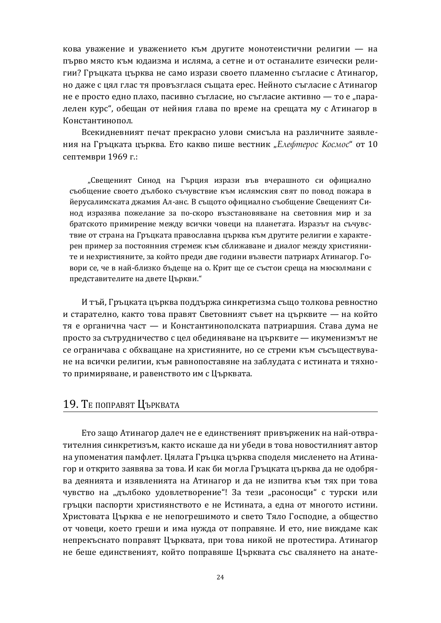кова уважение и уважението към другите монотеистични религии - на първо място към юдаизма и исляма, а сетне и от останалите езически религии? Гръцката църква не само изрази своето пламенно съгласие с Атинагор, но даже с цял глас тя провъзглася същата ерес. Нейното съгласие с Атинагор не е просто едно плахо, пасивно съгласие, но съгласие активно — то е "паралелен курс", обещан от нейния глава по време на срещата му с Атинагор в Константинопол.

Всекидневният печат прекрасно улови смисъла на различните заявления на Гръцката църква. Ето какво пише вестник "Елефтерос Космос" от 10 септември 1969 г.:

"Свещеният Синод на Гърция изрази във вчерашното си официално съобщение своето дълбоко съчувствие към ислямския свят по повод пожара в йерусалимската джамия Ал-анс. В същото официално съобщение Свещеният Синод изразява пожелание за по-скоро възстановяване на световния мир и за братското примирение между всички човеци на планетата. Изразът на съчувствие от страна на Гръцката православна църква към другите религии е характерен пример за постоянния стремеж към сближаване и диалог между християните и нехристияните, за който преди две години възвести патриарх Атинагор. Говори се, че в най-близко бъдеще на о. Крит ще се състои среща на мюсюлмани с представителите на двете Църкви."

И тъй, Гръцката църква поддържа синкретизма също толкова ревностно и старателно, както това правят Световният съвет на църквите — на който тя е органична част — и Константинополската патриаршия. Става дума не просто за сътрудничество с цел обединяване на пърквите — икуменизмът не се ограничава с обхващане на християните, но се стреми към съсъществуване на всички религии, към равнопоставяне на заблудата с истината и тяхното примиряване, и равенството им с Църквата.

## 19. ТЕ ПОПРАВЯТ ЦЪРКВАТА

Ето защо Атинагор далеч не е единственият привърженик на най-отвратителния синкретизъм, както искаше да ни убеди в това новостилният автор на упоменатия памфлет. Цялата Гръцка църква споделя мисленето на Атинагор и открито заявява за това. И как би могла Гръцката църква да не одобрява деянията и изявленията на Атинагор и да не изпитва към тях при това чувство на "дълбоко удовлетворение"! За тези "расоносци" с турски или гръцки паспорти християнството е не Истината, а една от многото истини. Христовата Църква е не непогрешимото и свето Тяло Господне, а общество от човеци, което греши и има нужда от поправяне. И ето, ние виждаме как непрекъснато поправят Църквата, при това никой не протестира. Атинагор не беше единственият, който поправяше Църквата със свалянето на анате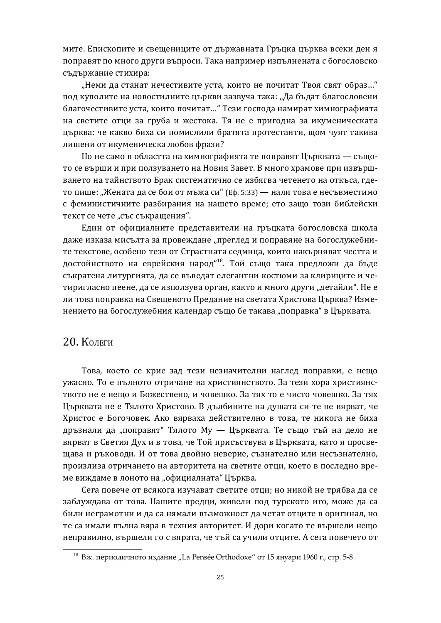мите. Епископите и свещениците от държавната Гръцка църква всеки ден я поправят по много други въпроси. Така например изпълнената с богословско съдържание стихира:

"Неми да станат нечестивите уста, които не почитат Твоя свят образ..." под куполите на новостилните църкви зазвуча така: "Да бъдат благословени благочестивите уста, които почитат..." Тези господа намират химнографията на светите отци за груба и жестока. Тя не е пригодна за икуменическата църква: че какво биха си помислили братята протестанти, щом чуят такива лишени от икуменическа любов фрази?

Но не само в областта на химнографията те поправят Църквата — същото се върши и при ползуването на Новия Завет. В много храмове при извършването на тайнството Брак систематично се избягва четенето на откъса, гдето пише: "Жената да се бои от мъжа си" (Еф. 5:33) — нали това е несъвместимо с феминистичните разбирания на нашето време; ето защо този библейски текст се чете "със съкращения".

Един от официалните представители на гръцката богословска школа даже изказа мисълта за провеждане "преглед и поправяне на богослужебните текстове, особено тези от Страстната седмица, които накърняват честта и достойнството на еврейския народ"<sup>18</sup>. Той също така предложи да бъде съкратена литургията, да се въведат елегантни костюми за клириците и четиригласно пеене, да се използува орган, както и много други "детайли". Не е ли това поправка на Свещеното Предание на светата Христова Църква? Изменението на богослужебния календар също бе такава "поправка" в Църквата.

### 20. Колеги

Това, което се крие зад тези незначителни наглед поправки, е нещо ужасно. То е пълното отричане на християнството. За тези хора християнството не е нещо и Божествено, и човешко. За тях то е чисто човешко. За тях Църквата не е Тялото Христово. В дълбините на душата си те не вярват, че Христос е Богочовек. Ако вярваха действително в това, те никога не биха дръзнали да "поправят" Тялото Му — Църквата. Те също тъй на дело не вярват в Светия Дух и в това, че Той присъствува в Църквата, като я просвещава и ръководи. И от това двойно неверие, съзнателно или несъзнателно, произлиза отричането на авторитета на светите отци, което в последно време виждаме в лоното на "официалната" Църква.

Сега повече от всякога изучават светите отци; но никой не трябва да се заблуждава от това. Нашите предци, живели под турското иго, може да са били неграмотни и да са нямали възможност да четат отците в оригинал, но те са имали пълна вяра в техния авторитет. И дори когато те вършели нещо неправилно, вършели го с вярата, че тъй са учили отците. А сега повечето от

 $^{\rm 18}$  Вж. периодичното издание "La Pensée Orthodoxe" от 15 януари 1960 г., стр. 5-8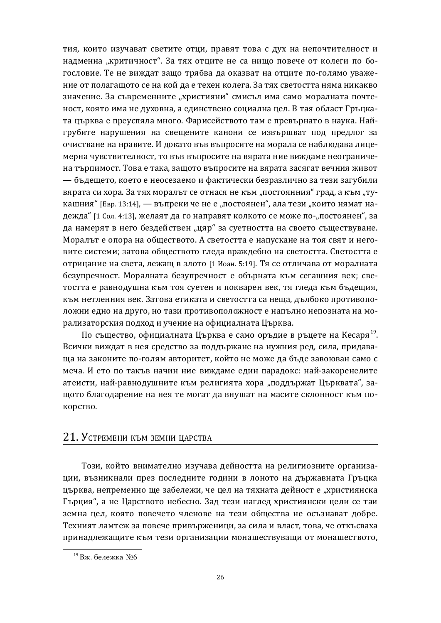тия, които изучават светите отци, правят това с дух на непочтителност и надменна "критичност". За тях отците не са нищо повече от колеги по богословие. Те не виждат зашо трябва да оказват на отците по-голямо уважение от полагащото се на кой да е техен колега. За тях светостта няма никакво значение. За съвременните "християни" смисъл има само моралната почтеност, която има не духовна, а единствено социална цел. В тая област Гръцката пърква е преуспяла много. Фарисейството там е превърнато в наука. Найгрубите нарушения на свещените канони се извършват под предлог за очистване на нравите. И докато във въпросите на морала се наблюдава лицемерна чувствителност, то във въпросите на вярата ние виждаме неограничена търпимост. Това е така, защото въпросите на вярата засягат вечния живот — бъдещето, което е неосезаемо и фактически безразлично за тези загубили вярата си хора. За тях моралът се отнася не към "постоянния" град, а към "тукашния" [Евр. 13:14], — въпреки че не е "постоянен", ала тези "които нямат надежда" [1 Сол. 4:13], желаят да го направят колкото се може по-"постоянен", за да намерят в него бездействен "цяр" за суетността на своето съществуване. Моралът е опора на обществото. А светостта е напускане на тоя свят и неговите системи; затова обществото гледа враждебно на светостта. Светостта е отрицание на света, лежащ в злото [1 Иоан. 5:19]. Тя се отличава от моралната безупречност. Моралната безупречност е обърната към сегашния век; светостта е равнодушна към тоя суетен и покварен век, тя гледа към бъдещия, към нетленния век. Затова етиката и светостта са неща, дълбоко противоположни едно на друго, но тази противоположност е напълно непозната на морализаторския подход и учение на официалната Църква.

По същество, официалната Църква е само оръдие в ръцете на Кесаря<sup>19</sup>. Всички виждат в нея средство за поддържане на нужния ред, сила, придаваща на законите по-голям авторитет, който не може да бъде завоюван само с меча. И ето по такъв начин ние виждаме един парадокс: най-закоренелите атеисти, най-равнодушните към религията хора "поддържат Църквата", защото благодарение на нея те могат да внушат на масите склонност към покорство.

## 21. УСТРЕМЕНИ КЪМ ЗЕМНИ ЦАРСТВА

Този, който внимателно изучава дейността на религиозните организации, възникнали през последните години в лоното на държавната Гръцка църква, непременно ще забележи, че цел на тяхната дейност е "християнска Гърция", а не Царството небесно. Зад тези наглед християнски цели се таи земна цел, която повечето членове на тези общества не осъзнават добре. Техният ламтеж за повече привърженици, за сила и власт, това, че откъсваха принадлежащите към тези организации монашествуващи от монашеството,

 $19$  Вж. бележка  $N$ <sup>06</sup>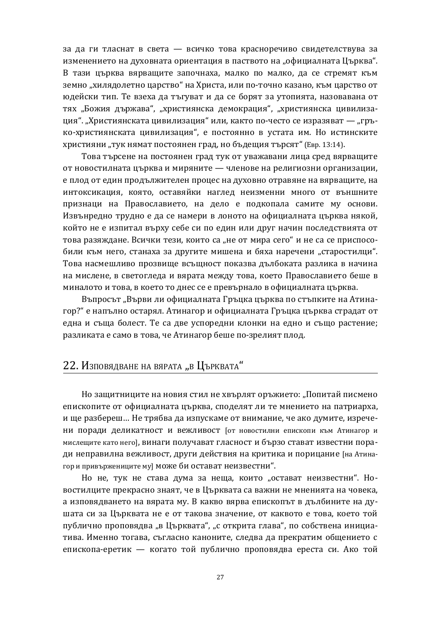за да ги тласнат в света — всичко това красноречиво свидетелствува за изменението на духовната ориентация в паството на "официалната Църква". В тази иърква вярвашите започнаха, малко по малко, да се стремят към земно "хилядолетно царство" на Христа, или по-точно казано, към царство от юдейски тип. Те взеха да тъгуват и да се борят за утопията, назовавана от тях "Божия държава", "християнска демокрация", "християнска цивилизация". "Християнската цивилизация" или, както по-често се изразяват — "гръко-християнската цивилизация", е постоянно в устата им. Но истинските християни "тук нямат постоянен град, но бъдещия търсят" (Евр. 13:14).

Това търсене на постоянен град тук от уважавани лица сред вярващите от новостилната църква и миряните — членове на религиозни организации, е плод от един продължителен процес на духовно отравяне на вярващите, на интоксикация, която, оставяйки наглед неизменни много от външните признаци на Православието, на дело е подкопала самите му основи. Извънредно трудно е да се намери в лоното на официалната църква някой, който не е изпитал върху себе си по един или друг начин последствията от това разяждане. Всички тези, които са "не от мира сего" и не са се приспособили към него, станаха за другите мишена и бяха наречени "старостилци". Това насмешливо прозвище всъщност показва дълбоката разлика в начина на мислене, в светогледа и вярата между това, което Православието беше в миналото и това, в което то днес се е превърнало в официалната църква.

Въпросът "Върви ли официалната Гръцка църква по стъпките на Атинагор?" е напълно остарял. Атинагор и официалната Гръцка църква страдат от една и съща болест. Те са две успоредни клонки на едно и също растение; разликата е само в това, че Атинагор беше по-зрелият плод.

## 22. Изповядване на вярата "в Църквата"

Но защитниците на новия стил не хвърлят оръжието: "Попитай писмено епископите от официалната църква, споделят ли те мнението на патриарха, и ще разбереш... Не трябва да изпускаме от внимание, че ако думите, изречени поради деликатност и вежливост [от новостилни епископи към Атинагор и мислещите като него], винаги получават гласност и бързо стават известни поради неправилна вежливост, други действия на критика и порицание [на Атинагор и привържениците му] може би остават неизвестни".

Но не, тук не става дума за неща, които "остават неизвестни". Новостилците прекрасно знаят, че в Църквата са важни не мненията на човека, а изповядването на вярата му. В какво вярва епископът в дълбините на душата си за Църквата не е от такова значение, от каквото е това, което той публично проповядва "в Църквата", "с открита глава", по собствена инициатива. Именно тогава, съгласно каноните, следва да прекратим общението с епископа-еретик — когато той публично проповядва ереста си. Ако той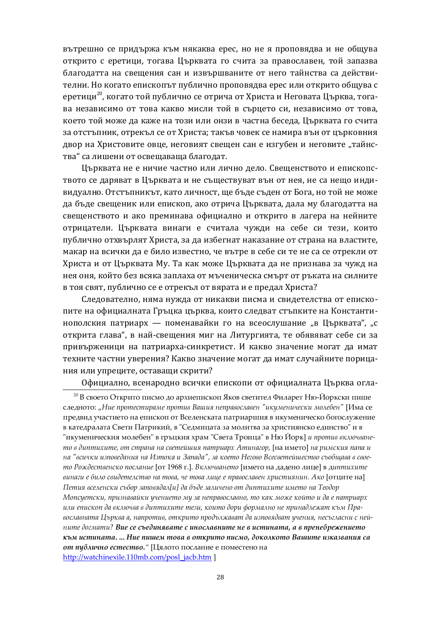вътрешно се придържа към някаква ерес, но не я проповядва и не общува открито с еретици, тогава Църквата го счита за православен, той запазва благолатта на свешения сан и извършваните от него тайнства са действителни. Но когато епископът публично проповядва ерес или открито общува с еретици $^{20}$ , когато той публично се отрича от Христа и Неговата Църква, тогава независимо от това какво мисли той в сърцето си, независимо от това, което той може да каже на този или онзи в частна беседа. Църквата го счита за отстъпник, отрекъл се от Христа; такъв човек се намира вън от църковния двор на Христовите овце, неговият свещен сан е изгубен и неговите "тайнства" са лишени от освещаваща благодат.

Църквата не е ничие частно или лично дело. Свещенството и епископството се даряват в Църквата и не съществуват вън от нея, не са нещо индивидуално. Отстъпникът, като личност, ще бъде съден от Бога, но той не може да бъде свещеник или епископ, ако отрича Църквата, дала му благодатта на свещенството и ако преминава официално и открито в лагера на нейните отрицатели. Църквата винаги е считала чужди на себе си тези, които публично отхвърлят Христа, за да избегнат наказание от страна на властите, макар на всички да е било известно, че вътре в себе си те не са се отрекли от Христа и от Църквата Му. Та как може Църквата да не признава за чужд на нея оня, който без всяка заплаха от мъченическа смърт от ръката на силните в тоя свят, публично се е отрекъл от вярата и е предал Христа?

Следователно, няма нужда от никакви писма и свидетелства от епископите на официалната Гръцка църква, които следват стъпките на Константинополския патриарх — поменавайки го на всеослушание "в Църквата", "с открита глава", в най-свещения миг на Литургията, те обявяват себе си за привърженици на патриарха-синкретист. И какво значение могат да имат техните частни уверения? Какво значение могат да имат случайните порицания или упреците, оставащи скрити?

Официално, всенародно всички епископи от официалната Църква огла-

<sup>&</sup>lt;sup>20</sup> В своето Открито писмо до архиепископ Яков светител Филарет Ню-Йоркски пише следното: "Ние протестираме против Вашия неправославен "икуменически молебен" [Има се предвид участието на епископ от Вселенската патриаршия в икуменическо богослужение в катедралата Свети Патрикий, в "Седмицата за молитва за християнско единство" и в "икуменическия молебен" в гръцкия храм "Света Троица" в Ню Йорк] *и против включване*то в диптихите, от страна на светейшия патриарх Атинагор, [на името] на римския папа и *на "всички изповедания на Изтока и Запада", за което Негово Всесветейшество съобщава в свое*то Рождественско послание [от 1968 г.]. Включването [името на дадено лице] в диптихите *ʵˆˑʲʶˆȱʺȱʴˆˏ˓ȱ˖ʵˆʹʺ˘ʺˏ˖˘ʵ˓ȱˑʲȱ˘˓ʵʲ, ˣʺȱ˘˓ʵʲȱˏˆˢʺȱʺȱ˔˕ʲʵ˓˖ˏʲʵʺˑȱˠ˕ˆ˖˘ˆˮˑˆˑ. ɧˊ˓* ǽ˓˘ˢˆ˘ʺȱˑʲ] Петия вселенски събор заповядал[и] да бъде заличено от диптихите името на Теодор Мопсуетски, признавайки учението му за неправославно, то как може който и да е патриарх *ˆˏˆȱʺ˔ˆ˖ˊ˓˔ȱʹʲȱʵˊˏ˭ˣʵʲȱʵȱʹˆ˔˘ˆˠˆ˘ʺȱ˘ʺ˄ˆ, ˊ˓ˆ˘˓ȱʹ˓˕ˆȱ˟˓˕ːʲˏˑ˓ȱˑʺȱ˔˕ˆˑʲʹˏʺʾʲ˘ȱˊ˨ːȱʆ˕ʲ*вославната Църква а, напротив, открито продължават да изповядват учения, несъгласни с ней*µите доглати? Вие се съединявате с инославните не в истината, а в пренебрежението* <del>*към истината. ... Ние пишем това в открито писмо, доколкото Вашите изказвания са*</del> **от публично естество.**" [Цялото послание е поместено на [http://watchinexile.110mb.com/posl\\_jacb.htm](http://watchinexile.110mb.com/posl_jacb.htm) ]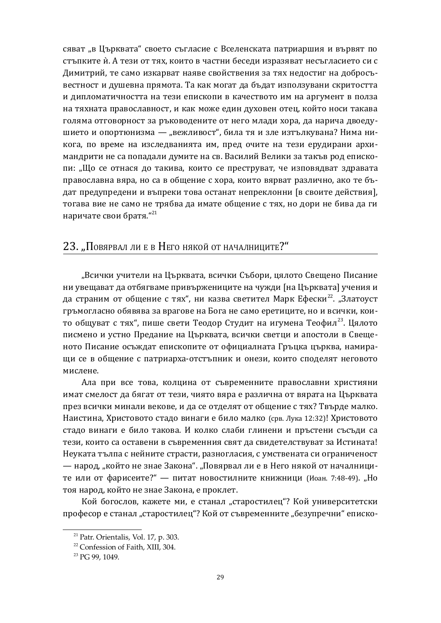сяват "в Църквата" своето съгласие с Вселенската патриаршия и вървят по стъпките ѝ. А тези от тях, които в частни беседи изразяват несъгласието си с Димитрий, те само изкарват наяве свойствения за тях недостиг на добросъвестност и душевна прямота. Та как могат да бъдат използувани скритостта и дипломатичността на тези епископи в качеството им на аргумент в полза на тяхната православност, и как може един духовен отец, който носи такава голяма отговорност за ръководените от него млади хора, да нарича двоедушието и опортюнизма — "вежливост", била тя и зле изтълкувана? Нима никога, по време на изследванията им, пред очите на тези ерудирани архимандрити не са попадали думите на св. Василий Велики за такъв род епископи: "Що се отнася до такива, които се преструват, че изповядват здравата православна вяра, но са в общение с хора, които вярват различно, ако те бъдат предупредени и въпреки това останат непреклонни [в своите действия], тогава вие не само не трябва да имате общение с тях, но дори не бива да ги наричате свои братя."<sup>21</sup>

## 23. "Повярвал ли е в Него някой от началниците?"

"Всички учители на Шърквата, всички Събори, цялото Свешено Писание ни увещават да отбягваме привържениците на чужди [на Църквата] учения и да страним от общение с тях", ни казва светител Марк Ефески<sup>22</sup>. "Златоуст гръмогласно обявява за врагове на Бога не само еретиците, но и всички, които общуват с тях", пише свети Теодор Студит на игумена Теофил<sup>23</sup>. Цялото писмено и устно Предание на Църквата, всички светци и апостоли в Свещеното Писание осъждат епископите от официалната Гръцка църква, намиращи се в общение с патриарха-отстъпник и онези, които споделят неговото мислене.

Ала при все това, колцина от съвременните православни християни имат смелост да бягат от тези, чиято вяра е различна от вярата на Църквата през всички минали векове, и да се отделят от общение с тях? Твърде малко. Наистина, Христовото стадо винаги е било малко (срв. Лука 12:32)! Христовото стадо винаги е било такова. И колко слаби глинени и пръстени съсъди са тези, които са оставени в съвременния свят да свидетелствуват за Истината! Неуката тълпа с нейните страсти, разногласия, с умствената си ограниченост — народ, "който не знае Закона". "Повярвал ли е в Него някой от началниците или от фарисеите?" — питат новостилните книжници (Иоан. 7:48-49). "Но тоя народ, който не знае Закона, е проклет.

Кой богослов, кажете ми, е станал "старостилец"? Кой университетски професор е станал "старостилец"? Кой от съвременните "безупречни" еписко-

 $21$  Patr. Orientalis, Vol. 17, p. 303.

<sup>22</sup> Confession of Faith, XIII, 304.

<sup>&</sup>lt;sup>23</sup> PG 99, 1049.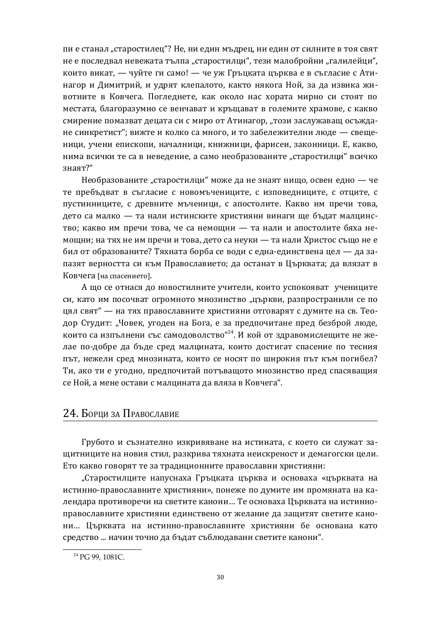пи е станал "старостилец"? Не, ни един мъдрец, ни един от силните в тоя свят не е последвал невежата тълпа "старостилци", тези малобройни "галилейци", които викат, — чуйте ги само! — че уж Гръцката църква е в съгласие с Атинагор и Димитрий, и удрят клепалото, както някога Ной, за да извика животните в Ковчега. Погледнете, как около нас хората мирно си стоят по местата, благоразумно се венчават и кръщават в големите храмове, с какво смирение помазват децата си с миро от Атинагор, "този заслужаващ осъждане синкретист"; вижте и колко са много, и то забележителни люде — свещеници, учени епископи, началници, книжници, фарисеи, законници. Е, какво, нима всички те са в неведение, а само необразованите "старостилци" всичко знаят?"

Необразованите "старостилци" може да не знаят нищо, освен едно — че те пребъдват в съгласие с новомъчениците, с изповедниците, с отците, с пустинниците, с древните мъченици, с апостолите. Какво им пречи това, дето са малко — та нали истинските християни винаги ще бъдат малцинство; какво им пречи това, че са немощни — та нали и апостолите бяха немощни; на тях не им пречи и това, дето са неуки — та нали Христос също не е бил от образованите? Тяхната борба се води с една-единствена цел — да запазят верността си към Православието; да останат в Църквата; да влязат в Ковчега [на спасението].

А що се отнася до новостилните учители, които успокояват учениците си, като им посочват огромното мнозинство "църкви, разпространили се по цял свят" — на тях православните християни отговарят с думите на св. Теодор Студит: "Човек, угоден на Бога, е за предпочитане пред безброй люде, които са изпълнени със самодоволство"<sup>24</sup>. И кой от здравомислещите не желае по-добре да бъде сред малцината, които достигат спасение по тесния път, нежели сред мнозината, които се носят по широкия път към погибел? Ти, ако ти е угодно, предпочитай потъващото мнозинство пред спасяващия се Ной, а мене остави с малцината да вляза в Ковчега".

## 24. Борци за Православие

Грубото и съзнателно изкривяване на истината, с което си служат защитниците на новия стил, разкрива тяхната неискреност и демагогски цели. Ето какво говорят те за традиционните православни християни:

"Старостилците напуснаха Гръцката църква и основаха «църквата на истинно-православните християни», понеже по думите им промяната на календара противоречи на светите канони... Те основаха Църквата на истинноправославните християни единствено от желание да защитят светите канони... Църквата на истинно-православните християни бе основана като средство ... начин точно да бъдат съблюдавани светите канони".

<sup>&</sup>lt;sup>24</sup> PG 99, 1081C.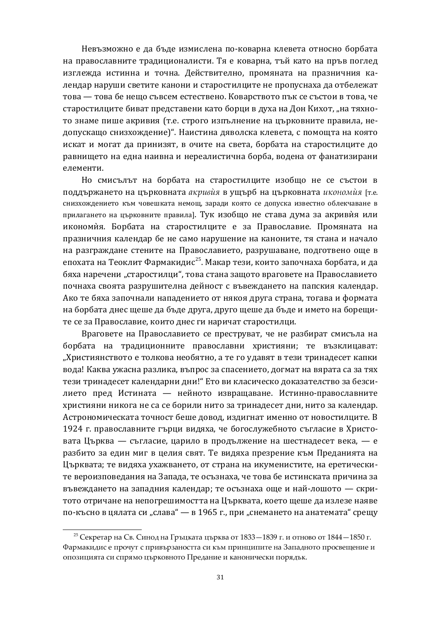Невъзможно е да бъде измислена по-коварна клевета относно борбата на православните традиционалисти. Тя е коварна, тъй като на пръв поглед изглежда истинна и точна. Действително, промяната на празничния календар наруши светите канони и старостилците не пропуснаха да отбележат това — това бе нещо съвсем естествено. Коварството пък се състои в това, че старостилците биват представени като борци в духа на Дон Кихот, "на тяхното знаме пише акривия (т.е. строго изпълнение на църковните правила, недопускащо снизхождение)". Наистина дяволска клевета, с помощта на която искат и могат да принизят, в очите на света, борбата на старостилците до равнището на една наивна и нереалистична борба, водена от фанатизирани елементи.

Но смисълът на борбата на старостилците изобщо не се състои в поддържането на църковната *акривия* в ущърб на църковната икономия [т.е. снизхождението към човешката немощ, заради която се допуска известно облекчаване в прилагането на църковните правила]. Тук изобщо не става дума за акривѝя или икономия. Борбата на старостилците е за Православие. Промяната на празничния календар бе не само нарушение на каноните, тя стана и начало на разграждане стените на Православието, разрушаване, подготвено още в епохата на Теоклит Фармакидис<sup>25</sup>. Макар тези, които започнаха борбата, и да бяха наречени "старостилци", това стана зашото враговете на Православието почнаха своята разрушителна дейност с въвеждането на папския календар. Ако те бяха започнали нападението от някоя друга страна, тогава и формата на борбата днес щеше да бъде друга, друго щеше да бъде и името на борещите се за Православие, които днес ги наричат старостилци.

Враговете на Православието се преструват, че не разбират смисъла на борбата на традиционните православни християни: те възклицават: "Християнството е толкова необятно, а те го удавят в тези тринадесет капки вода! Каква ужасна разлика, въпрос за спасението, догмат на вярата са за тях тези тринадесет календарни дни!" Ето ви класическо доказателство за безсилието пред Истината — нейното извращаване. Истинно-православните християни никога не са се борили нито за тринадесет дни, нито за календар. Астрономическата точност беше довод, издигнат именно от новостилците. В 1924 г. православните гърци видяха, че богослужебното съгласие в Христовата Църква — съгласие, царило в продължение на шестнадесет века, — е разбито за един миг в целия свят. Те видяха презрение към Преданията на Църквата; те видяха ухажването, от страна на икуменистите, на еретическите вероизповедания на Запада, те осъзнаха, че това бе истинската причина за въвеждането на западния календар; те осъзнаха още и най-лошото - скритото отричане на непогрешимостта на Църквата, което щеше да излезе наяве по-късно в цялата си "слава" — в 1965 г., при "снемането на анатемата" срещу

<sup>&</sup>lt;sup>25</sup> Секретар на Св. Синод на Гръцката църква от 1833—1839 г. и отново от 1844—1850 г. Фармакидисе прочут с привързаността си към принципите на Западното просвещение и опозицията си спрямо църковното Предание и канонически порядък.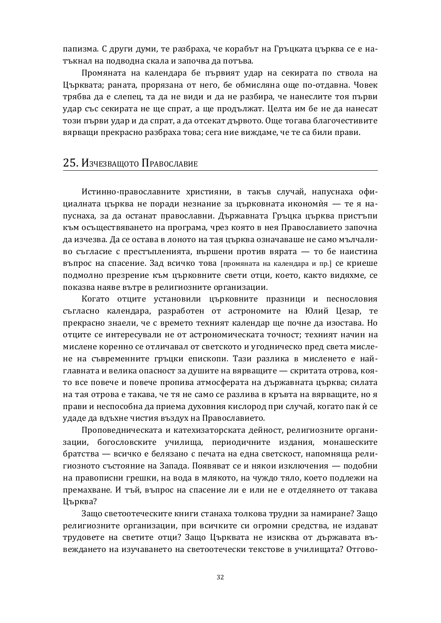папизма. С други думи, те разбраха, че корабът на Гръцката църква се е натъкнал на подводна скала и започва да потъва.

Промяната на календара бе първият удар на секирата по ствола на Църквата; раната, прорязана от него, бе обмисляна още по-отдавна. Човек трябва да е слепец, та да не види и да не разбира, че нанеслите тоя първи удар със секирата не ще спрат, а ще продължат. Целта им бе не да нанесат този първи удар и да спрат, а да отсекат дървото. Още тогава благочестивите вярващи прекрасно разбраха това; сега ние виждаме, че те са били прави.

## 25. Изчезващото Православие

Истинно-православните християни, в такъв случай, напуснаха официалната църква не поради незнание за църковната икономия — те я напуснаха, за да останат православни. Държавната Гръцка църква пристъпи към осъществяването на програма, чрез която в нея Православието започна да изчезва. Да се остава в лоното на тая църква означаваше не само мълчаливо съгласие с престъпленията, вършени против вярата — то бе наистина въпрос на спасение. Зад всичко това [промяната на календара и пр.] се криеше подмолно презрение към църковните свети отци, което, както видяхме, се показва наяве вътре в религиозните организации.

Когато отците установили църковните празници и песнословия съгласно календара, разработен от астрономите на Юлий Цезар, те прекрасно знаели, че с времето техният календар ще почне да изостава. Но отците се интересували не от астрономическата точност; техният начин на мислене коренно се отличавал от светското и угодническо пред света мислене на съвременните гръцки епископи. Тази разлика в мисленето е найглавната и велика опасност за душите на вярващите — скритата отрова, която все повече и повече пропива атмосферата на държавната църква; силата на тая отрова е такава, че тя не само се разлива в кръвта на вярващите, но я прави и неспособна да приема духовния кислород при случай, когато пак ѝ се удаде да вдъхне чистия въздух на Православието.

Проповедническата и катехизаторската дейност, религиозните организации, богословските училища, периодичните издания, монашеските братства — всичко е белязано с печата на една светскост, напомняща религиозното състояние на Запада. Появяват се и някои изключения — подобни на правописни грешки, на вода в млякото, на чуждо тяло, което подлежи на премахване. И тъй, въпрос на спасение ли е или не е отделянето от такава Църква?

Защо светоотеческите книги станаха толкова трудни за намиране? Защо религиозните организации, при всичките си огромни средства, не издават трудовете на светите отци? Защо Църквата не изисква от държавата въвеждането на изучаването на светоотечески текстове в училищата? Отгово-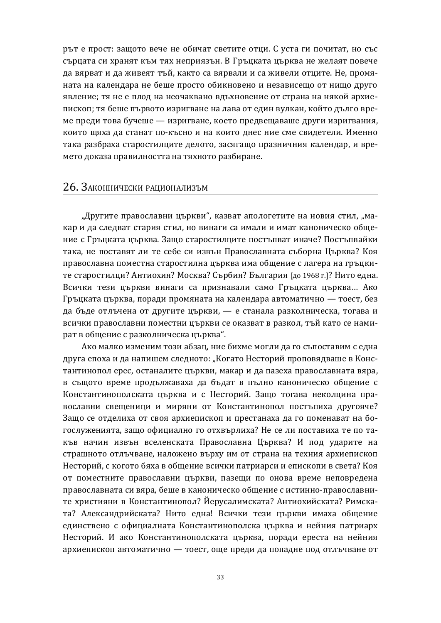рът е прост: защото вече не обичат светите отци. С уста ги почитат, но със сърцата си хранят към тях неприязън. В Гръцката църква не желаят повече да вярват и да живеят тъй, както са вярвали и са живели отците. Не, промяната на календара не беше просто обикновено и независещо от нищо друго явление; тя не е плод на неочаквано вдъхновение от страна на някой архиепископ; тя беше първото изригване на лава от един вулкан, който дълго време преди това бучеше — изригване, което предвещаваше други изригвания, които щяха да станат по-късно и на които днес ние сме свидетели. Именно така разбраха старостилците делото, засягащо празничния календар, и времето доказа правилността на тяхното разбиране.

#### 26. ЗАКОННИЧЕСКИ РАЦИОНАЛИЗЪМ

"Другите православни църкви", казват апологетите на новия стил, "макар и да следват стария стил, но винаги са имали и имат каноническо общение с Гръцката църква. Защо старостилците постъпват иначе? Постъпвайки така, не поставят ли те себе си извън Православната съборна Църква? Коя православна поместна старостилна църква има общение с лагера на гръцките старостилци? Антиохия? Москва? Сърбия? България [до 1968 г.]? Нито една. Всички тези църкви винаги са признавали само Гръцката църква... Ако Гръцката църква, поради промяната на календара автоматично — тоест, без да бъде отлъчена от другите църкви, — е станала разколническа, тогава и всички православни поместни църкви се оказват в разкол, тъй като се намират в общение с разколническа църква".

Ако малко изменим този абзац, ние бихме могли да го съпоставим с една друга епоха и да напишем следното: "Когато Несторий проповядваше в Константинопол ерес, останалите църкви, макар и да пазеха православната вяра, в същото време продължаваха да бъдат в пълно каноническо общение с Константинополската църква и с Несторий. Защо тогава неколцина православни свещеници и миряни от Константинопол постъпиха другояче? Защо се отделиха от своя архиепископ и престанаха да го поменават на богослуженията, защо официално го отхвърлиха? Не се ли поставиха те по такъв начин извън вселенската Православна Църква? И под ударите на страшното отлъчване, наложено върху им от страна на техния архиепископ Несторий, с когото бяха в общение всички патриарси и епископи в света? Коя от поместните православни църкви, пазещи по онова време неповредена православната си вяра, беше в каноническо общение с истинно-православните християни в Константинопол? Йерусалимската? Антиохийската? Римската? Александрийската? Нито една! Всички тези църкви имаха общение елинствено с официалната Константинополска църква и нейния патриарх Несторий. И ако Константинополската църква, поради ереста на нейния архиепископ автоматично — тоест, още преди да попадне под отлъчване от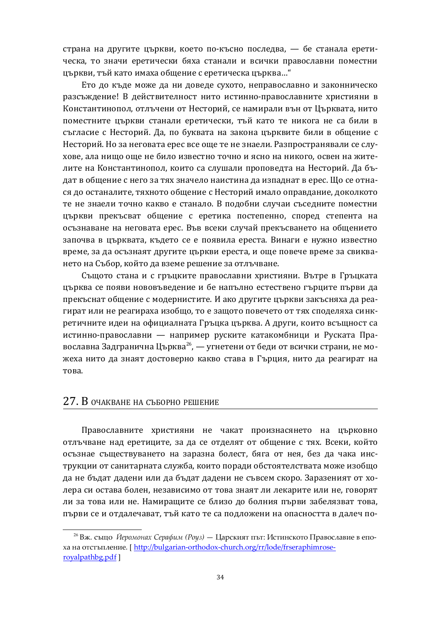страна на другите църкви, което по-късно последва, — бе станала еретическа, то значи еретически бяха станали и всички православни поместни църкви, тъй като имаха общение с еретическа църква..."

Ето до къде може да ни доведе сухото, неправославно и законническо разсъждение! В действителност нито истинно-православните християни в Константинопол, отлъчени от Несторий, се намирали вън от Църквата, нито поместните църкви станали еретически, тъй като те никога не са били в съгласие с Несторий. Да, по буквата на закона църквите били в общение с Несторий. Но за неговата ерес все още те не знаели. Разпространявали се слухове, ала нищо още не било известно точно и ясно на никого, освен на жителите на Константинопол, които са слушали проповедта на Несторий. Да бъдат в общение с него за тях значело наистина да изпаднат в ерес. Що се отнася до останалите, тяхното общение с Несторий имало оправдание, доколкото те не знаели точно какво е станало. В подобни случаи съседните поместни църкви прекъсват общение с еретика постепенно, според степента на осъзнаване на неговата ерес. Във всеки случай прекъсването на общението започва в църквата, където се е появила ереста. Винаги е нужно известно време, за да осъзнаят другите църкви ереста, и още повече време за свикването на Събор, който да вземе решение за отлъчване.

Същото стана и с гръцките православни християни. Вътре в Гръцката църква се появи нововъведение и бе напълно естествено гърците първи да прекъснат общение с модернистите. И ако другите църкви закъсняха да реагират или не реагираха изобщо, то е защото повечето от тях споделяха синкретичните идеи на официалната Гръцка църква. А други, които всъщност са истинно-православни — например руските катакомбници и Руската Православна Задгранична Църква<sup>26</sup>, — угнетени от беди от всички страни, не можеха нито да знаят достоверно какво става в Гърция, нито да реагират на това.

### 27. В очакване на съборно решение

Православните християни не чакат произнасянето на църковно отлъчване над еретиците, за да се отделят от общение с тях. Всеки, който осъзнае съществуването на заразна болест, бяга от нея, без да чака инструкции от санитарната служба, които поради обстоятелствата може изобщо да не бъдат дадени или да бъдат дадени не съвсем скоро. Заразеният от холера си остава болен, независимо от това знаят ли лекарите или не, говорят ли за това или не. Намиращите се близо до болния първи забелязват това, първи се и отдалечават, тъй като те са подложени на опасността в далеч по-

<sup>&</sup>lt;sup>26</sup> Вж. също *Йеромонах Серафим (Роуз)* — Царският път: Истинското Православие в епоха на отстъпление. [ [http://bulgarian-orthodox-church.org/rr/lode/frseraphimrose](http://bulgarian-orthodox-church.org/rr/lode/frseraphimrose-)royalpathbg.pdf ]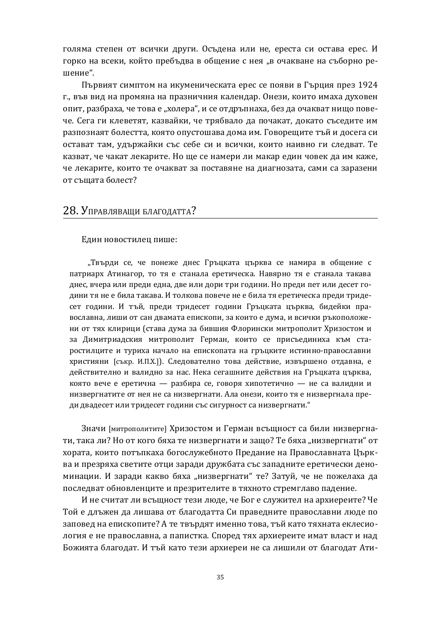голяма степен от всички други. Осъдена или не, ереста си остава ерес. И горко на всеки, който пребъдва в общение с нея "в очакване на съборно решение".

Първият симптом на икуменическата ерес се появи в Гърция през 1924 г., във вид на промяна на празничния календар. Онези, които имаха духовен опит, разбраха, че това е "холера", и се отдръпнаха, без да очакват нищо повече. Сега ги клеветят, казвайки, че трябвало да почакат, докато съседите им разпознаят болестта, която опустошава дома им. Говорещите тъй и досега си остават там, удържайки със себе си и всички, които наивно ги следват. Те казват, че чакат лекарите. Но ще се намери ли макар един човек да им каже, че лекарите, които те очакват за поставяне на диагнозата, сами са заразени от същата болест?

### 28. Управляващи благодатта?

Един новостилец пише:

"Твърди се, че понеже днес Гръцката църква се намира в общение с патриарх Атинагор, то тя е станала еретическа. Навярно тя е станала такава днес, вчера или преди една, две или дори три години. Но преди пет или десет години тя не е била такава. И толкова повече не е била тя еретическа преди тридесет години. И тъй, преди тридесет години Гръцката църква, бидейки православна, лиши от сан двамата епископи, за които е дума, и всички ръкоположени от тях клирици (става дума за бившия Флорински митрополит Хризостом и за Димитриадския митрополит Герман, които се присъединиха към старостилците и туриха начало на епископата на гръцките истинно-православни християни [съкр. И.П.Х.]). Следователно това действие, извършено отдавна, е действително и валидно за нас. Нека сегашните действия на Гръцката църква, която вече е еретична — разбира се, говоря хипотетично — не са валидни и низвергнатите от нея не са низвергнати. Ала онези, които тя е низвергнала преди двадесет или тридесет години със сигурност са низвергнати."

Значи [митрополитите] Хризостом и Герман всъщност са били низвергнати, така ли? Но от кого бяха те низвергнати и защо? Те бяха "низвергнати" от хората, които потъпкаха богослужебното Предание на Православната Църква и презряха светите отци заради дружбата със западните еретически деноминации. И заради какво бяха "низвергнати" те? Затуй, че не пожелаха да последват обновленците и презрителите в тяхното стремглаво падение.

И не считат ли всъщност тези люде, че Бог е служител на архиереите? Че Той е длъжен да лишава от благодатта Си праведните православни люде по заповед на епископите? А те твърдят именно това, тъй като тяхната еклесиология е не православна, а папистка. Според тях архиереите имат власт и над Божията благодат. И тъй като тези архиереи не са лишили от благодат Ати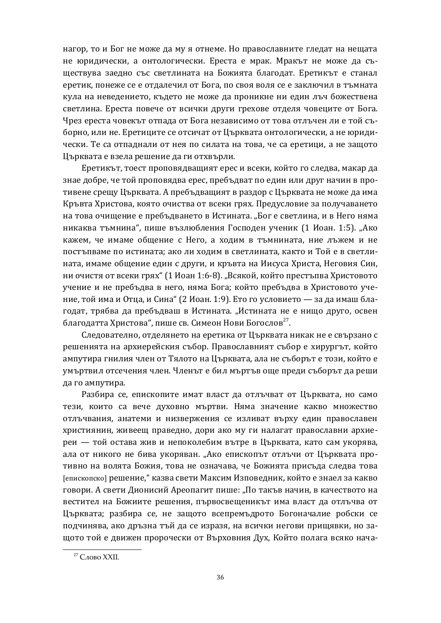нагор, то и Бог не може да му я отнеме. Но православните гледат на нещата не юридически, а онтологически. Ереста е мрак. Мракът не може да съществува заедно със светлината на Божията благодат. Еретикът е станал еретик, понеже се е отдалечил от Бога, по своя воля се е заключил в тъмната кула на неведението, където не може да проникне ни един лъч божествена светлина. Ереста повече от всички други грехове отделя човеците от Бога. Чрез ереста човекът отпада от Бога независимо от това отлъчен ли е той съборно, или не. Еретиците се отсичат от Църквата онтологически, а не юридически. Те са отпаднали от нея по силата на това, че са еретици, а не защото Църквата е взела решение да ги отхвърли.

Еретикът, тоест проповядващият ерес и всеки, който го следва, макар да знае добре, че той проповядва ерес, пребъдват по един или друг начин в противене срещу Църквата. А пребъдващият в раздор с Църквата не може да има Кръвта Христова, която очиства от всеки грях. Предусловие за получаването на това очищение е пребъдването в Истината. "Бог е светлина, и в Него няма никаква тъмнина", пише възлюбления Господен ученик (1 Иоан. 1:5). "Ако кажем, че имаме общение с Него, а ходим в тъмнината, ние лъжем и не постъпваме по истината; ако ли ходим в светлината, както и Той е в светлината, имаме общение един с други, и кръвта на Иисуса Христа, Неговия Син, ни очистя от всеки грях" (1 Иоан 1:6-8). "Всякой, който престъпва Христовото учение и не пребъдва в него, няма Бога; който пребъдва в Христовото учение, той има и Отца, и Сина" (2 Иоан. 1:9). Ето го условието — за да имаш благодат, трябва да пребъдваш в Истината. "Истината не е нищо друго, освен благодатта Христова", пише св. Симеон Нови Богослов<sup>27</sup>.

Следователно, отделянето на еретика от Църквата никак не е свързано с решенията на архиерейския събор. Православният събор е хирургът, който ампутира гнилия член от Тялото на Църквата, ала не съборът е този, който е умъртвил отсечения член. Членът е бил мъртъв още преди съборът да реши да го ампутира.

Разбира се, епископите имат власт да отлъчват от Църквата, но само тези, които са вече духовно мъртви. Няма значение какво множество отлъчвания, анатеми и низвержения се изливат върху един православен християнин, живеещ праведно, дори ако му ги налагат православни архиереи — той остава жив и непоколебим вътре в Църквата, като сам укорява, ала от никого не бива укоряван. "Ако епископът отлъчи от Църквата противно на волята Божия, това не означава, че Божията присъда следва това [епископско] решение, "казва свети Максим Изповедник, който е знаел за какво говори. А свети Дионисий Ареопагит пише: "По такъв начин, в качеството на вестител на Божиите решения, първосвещеникът има власт да отлъчва от Църквата; разбира се, не защото всепремъдрото Богоначалие робски се подчинява, ако дръзна тъй да се изразя, на всички негови прищявки, но защото той е движен пророчески от Върховния Дух, Който полага всяко нача-

 $27$  Слово XXII.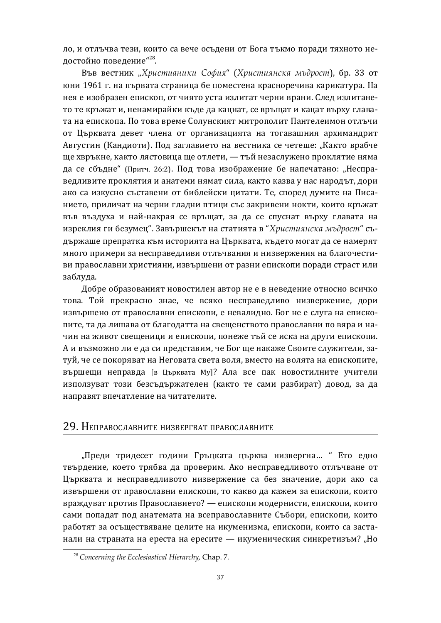ло, и отлъчва тези, които са вече осъдени от Бога тъкмо поради тяхното недостойно поведение"<sup>28</sup>.

Във вестник "Христианики София" (Християнска мъдрост), бр. 33 от юни 1961 г. на първата страница бе поместена красноречива карикатура. На нея е изобразен епископ, от чиято уста излитат черни врани. След излитането те кръжат и, ненамирайки къде да кацнат, се връщат и кацат върху главата на епископа. По това време Солунският митрополит Пантелеимон отлъчи от Църквата девет члена от организацията на тогавашния архимандрит Августин (Кандиоти). Под заглавието на вестника се четеше: "Както врабче ще хвръкне, както лястовица ще отлети, — тъй незаслужено проклятие няма да се сбъдне" (Притч. 26:2). Под това изображение бе напечатано: "Несправедливите проклятия и анатеми нямат сила, както казва у нас народът, дори ако са изкусно съставени от библейски цитати. Те, според думите на Писанието, приличат на черни гладни птици със закривени нокти, които кръжат във въздуха и най-накрая се връщат, за да се спуснат върху главата на изреклия ги безумец". Завършекът на статията в "Християнска мъдрост" съдържаше препратка към историята на Църквата, където могат да се намерят много примери за несправедливи отлъчвания и низвержения на благочестиви православни християни, извършени от разни епископи поради страст или заблуда.

Добре образованият новостилен автор не е в неведение относно всичко това. Той прекрасно знае, че всяко несправедливо низвержение, дори извършено от православни епископи, е невалидно. Бог не е слуга на епископите, та да лишава от благодатта на свещенството православни по вяра и начин на живот свешеници и епископи, понеже тъй се иска на други епископи. А и възможно ли е да си представим, че Бог ще накаже Своите служители, затуй, че се покоряват на Неговата света воля, вместо на волята на епископите, вършещи неправда [в Църквата Му]? Ала все пак новостилните учители използуват този безсъдържателен (както те сами разбират) довод, за да направят впечатление на читателите.

## 29. НЕПРАВОСЛАВНИТЕ НИЗВЕРГВАТ ПРАВОСЛАВНИТЕ

"Преди тридесет години Гръцката църква низвергна... " Ето едно твърдение, което трябва да проверим. Ако несправедливото отлъчване от Църквата и несправедливото низвержение са без значение, дори ако са извършени от православни епископи, то какво да кажем за епископи, които враждуват против Православието? — епископи модернисти, епископи, които сами попалат пол анатемата на всеправославните Събори, епископи, които работят за осъществяване целите на икуменизма, епископи, които са застанали на страната на ереста на ересите — икуменическия синкретизъм? "Но

<sup>28</sup> *Concerning the Ecclesiastical Hierarchy*, Chap. 7.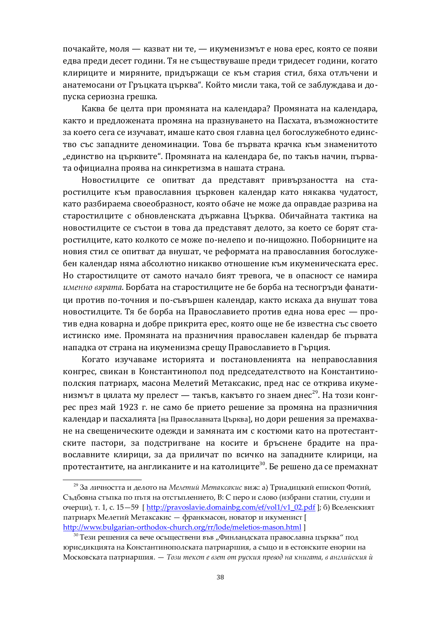почакайте, моля — казват ни те, — икуменизмът е нова ерес, която се появи едва преди десет години. Тя не съществуваше преди тридесет години, когато клириците и миряните, придържащи се към стария стил, бяха отлъчени и анатемосани от Гръцката църква". Който мисли така, той се заблуждава и допуска сериозна грешка.

Каква бе целта при промяната на календара? Промяната на календара, както и предложената промяна на празнуването на Пасхата, възможностите за което сега се изучават, имаше като своя главна цел богослужебното единство със западните деноминации. Това бе първата крачка към знаменитото "единство на църквите". Промяната на календара бе, по такъв начин, първата официална проява на синкретизма в нашата страна.

Новостилците се опитват да представят привързаността на старостилците към православния църковен календар като някаква чудатост, като разбираема своеобразност, която обаче не може да оправдае разрива на старостилците с обновленската държавна Църква. Обичайната тактика на новостилците се състои в това да представят делото, за което се борят старостилците, като колкото се може по-нелепо и по-нищожно. Поборниците на новия стил се опитват да внушат, че реформата на православния богослужебен календар няма абсолютно никакво отношение към икуменическата ерес. Но старостилците от самото начало бият тревога, че в опасност се намира *именно вярата*. Борбата на старостилците не бе борба на тесногръди фанатици против по-точния и по-съвършен календар, както искаха да внушат това новостилците. Тя бе борба на Православието против една нова ерес — против една коварна и добре прикрита ерес, която още не бе известна със своето истинско име. Промяната на празничния православен календар бе първата нападка от страна на икуменизма срещу Православието в Гърция.

Когато изучаваме историята и постановленията на неправославния конгрес, свикан в Константинопол под председателството на Константинополския патриарх, масона Мелетий Метаксакис, пред нас се открива икуменизмът в цялата му прелест — такъв, какъвто го знаем днес<sup>29</sup>. На този конгрес през май 1923 г. не само бе прието решение за промяна на празничния календар и пасхалията [на Православната Църква], но дори решения за премахване на свещеническите одежди и замяната им с костюми като на протестантските пастори, за подстригване на косите и бръснене брадите на православните клирици, за да приличат по всичко на западните клирици, на протестантите, на англиканите и на католиците<sup>30</sup>. Бе решено да се премахнат

<sup>&</sup>lt;sup>29</sup> За личността и делото на Мелетий Метаксакис виж: а) Триадицкий епископ Фотий, Съдбовна стъпка по пътя на отстъплението, В: С перо и слово (избрани статии, студии и очерци), т. 1, с. 15—59 [ [http://pravoslavie.domainbg.com/ef/vol1/v1\\_02.pdf](http://pravoslavie.domainbg.com/ef/vol1/v1_02.pdf) ]; б) Вселенският патриарх Мелетий Метаксакис — франкмасон, новатор и икуменист [ <http://www.bulgarian-orthodox-church.org/rr/lode/meletios-mason.html> ]

 $^{30}$ Тези решения са вече осъществени във "Финландската православна църква" под юрисдикцията на Константинополската патриаршия, а също и в естонските енории на Московската патриаршия. — *Този текст е взет от руския превод на книгата*, в английския ѝ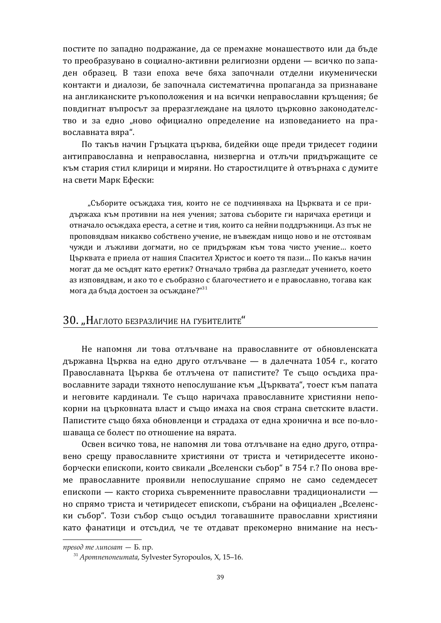постите по западно подражание, да се премахне монашеството или да бъде то преобразувано в социално-активни религиозни ордени — всичко по западен образец. В тази епоха вече бяха започнали отделни икуменически контакти и диалози, бе започнала систематична пропаганда за признаване на англиканските ръкоположения и на всички неправославни кръщения; бе повдигнат въпросът за преразглеждане на цялото църковно законодателство и за едно "ново официално определение на изповеданието на православната вяра".

По такъв начин Гръцката църква, бидейки още преди тридесет години антиправославна и неправославна, низвергна и отлъчи придържащите се към стария стил клирици и миряни. Но старостилците ѝ отвърнаха с думите на свети Марк Ефески:

"Съборите осъждаха тия, които не се подчиняваха на Църквата и се придържаха към противни на нея учения; затова съборите ги наричаха еретици и отначало осъждаха ереста, а сетне и тия, които са нейни поддръжници. Аз пък не проповядвам никакво собствено учение, не въвеждам нищо ново и не отстоявам чужди и лъжливи догмати, но се придържам към това чисто учение... което Църквата е приела от нашия Спасител Христос и което тя пази... По какъв начин могат да ме осъдят като еретик? Отначало трябва да разгледат учението, което аз изповялвам, и ако то е съобразно с благочестието и е православно, тогава как мога да бъда достоен за осъждане?"<sup>31</sup>

## ЗО. "НАГЛОТО БЕЗРАЗЛИЧИЕ НА ГУБИТЕЛИТЕ"

Не напомня ли това отлъчване на православните от обновленската държавна Църква на едно друго отлъчване — в далечната 1054 г., когато Православната Църква бе отлъчена от папистите? Те също осъдиха православните заради тяхното непослушание към "Църквата", тоест към папата и неговите кардинали. Те също наричаха православните християни непокорни на църковната власт и също имаха на своя страна светските власти. Папистите също бяха обновленци и страдаха от една хронична и все по-влошаваща се болест по отношение на вярата.

Освен всичко това, не напомня ли това отлъчване на едно друго, отправено срещу православните християни от триста и четиридесетте иконоборчески епископи, които свикали "Вселенски събор" в 754 г.? По онова време православните проявили непослушание спрямо не само седемдесет епископи — както сториха съвременните православни традиционалисти – но спрямо триста и четиридесет епископи, събрани на официален "Вселенски събор". Този събор също осъдил тогавашните православни християни като фанатици и отсъдил, че те отдават прекомерно внимание на несъ-

превод те липсват - Б. пр.

<sup>31</sup> *Apomnenoneumata*, Sylvester Syropoulos, X, 15–16.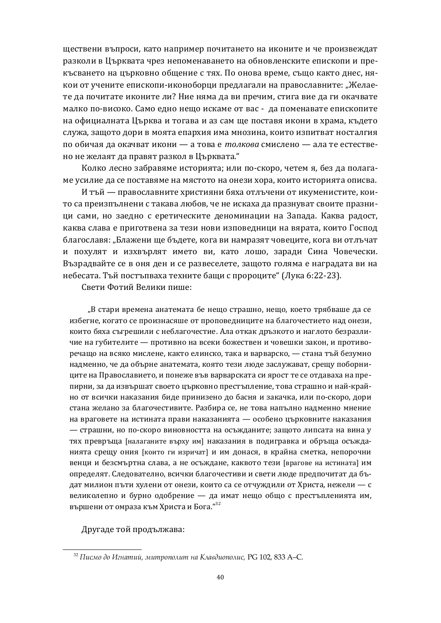ществени въпроси, като например почитането на иконите и че произвеждат разколи в Църквата чрез непоменаването на обновленските епископи и прекъсването на църковно общение с тях. По онова време, също както днес, някои от учените епископи-иконоборци предлагали на православните: "Желаете да почитате иконите ли? Ние няма да ви пречим, стига вие да ги окачвате малко по-високо. Само едно нещо искаме от вас - да поменавате епископите на официалната Църква и тогава и аз сам ще поставя икони в храма, където служа, защото дори в моята епархия има мнозина, които изпитват носталгия по обичая да окачват икони - а това е *толкова* смислено - ала те естествено не желаят да правят разкол в Църквата."

Колко лесно забравяме историята; или по-скоро, четем я, без да полагаме усилие да се поставяме на мястото на онези хора, които историята описва.

И тъй — православните християни бяха отлъчени от икуменистите, които са преизпълнени с такава любов, че не искаха да празнуват своите празници сами, но заедно с еретическите деноминации на Запада. Каква радост, каква слава е приготвена за тези нови изповедници на вярата, които Господ благославя: "Блажени ще бъдете, кога ви намразят човеците, кога ви отлъчат и похулят и изхвърлят името ви, като лошо, заради Сина Човечески. Възрадвайте се в оня ден и се развеселете, защото голяма е наградата ви на небесата. Тъй постъпваха техните бащи с пророците" (Лука 6:22-23).

Свети Фотий Велики пише:

"В стари времена анатемата бе нещо страшно, нещо, което трябваше да се избегне, когато се произнасяше от проповедниците на благочестието над онези, които бяха съгрешили с неблагочестие. Ала откак дръзкото и наглото безразличие на губителите — противно на всеки божествен и човешки закон, и противоречащо на всяко мислене, както елинско, така и варварско, — стана тъй безумно надменно, че да обърне анатемата, която тези люде заслужават, срещу поборниците на Православието, и понеже във варварската си ярост те се отдаваха на препирни, за да извършат своето църковно престъпление, това страшно и най-крайно от всички наказания биде принизено до басня и закачка, или по-скоро, дори стана желано за благочестивите. Разбира се, не това напълно надменно мнение на враговете на истината прави наказанията — особено църковните наказания — страшни, но по-скоро виновността на осъжданите; защото липсата на вина у тях превръща [налаганите върху им] наказания в подигравка и обръща осъжданията срещу ония [които ги изричат] и им донася, в крайна сметка, непорочни венци и безсмъртна слава, а не осъждане, каквото тези [врагове на истината] им определят. Следователно, всички благочестиви и свети люде предпочитат да бъдат милион пъти хулени от онези, които са се отчуждили от Христа, нежели – с великолепно и бурно одобрение — да имат нещо общо с престъпленията им, вършени от омраза към Христа и Бога."<sup>32</sup>

Другаде той продължава:

<sup>&</sup>lt;sup>32</sup> Писмо до Игнатий, митрополит на Клавдиополис, PG 102, 833 A–C.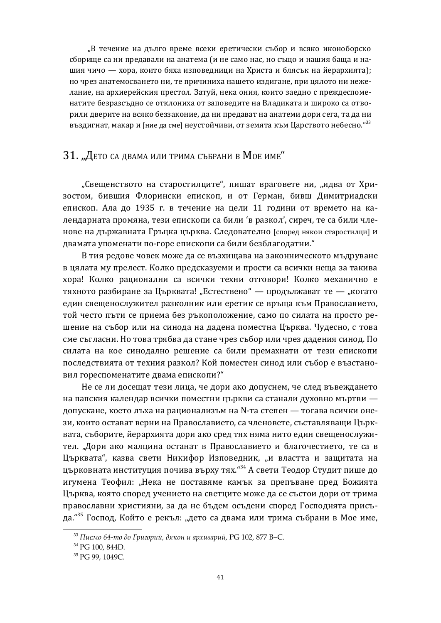"В течение на дълго време всеки еретически събор и всяко иконоборско сборище са ни предавали на анатема (и не само нас, но също и нашия баща и нашия чичо — хора, които бяха изповедници на Христа и блясък на йерархията); но чрез анатемосването ни, те причиниха нашето издигане, при цялото ни нежелание, на архиерейския престол. Затуй, нека ония, които заедно с преждеспоменатите безразсъдно се отклониха от заповедите на Владиката и широко са отворили дверите на всяко беззаконие, да ни предават на анатеми дори сега, та да ни въздигнат, макар и [ние да сме] неустойчиви, от земята към Царството небесно."<sup>33</sup>

#### З1. "Дето са двама или трима събрани в Мое име"

"Свещенството на старостилците", пишат враговете ни, "идва от Хризостом, бившия Флорински епископ, и от Герман, бивш Димитриадски епископ. Ала до 1935 г. в течение на цели 11 години от времето на календарната промяна, тези епископи са били 'в разкол', сиреч, те са били членове на държавната Гръцка църква. Следователно [според някои старостилци] и двамата упоменати по-горе епископи са били безблагодатни."

В тия редове човек може да се възхищава на законническото мъдруване в цялата му прелест. Колко предсказуеми и прости са всички неща за такива хора! Колко рационални са всички техни отговори! Колко механично е тяхното разбиране за Църквата! "Естествено" — продължават те — "когато един свещенослужител разколник или еретик се връща към Православието, той често пъти се приема без ръкоположение, само по силата на просто решение на събор или на синода на дадена поместна Църква. Чудесно, с това сме съгласни. Но това трябва да стане чрез събор или чрез дадения синод. По силата на кое синодално решение са били премахнати от тези епископи последствията от техния разкол? Кой поместен синод или събор е възстановил гореспоменатите двама епископи?"

Не се ли досещат тези лица, че дори ако допуснем, че след въвеждането на папския календар всички поместни църкви са станали духовно мъртви допускане, което лъха на рационализъм на N-та степен — тогава всички онези, които остават верни на Православието, са членовете, съставляващи Църквата, съборите, йерархията дори ако сред тях няма нито един свещенослужител. "Дори ако малцина останат в Православието и благочестието, те са в Църквата", казва свети Никифор Изповедник, "и властта и защитата на църковната институция почива върху тях."<sup>34</sup> А свети Теодор Студит пише до игумена Теофил: "Нека не поставяме камък за препъване пред Божията Църква, която според учението на светците може да се състои дори от трима православни християни, за да не бъдем осъдени според Господнята присъда."<sup>35</sup> Господ, Който е рекъл: "дето са двама или трима събрани в Мое име,

<sup>&</sup>lt;sup>33</sup> Писмо 64-то до Григорий, дякон и архиварий, PG 102, 877 B–C.

<sup>&</sup>lt;sup>34</sup> PG 100, 844D.

<sup>&</sup>lt;sup>35</sup> PG 99, 1049C.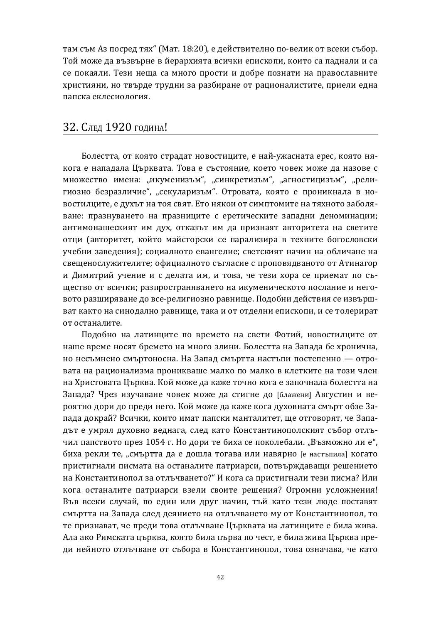там съм Аз посред тях" (Мат. 18:20), е действително по-велик от всеки събор. Той може да възвърне в йерархията всички епископи, които са паднали и са се покаяли. Тези неща са много прости и добре познати на православните християни, но твърде трудни за разбиране от рационалистите, приели една папска еклесиология.

## 32. След 1920 година!

Болестта, от която страдат новостиците, е най-ужасната ерес, която някога е нападала Църквата. Това е състояние, което човек може да назове с множество имена: "икуменизъм", "синкретизъм", "агностицизъм", "религиозно безразличие", "секуларизъм". Отровата, която е проникнала в новостилците, е духът на тоя свят. Ето някои от симптомите на тяхното заболяване: празнуването на празниците с еретическите западни деноминации; антимонашеският им дух, отказът им да признаят авторитета на светите отци (авторитет, който майсторски се парализира в техните богословски учебни заведения); социалното евангелие; светският начин на обличане на свещенослужителите; официалното съгласие с проповядваното от Атинагор и Димитрий учение и с делата им, и това, че тези хора се приемат по същество от всички; разпространяването на икуменическото послание и неговото разширяване до все-религиозно равнище. Подобни действия се извършват както на синодално равнище, така и от отделни епископи, и се толерират от останалите.

Подобно на латинците по времето на свети Фотий, новостилците от наше време носят бремето на много злини. Болестта на Запала бе хронична. но несъмнено смъртоносна. На Запад смъртта настъпи постепенно — отровата на рационализма проникваше малко по малко в клетките на този член на Христовата Църква. Кой може да каже точно кога е започнала болестта на Запада? Чрез изучаване човек може да стигне до [блажени] Августин и вероятно дори до преди него. Кой може да каже кога духовната смърт обзе Запада докрай? Всички, които имат папски манталитет, ще отговорят, че Западът е умрял духовно веднага, след като Константинополският събор отлъчил папството през 1054 г. Но дори те биха се поколебали. "Възможно ли е", биха рекли те, "смъртта да е дошла тогава или навярно [е настъпила] когато пристигнали писмата на останалите патриарси, потвърждаващи решението на Константинопол за отлъчването?" И кога са пристигнали тези писма? Или кога останалите патриарси взели своите решения? Огромни усложнения! Във всеки случай, по един или друг начин, тъй като тези люде поставят смъртта на Запада след деянието на отлъчването му от Константинопол, то те признават, че преди това отлъчване Църквата на латинците е била жива. Ала ако Римската църква, която била първа по чест, е била жива Църква преди нейното отлъчване от събора в Константинопол, това означава, че като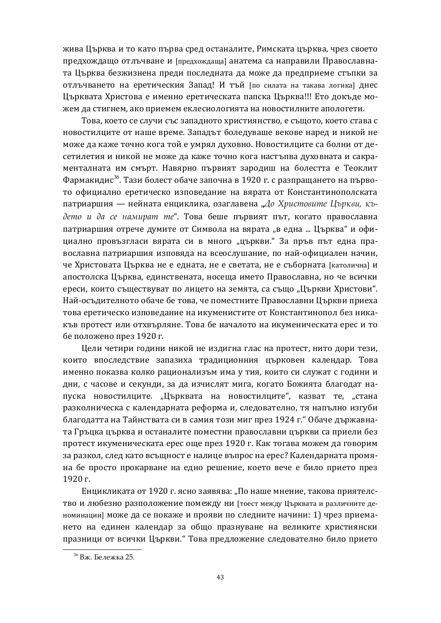жива Църква и то като първа сред останалите, Римската църква, чрез своето предхождащо отлъчване и [предхождаща] анатема са направили Православната Църква безжизнена преди последната да може да предприеме стъпки за отлъчването на еретическия Запад! И тъй [по силата на такава логика] днес Църквата Христова е именно еретическата папска Църква!!! Ето докъде можем да стигнем, ако приемем еклесиологията на новостилните апологети.

Това, което се случи със западното християнство, е същото, което става с новостилците от наше време. Западът боледуваше векове наред и никой не може да каже точно кога той е умрял духовно. Новостилците са болни от десетилетия и никой не може да каже точно кога настъпва духовната и сакраменталната им смърт. Навярно първият зародиш на болестта е Теоклит Фармакидис<sup>36</sup>. Тази болест обаче започна в 1920 г. с разпращането на първото официално еретическо изповедание на вярата от Константинополската патриаршия — нейната енциклика, озаглавена "До Христовите Църкви, където и да се намират те". Това беше първият път, когато православна патриаршия отрече думите от Символа на вярата "в една ... Църква" и официално провъзгласи вярата си в много "църкви." За пръв път една православна патриаршия изповяла на всеослушание, по най-официален начин. че Христовата Църква не е едната, не е светата, не е съборната [католична] и апостолска Църква, единствената, носеща името Православна, но че всички ереси, които съществуват по лицето на земята, са също "Църкви Христови". Най-осъдителното обаче бе това, че поместните Православни Църкви приеха това еретическо изповедание на икуменистите от Константинопол без никакъв протест или отхвърляне. Това бе началото на икуменическата ерес и то бе положено през 1920 г.

Цели четири години никой не издигна глас на протест, нито дори тези, които впоследствие запазиха традиционния църковен календар. Това именно показва колко рационализъм има у тия, които си служат с години и дни, с часове и секунди, за да изчислят мига, когато Божията благодат напуска новостилците. "Църквата на новостилците", казват те, "стана разколническа с календарната реформа и, следователно, тя напълно изгуби благодатта на Тайнствата си в самия този миг през 1924 г." Обаче държавната Гръцка църква и останалите поместни православни църкви са приели без протест икуменическата ерес още през 1920 г. Как тогава можем да говорим за разкол, след като всъщност е налице въпрос на ерес? Календарната промяна бе просто прокарване на едно решение, което вече е било прието през 1920 г.

Енцикликата от 1920 г. ясно заявява: "По наше мнение, такова приятелство и любезно разположение помежду ни [тоест между Църквата и различните деноминации] може да се покаже и прояви по следните начини: 1) чрез приемането на единен календар за общо празнуване на великите християнски празници от всички Църкви." Това предложение следователно било прието

 $36$  Вж. Бележка 25.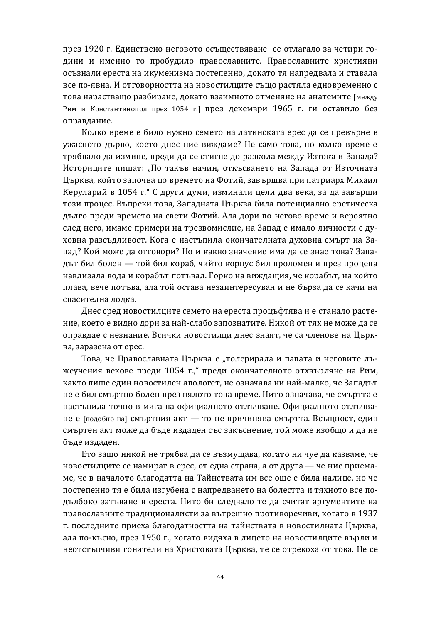през 1920 г. Единствено неговото осъществяване се отлагало за четири години и именно то пробудило православните. Православните християни осъзнали ереста на икуменизма постепенно, докато тя напредвала и ставала все по-явна. И отговорността на новостилците също растяла едновременно с това нарастващо разбиране, докато взаимното отменяне на анатемите [между Рим и Константинопол през 1054 г.] през декември 1965 г. ги оставило без оправдание.

Колко време е било нужно семето на латинската ерес да се превърне в ужасното дърво, което днес ние виждаме? Не само това, но колко време е трябвало да измине, преди да се стигне до разкола между Изтока и Запада? Историците пишат: "По такъв начин, откъсването на Запада от Източната Църква, който започва по времето на Фотий, завършва при патриарх Михаил Керуларий в 1054 г." С други думи, изминали цели два века, за да завърши този процес. Въпреки това, Западната Църква била потенциално еретическа дълго преди времето на свети Фотий. Ала дори по негово време и вероятно след него, имаме примери на трезвомислие, на Запад е имало личности с духовна разсъдливост. Кога е настъпила окончателната духовна смърт на Запад? Кой може да отговори? Но и какво значение има да се знае това? Западът бил болен — той бил кораб, чийто корпус бил проломен и през процепа навлизала вода и корабът потъвал. Горко на виждащия, че корабът, на който плава, вече потъва, ала той остава незаинтересуван и не бърза да се качи на спасителна лодка.

Днес сред новостилците семето на ереста процъфтява и е станало растение, което е видно дори за най-слабо запознатите. Никой от тях не може да се оправдае с незнание. Всички новостилци днес знаят, че са членове на Църква, заразена от ерес.

Това, че Православната Църква е "толерирала и папата и неговите лъжеучения векове преди 1054 г.," преди окончателното отхвърляне на Рим, както пише един новостилен апологет, не означава ни най-малко, че Западът не е бил смъртно болен през цялото това време. Нито означава, че смъртта е настъпила точно в мига на официалното отлъчване. Официалното отлъчване е [подобно на] смъртния акт — то не причинява смъртта. Всъщност, един смъртен акт може да бъде издаден със закъснение, той може изобщо и да не бъде издаден.

Ето защо никой не трябва да се възмущава, когато ни чуе да казваме, че новостилците се намират в ерес, от една страна, а от друга — че ние приемаме, че в началото благодатта на Тайнствата им все още е била налице, но че постепенно тя е била изгубена с напредването на болестта и тяхното все подълбоко затъване в ереста. Нито би следвало те да считат аргументите на православните традиционалисти за вътрешно противоречиви, когато в 1937 г. последните приеха благодатността на тайнствата в новостилната Църква, ала по-късно, през 1950 г., когато видяха в лицето на новостилците върли и неотстъпчиви гонители на Христовата Църква, те се отрекоха от това. Не се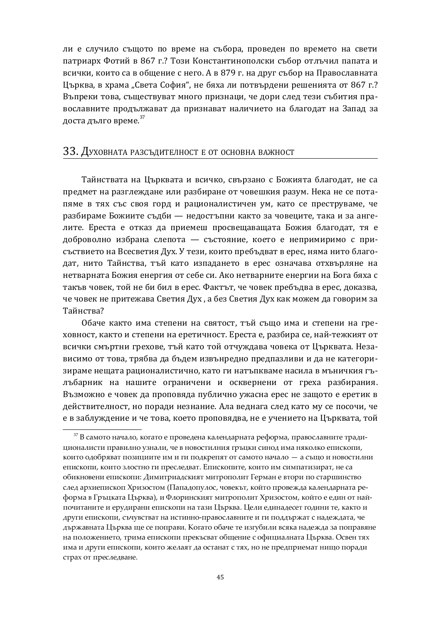ли е случило същото по време на събора, проведен по времето на свети патриарх Фотий в 867 г.? Този Константинополски събор отлъчил папата и всички, които са в общение с него. А в 879 г. на друг събор на Православната Църква, в храма "Света София", не бяха ли потвърдени решенията от 867 г.? Въпреки това, съществуват много признаци, че дори след тези събития православните продължават да признават наличието на благодат на Запад за доста дълго време.<sup>37</sup>

#### ЗЗ. Духовната разсъдителност е от основна важност

Тайнствата на Църквата и всичко, свързано с Божията благодат, не са предмет на разглеждане или разбиране от човешкия разум. Нека не се потапяме в тях със своя горд и рационалистичен ум, като се преструваме, че разбираме Божиите съдби — недостъпни както за човеците, така и за ангелите. Ереста е отказ да приемеш просвещаващата Божия благодат, тя е доброволно избрана слепота — състояние, което е непримиримо с присъствието на Всесветия Дух. У тези, които пребъдват в ерес, няма нито благодат, нито Тайнства, тъй като изпадането в ерес означава отхвърляне на нетварната Божия енергия от себе си. Ако нетварните енергии на Бога бяха с такъв човек, той не би бил в ерес. Фактът, че човек пребъдва в ерес, доказва, че човек не притежава Светия Дух, а без Светия Дух как можем да говорим за Тайнства?

Обаче както има степени на святост, тъй също има и степени на греховност, както и степени на еретичност. Ереста е, разбира се, най-тежкият от всички смъртни грехове, тъй като той отчуждава човека от Църквата. Независимо от това, трябва да бъдем извънредно предпазливи и да не категоризираме нещата рационалистично, като ги натъпкваме насила в мъничкия гълъбарник на нашите ограничени и осквернени от греха разбирания. Възможно е човек да проповяда публично ужасна ерес не защото е еретик в действителност, но поради незнание. Ала веднага след като му се посочи, че е в заблуждение и че това, което проповядва, не е учението на Църквата, той

 $37$  В самото начало, когато е проведена календарната реформа, православните традиционалисти правилно узнали, че в новостилния гръцки синод има няколко епископи, които одобряват позициите им и ги подкрепят от самото начало - а също и новостилни епископи, които злостно ги преследват. Епископите, които им симпатизират, не са обикновени епископи: Димитриадският митрополит Герман е втори по старшинство след архиепископ Хризостом (Пападопулос, човекът, който провежда календарната реформа в Гръцката Църква), и Флоринският митрополит Хризостом, който е един от найпочитаните и ерудирани епископи на тази Църква. Цели единадесет години те, както и други епископи, съчувстват на истинно-православните и ги поддържат с надеждата, че държавната Църква ще се поправи. Когато обаче те изгубили всяка надежда за поправяне на положението, трима епископи прекъсват общение с официалната Църква. Освен тях има и други епископи, които желаят да останат с тях, но не предприемат нищо поради страх от преследване.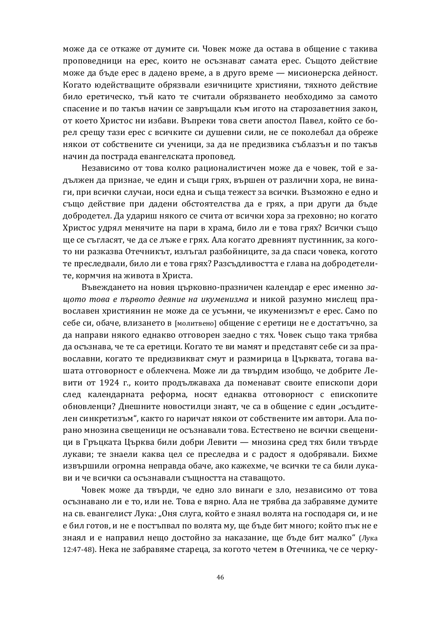може да се откаже от думите си. Човек може да остава в общение с такива проповедници на ерес, които не осъзнават самата ерес. Същото действие може да бъде ерес в дадено време, а в друго време — мисионерска дейност. Когато юдействащите обрязвали езичниците християни, тяхното действие било еретическо, тъй като те считали обрязването необходимо за самото спасение и по такъв начин се завръщали към игото на старозаветния закон, от което Христос ни избави. Въпреки това свети апостол Павел, който се борел срещу тази ерес с всичките си душевни сили, не се поколебал да обреже някои от собствените си ученици, за да не предизвика съблазън и по такъв начин да пострада евангелската проповед.

Независимо от това колко рационалистичен може да е човек, той е задължен да признае, че един и същи грях, вършен от различни хора, не винаги, при всички случаи, носи една и съща тежест за всички. Възможно е едно и също действие при дадени обстоятелства да е грях, а при други да бъде добродетел. Да удариш някого се счита от всички хора за греховно; но когато Христос удрял менячите на пари в храма, било ли е това грях? Всички също ще се съгласят, че да се лъже е грях. Ала когато древният пустинник, за когото ни разказва Отечникът, излъгал разбойниците, за да спаси човека, когото те преследвали, било ли е това грях? Разсъдливостта е глава на добродетелите, кормчия на живота в Христа.

Въвеждането на новия църковно-празничен календар е ерес именно за**щото това е първото деяние на икуменизма и никой разумно мислещ пра**вославен християнин не може да се усъмни, че икуменизмът е ерес. Само по себе си, обаче, влизането в [молитвено] общение с еретици не е достатъчно, за да направи някого еднакво отговорен заедно с тях. Човек също така трябва да осъзнава, че те са еретици. Когато те ви мамят и представят себе си за православни, когато те предизвикват смут и размирица в Църквата, тогава вашата отговорност е облекчена. Може ли да твърдим изобщо, че добрите Левити от 1924 г., които продължаваха да поменават своите епископи дори след календарната реформа, носят еднаква отговорност с епископите обновленци? Днешните новостилци знаят, че са в общение с един "осъдителен синкретизъм", както го наричат някои от собствените им автори. Ала порано мнозина свещеници не осъзнавали това. Естествено не всички свещеници в Гръцката Църква били добри Левити — мнозина сред тях били твърде лукави; те знаели каква цел се преследва и с радост я одобрявали. Бихме извършили огромна неправда обаче, ако кажехме, че всички те са били лукави и че всички са осъзнавали същността на ставащото.

Човек може да твърди, че едно зло винаги е зло, независимо от това осъзнавано ли е то, или не. Това е вярно. Ала не трябва да забравяме думите на св. евангелист Лука: "Оня слуга, който е знаял волята на господаря си, и не е бил готов, и не е постъпвал по волята му, ще бъде бит много; който пък не е знаял и е направил нещо достойно за наказание, ще бъде бит малко" (Лука 12:47-48). Нека не забравяме стареца, за когото четем в Отечника, че се черку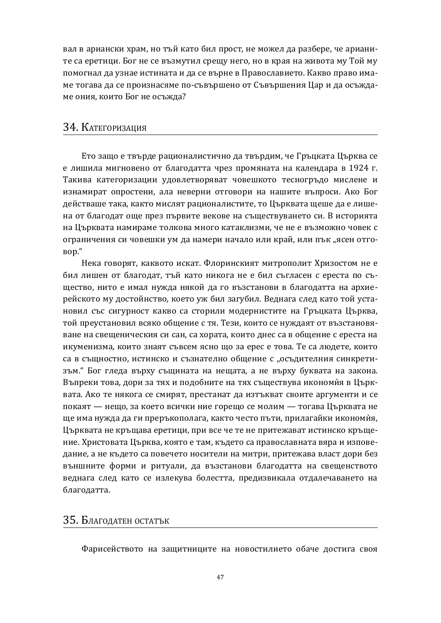вал в ариански храм, но тъй като бил прост, не можел да разбере, че арианите са еретици. Бог не се възмутил срещу него, но в края на живота му Той му помогнал да узнае истината и да се върне в Православието. Какво право имаме тогава да се произнасяме по-съвършено от Съвършения Цар и да осъждаме ония, които Бог не осъжда?

## З4. КАТЕГОРИЗАЦИЯ

Ето защо е твърде рационалистично да твърдим, че Гръцката Църква се е лишила мигновено от благодатта чрез промяната на календара в 1924 г. Такива категоризации удовлетворяват човешкото тесногръдо мислене и изнамират опростени, ала неверни отговори на нашите въпроси. Ако Бог действаше така, както мислят рационалистите, то Църквата щеше да е лишена от благодат още през първите векове на съществуването си. В историята на Църквата намираме толкова много катаклизми, че не е възможно човек с ограничения си човешки ум да намери начало или край, или пък "ясен отго-BOD."

Нека говорят, каквото искат. Флоринският митрополит Хризостом не е бил лишен от благолат, тъй като никога не е бил съгласен с ереста по същество, нито е имал нужда някой да го възстанови в благодатта на архиерейското му достойнство, което уж бил загубил. Веднага след като той установил със сигурност какво са сторили модернистите на Гръцката Църква, той преустановил всяко общение с тя. Тези, които се нуждаят от възстановяване на свещеническия си сан, са хората, които днес са в общение с ереста на икуменизма, които знаят съвсем ясно що за ерес е това. Те са людете, които са в същностно, истинско и съзнателно общение с "осъдителния синкретизъм." Бог гледа върху същината на нещата, а не върху буквата на закона. Въпреки това, дори за тях и подобните на тях съществува икономия в Църквата. Ако те някога се смирят, престанат да изтъкват своите аргументи и се покаят — нещо, за което всички ние горещо се молим — тогава Църквата не ще има нужда да ги преръкополага, както често пъти, прилагайки икономия, Църквата не кръщава еретици, при все че те не притежават истинско кръщение. Христовата Църква, която е там, където са православната вяра и изповедание, а не където са повечето носители на митри, притежава власт дори без външните форми и ритуали, да възстанови благодатта на свещенството веднага след като се излекува болестта, предизвикала отдалечаването на благодатта.

#### З5. Благодатен остатък

Фарисейството на защитниците на новостилието обаче достига своя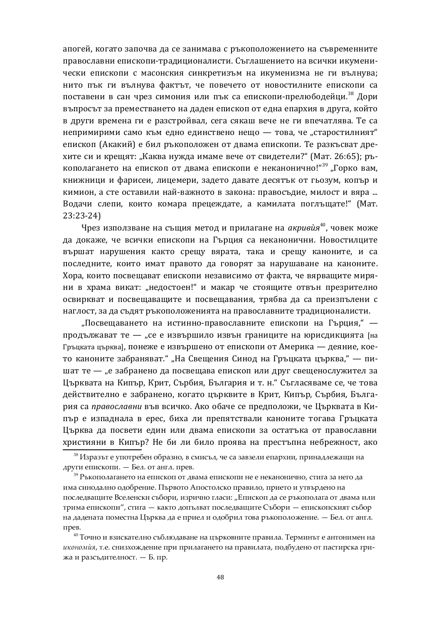апогей, когато започва да се занимава с ръкоположението на съвременните православни епископи-традиционалисти. Съглашението на всички икуменически епископи с масонския синкретизъм на икуменизма не ги вълнува; нито пък ги вълнува фактът, че повечето от новостилните епископи са поставени в сан чрез симония или пък са епископи-прелюбодейци.<sup>38</sup> Дори въпросът за преместването на даден епископ от една епархия в друга, който в други времена ги е разстройвал, сега сякаш вече не ги впечатлява. Те са непримирими само към едно единствено нещо - това, че "старостилният" епископ (Акакий) е бил ръкоположен от двама епископи. Те разкъсват дрехите си и крещят: "Каква нужда имаме вече от свидетели?" (Мат. 26:65); ръкополагането на епископ от двама епископи е неканонично!"<sup>39</sup> "Горко вам, книжници и фарисеи, лицемери, задето давате десятък от гьозум, копър и кимион, а сте оставили най-важното в закона: правосъдие, милост и вяра ... Водачи слепи, които комара прецеждате, а камилата поглъщате!" (Мат. 23:23-24)

Чрез използване на същия метод и прилагане на *акривùя*<sup>40</sup>, човек може да докаже, че всички епископи на Гърция са неканонични. Новостилците вършат нарушения както срещу вярата, така и срещу каноните, и са последните, които имат правото да говорят за нарушаване на каноните. Хора, които посвещават епископи независимо от факта, че вярващите миряни в храма викат: "недостоен!" и макар че стоящите отвън презрително освиркват и посвещаващите и посвещавания, трябва да са преизпълени с наглост, за да съдят ръкоположенията на православните традиционалисти.

"Посвещаването на истинно-православните епископи на Гърция," продължават те — "се е извършило извън границите на юрисдикцията [на Гръцката църква], понеже е извършено от епископи от Америка — деяние, което каноните забраняват." "На Свещения Синод на Гръцката църква," — пишат те — "е забранено да посвещава епископ или друг свещенослужител за Църквата на Кипър, Крит, Сърбия, България и т. н." Съгласяваме се, че това действително е забранено, когато църквите в Крит, Кипър, Сърбия, България са православни във всичко. Ако обаче се предположи, че Църквата в Кипър е изпаднала в ерес, биха ли препятствали каноните тогава Гръцката Църква да посвети един или двама епископи за остатъка от православни християни в Кипър? Не би ли било проява на престъпна небрежност, ако

 $^{38}$  Изразът е употребен образно, в смисъл, че са завзели епархии, принадлежащи на други епископи. — Бел. от англ. прев.

 $^{39}$  Ръкополагането на епископ от двама епископи не е неканонично, стига за него да има синодално одобрение. Първото Апостолско правило, прието и утвърдено на последващите Вселенски събори, изрично гласи: "Епископ да се ръкополага от двама или трима епископи", стига — както допълват последващите Събори — епископският събор на дадената поместна Църква да е приел и одобрил това ръкоположение. — Бел. от англ. прев.

 $^{40}$ Точно и взискателно съблюдаване на църковните правила. Терминът е антонимен на икономия, т.е. снизхождение при прилагането на правилата, подбудено от пастирска грижа и разсъдителност. – Б. пр.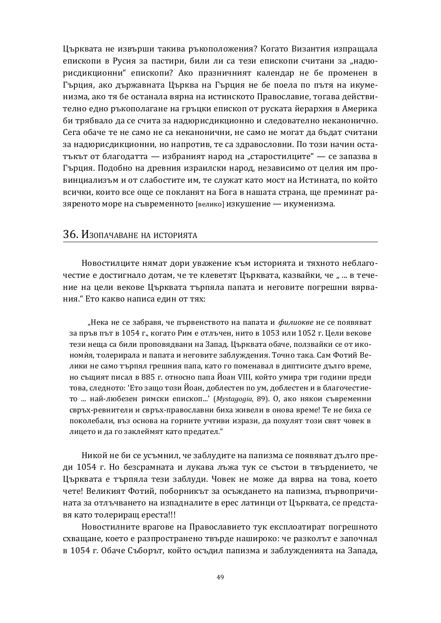Църквата не извърши такива ръкоположения? Когато Византия изпращала епископи в Русия за пастири, били ли са тези епископи считани за "надюрисдикционни" епископи? Ако празничният календар не бе променен в Гърция, ако държавната Църква на Гърция не бе поела по пътя на икуменизма, ако тя бе останала вярна на истинското Православие, тогава действително едно ръкополагане на гръцки епископ от руската йерархия в Америка би трябвало да се счита за надюрисдикционно и следователно неканонично. Сега обаче те не само не са неканонични, не само не могат да бъдат считани за надюрисдикционни, но напротив, те са здравословни. По този начин остатъкът от благодатта — избраният народ на "старостилците" — се запазва в Гърция. Подобно на древния израилски народ, независимо от целия им провинциализъм и от слабостите им, те служат като мост на Истината, по който всички, които все още се покланят на Бога в нашата страна, ще преминат разяреното море на съвременното [велико] изкушение — икуменизма.

#### З6. Изопачаване на историята

Новостилците нямат дори уважение към историята и тяхното неблагочестие е достигнало дотам, че те клеветят Църквата, казвайки, че " ... в течение на цели векове Църквата търпяла папата и неговите погрешни вярвания." Ето какво написа един от тях:

"Нека не се забравя, че първенството на папата и филиокве не се появяват за пръв път в 1054 г., когато Рим е отлъчен, нито в 1053 или 1052 г. Цели векове тези неща са били проповядвани на Запад. Църквата обаче, ползвайки се от икономия, толерирала и папата и неговите заблуждения. Точно така. Сам Фотий Велики не само търпял грешния папа, като го поменавал в диптисите дълго време, но същият писал в 885 г. относно папа Йоан VIII, който умира три голини преди това, следното: 'Ето защо този Йоан, доблестен по ум, доблестен и в благочестието ... най-любезен римски епископ...' (*Mystagogia*, 89). О, ако някои съвременни свръх-ревнители и свръх-православни биха живели в онова време! Те не биха се поколебали, въз основа на горните учтиви изрази, да похулят този свят човек в лицето и да го заклеймят като предател."

Никой не би се усъмнил, че заблудите на папизма се появяват дълго преди 1054 г. Но безсрамната и лукава лъжа тук се състои в твърдението, че Църквата е търпяла тези заблуди. Човек не може да вярва на това, което чете! Великият Фотий, поборникът за осъждането на папизма, първопричината за отлъчването на изпадналите в ерес латинци от Църквата, се представя като толериращ ереста!!!

Новостилните врагове на Православието тук експлоатират погрешното схващане, което е разпространено твърде нашироко: че разколът е започнал в 1054 г. Обаче Съборът, който осъдил папизма и заблужденията на Запада,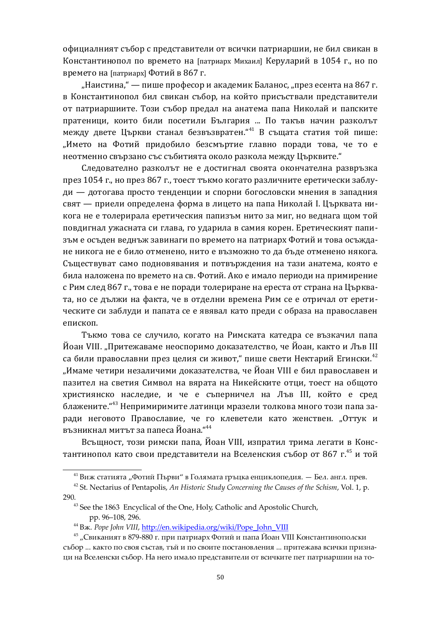официалният събор с представители от всички патриаршии, не бил свикан в Константинопол по времето на [патриарх Михаил] Керуларий в 1054 г., но по времето на  $[$ патриарх $]$ Фотий в 867 г.

"Наистина," — пише професор и академик Баланос, "през есента на 867 г. в Константинопол бил свикан събор, на който присъствали представители от патриаршиите. Този събор предал на анатема папа Николай и папските пратеници, които били посетили България ... По такъв начин разколът между двете Църкви станал безвъзвратен."<sup>41</sup> В същата статия той пише: "Името на Фотий придобило безсмъртие главно поради това, че то е неотменно свързано със събитията около разкола между Църквите."

Следователно разколът не е достигнал своята окончателна развръзка през 1054 г., но през 867 г., тоест тъкмо когато различните еретически заблуди — дотогава просто тенденции и спорни богословски мнения в западния свят — приели определена форма в лицето на папа Николай I. Църквата никога не е толерирала еретическия папизъм нито за миг, но веднага щом той повдигнал ужасната си глава, го ударила в самия корен. Еретическият папизъм е осъден веднъж завинаги по времето на патриарх Фотий и това осъждане никога не е било отменено, нито е възможно то да бъде отменено някога. Съществуват само подновявания и потвърждения на тази анатема, която е била наложена по времето на св. Фотий. Ако е имало периоди на примирение с Рим след 867 г., това е не поради толериране на ереста от страна на Църквата, но се дължи на факта, че в отделни времена Рим се е отричал от еретическите си заблуди и папата се е явявал като преди с образа на православен епископ.

Тъкмо това се случило, когато на Римската катедра се възкачил папа Йоан VIII. "Притежаваме неоспоримо доказателство, че Йоан, както и Лъв III са били православни през целия си живот," пише свети Нектарий Егински.<sup>42</sup> "Имаме четири незаличими доказателства, че Йоан VIII е бил православен и пазител на светия Символ на вярата на Никейските отци, тоест на общото християнско наследие, и че е съперничел на Лъв III, който е сред блажените. "<sup>43</sup> Непримиримите латинци мразели толкова много този папа заради неговото Православие, че го клеветели като женствен. "Оттук и възникнал митът за папеса Йоана."<sup>44</sup>

Всъщност, този римски папа, Йоан VIII, изпратил трима легати в Константинопол като свои представители на Вселенския събор от 867 г.<sup>45</sup> и той

<sup>&</sup>lt;sup>41</sup> Виж статията "Фотий Първи" в Голямата гръцка енциклопедия. — Бел. англ. прев.

<sup>42</sup> St. Nectarius of Pentapolis, *An Historic Study Concerning the Causes of the Schism*, Vol. 1, p. 290.

<sup>&</sup>lt;sup>43</sup> See the 1863 Encyclical of the One, Holy, Catholic and Apostolic Church, pp. 96–108, 296.

<sup>&</sup>lt;sup>44</sup> B<sub>*x*</sub>. *Pope John VIII*, [http://en.wikipedia.org/wiki/Pope\\_John\\_VIII](http://en.wikipedia.org/wiki/Pope_John_VIII)

 $^{45}$  "Свиканият в 879-880 г. при патриарх Фотий и папа Йоан VIII Константинополски събор ... както по своя състав, тъй и по своите постановления ... притежава всички признаци на Вселенски събор. На него имало представители от всичките пет патриаршии на то-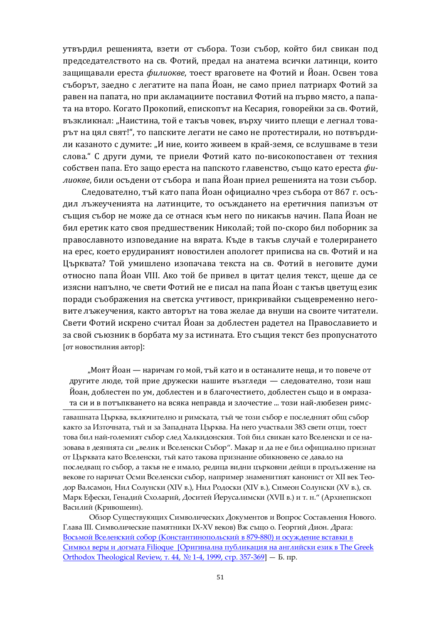утвърдил решенията, взети от събора. Този събор, който бил свикан под председателството на св. Фотий, предал на анатема всички латинци, които защищавали ереста филиокве, тоест враговете на Фотий и Йоан. Освен това съборът, заедно с легатите на папа Йоан, не само приел патриарх Фотий за равен на папата, но при акламациите поставил Фотий на първо място, а папата на второ. Когато Прокопий, епископът на Кесария, говорейки за св. Фотий, възкликнал: "Наистина, той е такъв човек, върху чиито плеши е легнал товарът на цял свят!", то папските легати не само не протестирали, но потвърдили казаното с думите: "И ние, които живеем в край-земя, се вслушваме в тези слова. "С други думи, те приели Фотий като по-високопоставен от техния собствен папа. Ето защо ереста на папското главенство, също като ереста филиокве, били осъдени от събора и папа Йоан приел решенията на този събор.

Следователно, тъй като папа Йоан официално чрез събора от 867 г. осъдил лъжеученията на латинците, то осъждането на еретичния папизъм от същия събор не може да се отнася към него по никакъв начин. Папа Йоан не бил еретик като своя предшественик Николай; той по-скоро бил поборник за православното изповедание на вярата. Къде в такъв случай е толерирането на ерес, което ерудираният новостилен апологет приписва на св. Фотий и на Църквата? Той умишлено изопачава текста на св. Фотий в неговите думи относно папа Йоан VIII. Ако той бе привел в цитат целия текст, щеше да се изясни напълно, че свети Фотий не е писал на папа Йоан с такъв цветущ език поради съображения на светска учтивост, прикривайки същевременно неговите лъжеучения, както авторът на това желае да внуши на своите читатели. Свети Фотий искрено считал Йоан за доблестен радетел на Православието и за свой съюзник в борбата му за истината. Ето същия текст без пропуснатото  $[$ от новостилния автор]:

"Моят Йоан — наричам го мой, тъй като и в останалите неща, и то повече от другите люде, той прие дружески нашите възгледи — следователно, този наш Йоан, доблестен по ум, доблестен и в благочестието, доблестен също и в омразата си и в потъпкването на всяка неправда и злочестие ... този най-любезен римс-

гавашната Църква, включително и римската, тъй че този събор е последният общ събор както за Източната, тъй и за Западната Църква. На него участвали 383 свети отци, тоест това бил най-големият събор след Халкидонския. Той бил свикан като Вселенски и се назовава в деянията си "велик и Вселенски Събор". Макар и да не е бил официално признат от Църквата като Вселенски, тъй като такова признание обикновено се давало на последващ го събор, а такъв не е имало, редица видни църковни дейци в продължение на векове го наричат Осми Вселенски събор, например знаменитият канонист от XII век Теодор Валсамон, Нил Солунски (XIV в.), Нил Родоски (XIV в.), Симеон Солунски (XV в.), св. Марк Ефески, Генадий Схоларий, Доситей Йерусалимски (XVII в.) и т. н." (Архиепископ Василий (Кривошеин).

Обзор Существующих Символических Документов и Вопрос Составления Нового. Глава III. Символические памятники IX-XV веков) Вж също о. Георгий Дион. Драга: Восьмой Вселенский собор (Константинопольский в 879-880) и осуждение вставки в Символ веры и догмата Filioque [Оригинална публикация на английски език в The Greek Orthodox Theological Review,  $\tau$ . 44,  $N_2$  1-4, 1999,  $\text{crp. }357-369$ ] — Б. пр.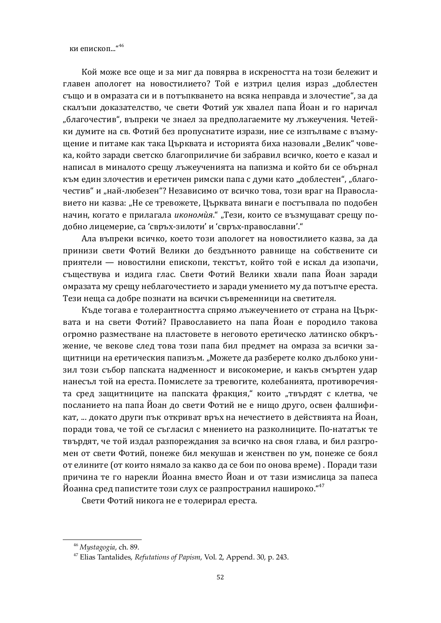ки епископ..."46

Кой може все още и за миг да повярва в искреността на този бележит и главен апологет на новостилието? Той е изтрил целия израз "доблестен също и в омразата си и в потъпкването на всяка неправда и злочестие", за да скалъпи доказателство, че свети Фотий уж хвалел папа Йоан и го наричал "благочестив", въпреки че знаел за предполагаемите му лъжеучения. Четейки думите на св. Фотий без пропуснатите изрази, ние се изпълваме с възмушение и питаме как така Църквата и историята биха назовали "Велик" човека, който заради светско благоприличие би забравил всичко, което е казал и написал в миналото срещу лъжеученията на папизма и който би се обърнал към един злочестив и еретичен римски папа с думи като "доблестен", "благочестив" и "най-любезен"? Независимо от всичко това, този враг на Православието ни казва: "Не се тревожете, Църквата винаги е постъпвала по подобен начин, когато е прилагала *икономия.*" "Тези, които се възмушават срешу подобно лицемерие, са 'свръх-зилоти' и 'свръх-православни'."

Ала въпреки всичко, което този апологет на новостилието казва, за да принизи свети Фотий Велики до бездънното равнище на собствените си приятели — новостилни епископи, текстът, който той е искал да изопачи, съществува и издига глас. Свети Фотий Велики хвали папа Йоан заради омразата му срещу неблагочестието и заради умението му да потъпче ереста. Тези неща са добре познати на всички съвременници на светителя.

Къде тогава е толерантността спрямо лъжеучението от страна на Църквата и на свети Фотий? Православието на папа Йоан е породило такова огромно разместване на пластовете в неговото еретическо латинско обкръжение, че векове след това този папа бил предмет на омраза за всички защитници на еретическия папизъм. "Можете да разберете колко дълбоко унизил този събор папската надменност и високомерие, и какъв смъртен удар нанесъл той на ереста. Помислете за тревогите, колебанията, противоречията сред защитниците на папската фракция," които "твърдят с клетва, че посланието на папа Йоан до свети Фотий не е нищо друго, освен фалшификат, ... докато други пък откриват връх на нечестието в действията на Йоан. поради това, че той се съгласил с мнението на разколниците. По-нататък те твърдят, че той издал разпореждания за всичко на своя глава, и бил разгромен от свети Фотий, понеже бил мекушав и женствен по ум, понеже се боял от елините (от които нямало за какво да се бои по онова време). Поради тази причина те го нарекли Йоанна вместо Йоан и от тази измислица за папеса Йоанна сред папистите този слух се разпространил нашироко."<sup>47</sup>

Свети Фотий никога не е толерирал ереста.

<sup>46</sup> *Mystagogia*, ch. 89.

<sup>47</sup> Elias Tantalides, *Refutations of Papism*, Vol. 2, Append. 30, p. 243.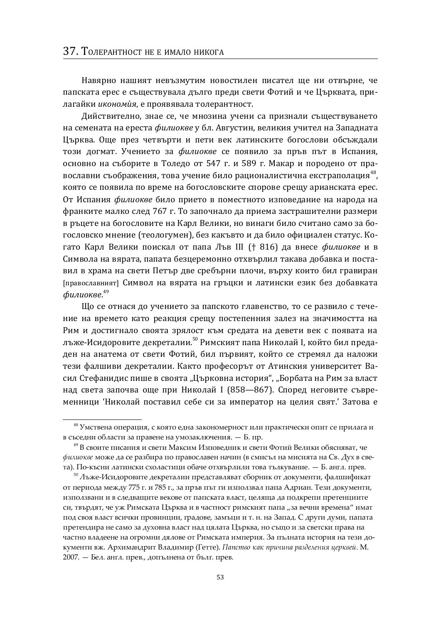Навярно нашият невъзмутим новостилен писател ще ни отвърне, че папската ерес е съществувала дълго преди свети Фотий и че Църквата, прилагайки *икономия*, е проявявала толерантност.

Дийствително, знае се, че мнозина учени са признали съществуването на семената на ереста филиокве у бл. Августин, великия учител на Западната Църква. Още през четвърти и пети век латинските богослови обсъждали този догмат. Учението за филиокве се появило за пръв път в Испания, основно на съборите в Толедо от 547 г. и 589 г. Макар и породено от православни съображения, това учение било рационалистична екстраполация<sup>48</sup>, която се появила по време на богословските спорове срещу арианската ерес. От Испания филиокве било прието в поместното изповедание на народа на франките малко след 767 г. То започнало да приема застрашителни размери в ръцете на богословите на Карл Велики, но винаги било считано само за богословско мнение (теологумен), без какъвто и да било официален статус. Когато Карл Велики поискал от папа Лъв III († 816) да внесе филиокве и в Символа на вярата, папата безцеремонно отхвърлил такава добавка и поставил в храма на свети Петър две сребърни плочи, върху които бил гравиран [православният] Символ на вярата на гръцки и латински език без добавката  $\phi$ илиокве. $^{49}$ 

Шо се отнася до учението за папското главенство, то се развило с течение на времето като реакция срещу постепенния залез на значимостта на Рим и достигнало своята зрялост към средата на девети век с появата на лъже-Исидоровите декреталии.<sup>50</sup> Римският папа Николай I, който бил предаден на анатема от свети Фотий, бил първият, който се стремял да наложи тези фалшиви декреталии. Както професорът от Атинския университет Васил Стефанидис пише в своята "Църковна история", "Борбата на Рим за власт над света започва още при Николай I (858—867). Според неговите съвременници 'Николай поставил себе си за император на целия свят.' Затова е

 $^{48}$  Умствена операция, с която една закономерност или практически опит се прилага и в съседни области за правене на умозаключения. - Б. пр.

<sup>&</sup>lt;sup>49</sup> В своите писания и свети Максим Изповедник и свети Фотий Велики обясняват, че  $\phi$ илиокве може да се разбира по православен начин (в смисъл на мисията на Св. Дух в света). По-късни латински схоластици обаче отхвърлили това тълкувание. — Б. англ. прев.

 $^{50}$ Лъже-Исидоровите декреталии представляват сборник от документи, фалшификат от периода между 775 г. и 785 г., за пръв път ги използвал папа Адриан. Тези документи, използвани и в следващите векове от папската власт, целяща да подкрепи претенциите си, твърдят, че уж Римската Църква и в частност римският папа "за вечни времена" имат под своя власт всички провинции, градове, замъци и т. н. на Запад. С други думи, папата претендира не само за духовна власт над цялата Църква, но също и за светски права на частно владеене на огромни дялове от Римската империя. За пълната история на тези документи вж. Архимандрит Владимир (Гетте). Папство как причина разделения церквей. М. 2007. — Бел. англ. прев., допълнена от бълг. прев.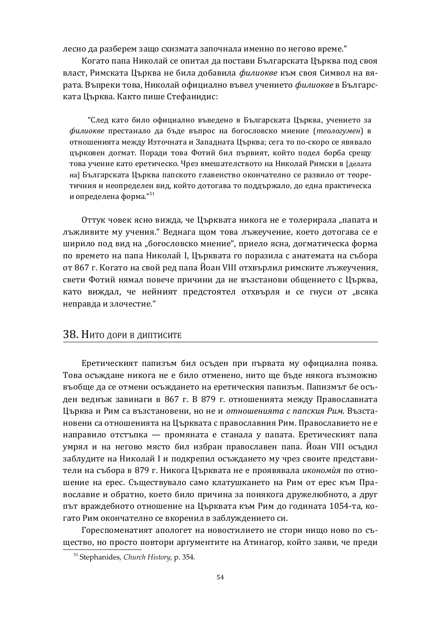лесно да разберем защо схизмата започнала именно по негово време."

Когато папа Николай се опитал да постави Българската Църква под своя власт, Римската Църква не била добавила филиокве към своя Символ на вярата. Въпреки това, Николай официално въвел учението филиокве в Българската Църква. Както пише Стефанидис:

"След като било официално въведено в Българската Църква, учението за  $\phi$ илиокве престанало да бъде въпрос на богословско мнение (теологумен) в отношенията между Източната и Западната Църква; сега то по-скоро се явявало църковен догмат. Поради това Фотий бил първият, който подел борба срещу това учение като еретическо. Чрез вмешателството на Николай Римски в [делата на] Българската Църква папското главенство окончателно се развило от теоретичния и неопределен вид, който дотогава то поддържало, до една практическа и определена форма. $151$ 

Оттук човек ясно вижда, че Църквата никога не е толерирала "папата и лъжливите му учения." Веднага щом това лъжеучение, което дотогава се е ширило под вид на "богословско мнение", приело ясна, догматическа форма по времето на папа Николай I, Църквата го поразила с анатемата на събора от 867 г. Когато на свой ред папа Йоан VIII отхвърлил римските лъжеучения, свети Фотий нямал повече причини да не възстанови общението с Църква. като виждал, че нейният предстоятел отхвърля и се гнуси от "всяка неправда и злочестие."

## З 8. Нито дори в диптисите

Еретическият папизъм бил осъден при първата му официална поява. Това осъждане никога не е било отменено, нито ще бъде някога възможно въобще да се отмени осъждането на еретическия папизъм. Папизмът бе осъден веднъж завинаги в 867 г. В 879 г. отношенията между Православната Църква и Рим са възстановени, но не и отношенията с папския Рим. Възстановени са отношенията на Църквата с православния Рим. Православието не е направило отстъпка — промяната е станала у папата. Еретическият папа умрял и на негово място бил избран православен папа. Йоан VIII осъдил заблудите на Николай I и подкрепил осъждането му чрез своите представители на събора в 879 г. Никога Църквата не е проявявала икономия по отношение на ерес. Съществувало само клатушкането на Рим от ерес към Православие и обратно, което било причина за понякога дружелюбното, а друг път враждебното отношение на Църквата към Рим до годината 1054-та, когато Рим окончателно се вкоренил в заблуждението си.

Гореспоменатият апологет на новостилието не стори нищо ново по същество, но просто повтори аргументите на Атинагор, който заяви, че преди

<sup>51</sup> Stephanides, *Church History*, p. 354.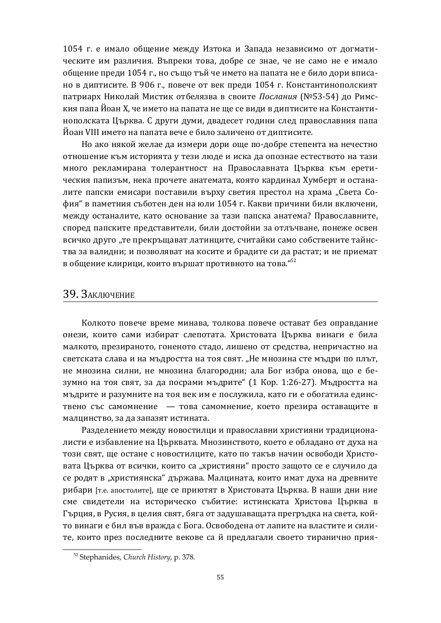1054 г. е имало общение между Изтока и Запада независимо от догматическите им различия. Въпреки това, добре се знае, че не само не е имало общение преди 1054 г., но също тъй че името на папата не е било дори вписано в диптисите. В 906 г., повече от век преди 1054 г. Константинополският патриарх Николай Мистик отбелязва в своите *Послания* (№53-54) до Римския папа Йоан X, че името на папата не ще се види в диптисите на Константинополската Църква. С други думи, двадесет години след православния папа Йоан VIII името на папата вече е било заличено от диптисите.

Но ако някой желае да измери дори още по-добре степента на нечестно отношение към историята у тези люде и иска да опознае естеството на тази много рекламирана толерантност на Православната Църква към еретическия папизъм, нека прочете анатемата, която кардинал Хумберт и останалите папски емисари поставили върху светия престол на храма "Света София" в паметния съботен ден на юли 1054 г. Какви причини били включени, между останалите, като основание за тази папска анатема? Православните, според папските представители, били достойни за отлъчване, понеже освен всичко друго "те прекръщават латинците, считайки само собствените тайнства за валидни; и позволяват на косите и брадите си да растат; и не приемат в общение клирици, които вършат противното на това."<sup>52</sup>

#### З9. Заключение

Колкото повече време минава, толкова повече остават без оправдание онези, които сами избират слепотата. Христовата Църква винаги е била малкото, презираното, гоненото стадо, лишено от средства, непричастно на светската слава и на мъдростта на тоя свят. "Не мнозина сте мъдри по плът, не мнозина силни, не мнозина благородни; ала Бог избра онова, що е безумно на тоя свят, за да посрами мъдрите" (1 Кор. 1:26-27). Мъдростта на мъдрите и разумните на тоя век им е послужила, като ги е обогатила единствено със самомнение - това самомнение, което презира оставащите в малцинство, за да запазят истината.

Разделението между новостилци и православни християни традиционалисти е избавление на Църквата. Мнозинството, което е обладано от духа на този свят, ще остане с новостилците, като по такъв начин освободи Христовата Църква от всички, които са "християни" просто защото се е случило да се родят в "християнска" държава. Малцината, които имат духа на древните рибари [т.е. апостолите], ще се приютят в Христовата Църква. В наши дни ние сме свидетели на историческо събитие: истинската Христова Църква в Гърция, в Русия, в целия свят, бяга от задушаващата прегръдка на света, който винаги е бил във вражда с Бога. Освободена от лапите на властите и силите, които през последните векове са й предлагали своето тиранично прия-

<sup>52</sup> Stephanides, *Church History*, p. 378.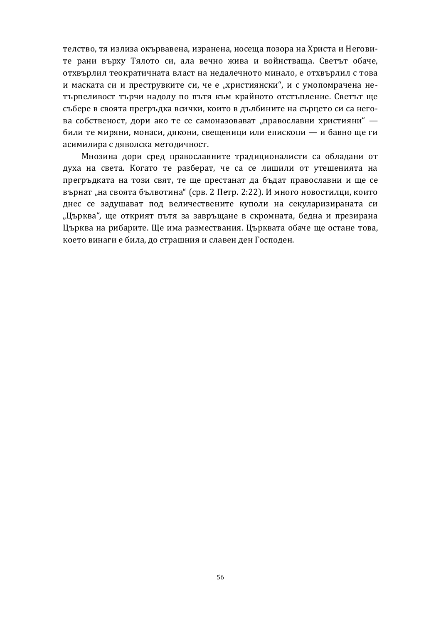телство, тя излиза окървавена, изранена, носеща позора на Христа и Неговите рани върху Тялото си, ала вечно жива и войнстваща. Светът обаче, отхвърлил теократичната власт на недалечното минало, е отхвърлил с това и маската си и преструвките си, че е "християнски", и с умопомрачена нетърпеливост търчи надолу по пътя към крайното отстъпление. Светът ще събере в своята прегръдка всички, които в дълбините на сърцето си са негова собственост, дори ако те се самоназовават "православни християни" били те миряни, монаси, дякони, свещеници или епископи — и бавно ще ги асимилира с дяволска методичност.

Мнозина дори сред православните традиционалисти са обладани от духа на света. Когато те разберат, че са се лишили от утешенията на прегръдката на този свят, те ще престанат да бъдат православни и ще се върнат "на своята бълвотина" (срв. 2 Петр. 2:22). И много новостилци, които днес се задушават под величествените куполи на секуларизираната си "Църква", ще открият пътя за завръщане в скромната, бедна и презирана Църква на рибарите. Ще има размествания. Църквата обаче ще остане това, което винаги е била, до страшния и славен ден Господен.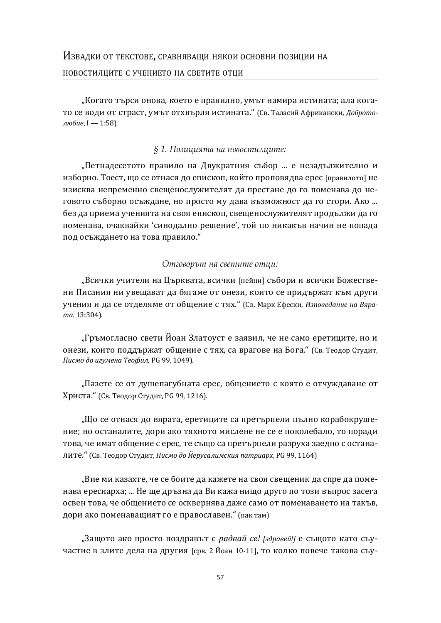"Когато търси онова, което е правилно, умът намира истината; ала когато се води от страст, умът отхвърля истината." (Св. Таласий Африкански, Доброто-*ˎˡ˄ˋˈ*, ʶ — 1:58)

#### § 1. Позицията на новостилците:

"Петнадесетото правило на Двукратния събор ... е незадължително и изборно. Тоест, що се отнася до епископ, който проповядва ерес [правилото] не изисква непременно свещенослужителят да престане до го поменава до неговото съборно осъждане, но просто му дава възможност да го стори. Ако ... без да приема ученията на своя епископ, свещенослужителят продължи да го поменава, очаквайки 'синодално решение', той по никакъв начин не попада под осъждането на това правило."

#### *ʅ˘ʶ˓ʵ˓˕˨˘ȱˑʲȱ˖ʵʺ˘ˆ˘ʺȱ˓˘ˢˆ:*

"Всички учители на Църквата, всички [нейни] събори и всички Божествени Писания ни увещават да бягаме от онези, които се придържат към други учения и да се отделяме от общение с тях." (Св. Марк Ефески, *Изповедание на Вяра*ma. 13:304).

"Гръмогласно свети Йоан Златоуст е заявил, че не само еретиците, но и онези, които поддържат общение с тях, са врагове на Бога." (Св. Теодор Студит, Писмо до игумена Теофил, PG 99, 1049).

"Пазете се от душепагубната ерес, общението с която е отчуждаване от Христа." (Св. Теолор Стулит. РС 99, 1216).

"Що се отнася до вярата, еретиците са претърпели пълно корабокрушение; но останалите, дори ако тяхното мислене не се е поколебало, то поради това, че имат общение с ерес, те също са претърпели разруха заедно с останалите." (Св. Теодор Студит, *Писмо до Йерусалимския патриарх*, PG 99, 1164)

"Вие ми казахте, че се боите да кажете на своя свещеник да спре да поменава ересиарха; ... Не ще дръзна да Ви кажа нищо друго по този въпрос засега освен това, че общението се осквернява даже само от поменаването на такъв, дори ако поменаващият го е православен. " (пак там)

"Защото ако просто поздравът с радвай се! [здравей!] е същото като съучастие в злите дела на другия [срв. 2 Йоан 10-11], то колко повече такова съу-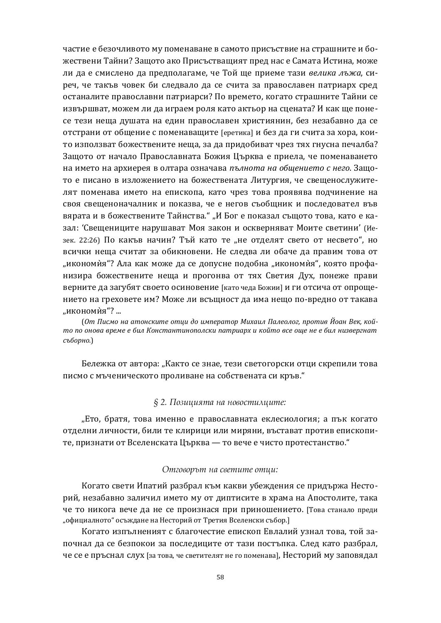частие е безочливото му поменаване в самото присъствие на страшните и божествени Тайни? Защото ако Присъстващият пред нас е Самата Истина, може ли да е смислено да предполагаме, че Той ще приеме тази велика лъжа, сиреч, че такъв човек би следвало да се счита за православен патриарх сред останалите православни патриарси? По времето, когато страшните Тайни се извършват, можем ли да играем роля като актьор на сцената? И как ще понесе тези неща душата на един православен християнин, без незабавно да се отстрани от общение с поменаващите [еретика] и без да ги счита за хора, които използват божествените неща, за да придобиват чрез тях гнусна печалба? Защото от начало Православната Божия Църква е приела, че поменаването на името на архиерея в олтара означава пълнота на обшението с него. Защото е писано в изложението на божествената Литургия, че свещенослужителят поменава името на епископа, като чрез това проявява подчинение на своя свещеноначалник и показва, че е негов съобщник и последовател във вярата и в божествените Тайнства." "И Бог е показал същото това, като е казал: 'Свещениците нарушават Моя закон и оскверняват Моите светини' (Иезек. 22:26) По какъв начин? Тъй като те "не отделят свето от несвето", но всички неща считат за обикновени. Не следва ли обаче да правим това от "икономия"? Ала как може да се допусне подобна "икономия", която профанизира божествените неща и прогонва от тях Светия Дух, понеже прави верните да загубят своето осиновение [като чеда Божии] и ги отсича от опрощението на греховете им? Може ли всъщност да има нещо по-вредно от такава "икономѝя"? ...

(*ʝ˕ʞˋ˔ˏˑː˃˃˕ˑː˔ˍˋ˕ˈˑ˕˙ˋˇˑˋˏ˒ˈ˓˃˕ˑ˓ʛˋ˘˃ˋˎʞ˃ˎˈˑˎˑˆ, ˒˓ˑ˕ˋ˅ʘˑ˃ːʑˈˍ, ˍˑˌ* то по онова време е бил Константинополски патриарх и който все още не е бил низвергнат  $c$ <sup>5</sup>борно.)

Бележка от автора: "Както се знае, тези светогорски отци скрепили това писмо с мъченическото проливане на собствената си кръв."

#### *§ 2. ʆ˓˄ˆˢˆˮ˘ʲȱˑʲȱˑ˓ʵ˓˖˘ˆˏˢˆ˘ʺ:*

"Ето, братя, това именно е православната еклесиология; а пък когато отделни личности, били те клирици или миряни, въстават против епископите, признати от Вселенската Църква — то вече е чисто протестанство."

#### *ʅ˘ʶ˓ʵ˓˕˨˘ȱˑʲȱ˖ʵʺ˘ˆ˘ʺȱ˓˘ˢˆ:*

Когато свети Ипатий разбрал към какви убеждения се придържа Несторий, незабавно заличил името му от диптисите в храма на Апостолите, така че то никога вече да не се произнася при приношението. [Това станало преди "официалното" осъждане на Несторий от Третия Вселенски събор.]

Когато изпълненият с благочестие епископ Евлалий узнал това, той започнал да се безпокои за последиците от тази постъпка. След като разбрал, че се е пръснал слух [за това, че светителят не го поменава], Несторий му заповядал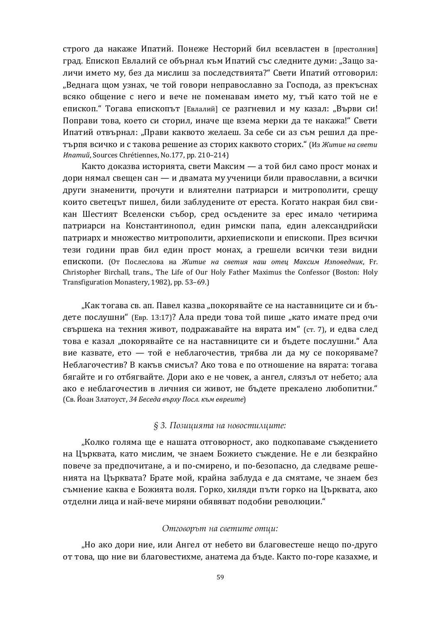строго да накаже Ипатий. Понеже Несторий бил всевластен в [престолния] град. Епископ Евлалий се обърнал към Ипатий със следните думи: "Защо заличи името му. без да мислиш за последствията?" Свети Ипатий отговорил: "Веднага щом узнах, че той говори неправославно за Господа, аз прекъснах всяко общение с него и вече не поменавам името му, тъй като той не е епископ. "Тогава епископът [Евлалий] се разгневил и му казал: "Върви си! Поправи това, което си сторил, иначе ше взема мерки да те накажа!" Свети Ипатий отвърнал: "Прави каквото желаеш. За себе си аз съм решил да пре-ТЪРПЯ ВСИЧКО И С ТАКОВА РЕШЕНИЕ АЗ СТОРИХ КАКВОТО СТОРИХ." (Из Житие на свети *Hnamuŭ*, Sources Chrétiennes, No.177, pp. 210-214)

Както доказва историята, свети Максим — а той бил само прост монах и дори нямал свещен сан — и двамата му ученици били православни, а всички други знаменити, прочути и влиятелни патриарси и митрополити, срещу които светецът пишел, били заблудените от ереста. Когато накрая бил свикан Шестият Вселенски събор, сред осъдените за ерес имало четирима патриарси на Константинопол, един римски папа, един александрийски патриарх и множество митрополити, архиепископи и епископи. През всички тези години прав бил един прост монах, а грешели всички тези видни епископи. (От Послеслова на Житие на светия наш отец Максим Изповедник, Fr. Christopher Birchall, trans., The Life of Our Holy Father Maximus the Confessor (Boston: Holy Transfiguration Monastery, 1982), pp. 53–69.)

"Как тогава св. ап. Павел казва "покорявайте се на наставниците си и бъдете послушни" (Евр. 13:17)? Ала преди това той пише "като имате пред очи свършека на техния живот, подражавайте на вярата им" (ст. 7), и едва след това е казал "покорявайте се на наставниците си и бъдете послушни." Ала вие казвате, ето — той е неблагочестив, трябва ли да му се покоряваме? Неблагочестив? В какъв смисъл? Ако това е по отношение на вярата: тогава бягайте и го отбягвайте. Дори ако е не човек, а ангел, слязъл от небето: ала ако е неблагочестив в личния си живот, не бъдете прекалено любопитни." (Св. Йоан Златоуст, 34 *Беседа върху Посл. към евреите*)

#### *§ 3. ʆ˓˄ˆˢˆˮ˘ʲȱˑʲȱˑ˓ʵ˓˖˘ˆˏˢˆ˘ʺ:*

"Колко голяма ще е нашата отговорност, ако подкопаваме съждението на Църквата, като мислим, че знаем Божието съждение. Не е ли безкрайно повече за предпочитане, а и по-смирено, и по-безопасно, да следваме решенията на Църквата? Брате мой, крайна заблуда е да смятаме, че знаем без съмнение каква е Божията воля. Горко, хиляди пъти горко на Църквата, ако отделни лица и най-вече миряни обявяват подобни революции."

#### *ʅ˘ʶ˓ʵ˓˕˨˘ȱˑʲȱ˖ʵʺ˘ˆ˘ʺȱ˓˘ˢˆ:*

"Но ако дори ние, или Ангел от небето ви благовестеше нещо по-друго от това, що ние ви благовестихме, анатема да бъде. Както по-горе казахме, и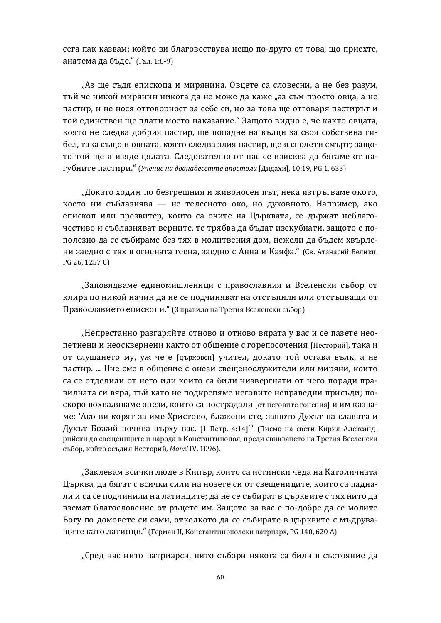сега пак казвам: който ви благовествува нещо по-друго от това, що приехте, анатема да бъде." (Гал. 1:8-9).

"Аз ще съдя епископа и мирянина. Овцете са словесни, а не без разум, тъй че никой мирянин никога да не може да каже "аз съм просто овца, а не пастир, и не нося отговорност за себе си, но за това ще отговаря пастирът и той единствен ще плати моето наказание. "Защото видно е, че както овцата, която не следва добрия пастир, ще попадне на вълци за своя собствена гибел, така също и овцата, която следва злия пастир, ще я сполети смърт; защото той ще я изяде цялата. Следователно от нас се изисква да бягаме от пагубните пастири." (Учение на дванадесетте апостоли [Дидахи], 10:19, PG 1, 633)

"Докато ходим по безгрешния и живоносен път, нека изтръгваме окото, което ни съблазнява — не телесното око, но духовното. Например, ако епископ или презвитер, които са очите на Църквата, се държат неблагочестиво и съблазняват верните, те трябва да бъдат изскубнати, защото е пополезно да се събираме без тях в молитвения дом, нежели да бъдем хвърлени заедно с тях в огнената геена, заедно с Анна и Каяфа." (Св. Атанасий Велики, PG 26, 1257 C)

"Заповядваме единомишленици с православния и Вселенски събор от клира по никой начин да не се подчиняват на отстъпили или отстъпващи от Православието епископи." (3 правило на Третия Вселенски събор)

"Непрестанно разгаряйте отново и отново вярата у вас и се пазете неопетнени и неосквернени както от общение с горепосочения [Несторий], така и от слушането му, уж че е [църковен] учител, докато той остава вълк, а не пастир. ... Ние сме в общение с онези свещенослужители или миряни, които са се отделили от него или които са били низвергнати от него поради правилната си вяра, тъй като не подкрепяме неговите неправедни присъди; поскоро похваляваме онези, които са пострадали [от неговите гонения] и им казваме: 'Ако ви корят за име Христово, блажени сте, защото Духът на славата и Духът Божий почива върху вас. [1 Петр. 4:14]" (Писмо на свети Кирил Александрийски до свещениците и народа в Константинопол, преди свикването на Третия Вселенски събор, който осъдил Несторий, Mansi IV, 1096).

"Заклевам всички люде в Кипър, които са истински чеда на Католичната Църква, да бягат с всички сили на нозете си от свещениците, които са паднали и са се подчинили на латинците; да не се събират в църквите с тях нито да вземат благословение от ръцете им. Защото за вас е по-добре да се молите Богу по домовете си сами, отколкото да се събирате в църквите с мъдруващите като латинци." (Герман II, Константинополски патриарх, PG 140, 620 A)

"Сред нас нито патриарси, нито събори някога са били в състояние да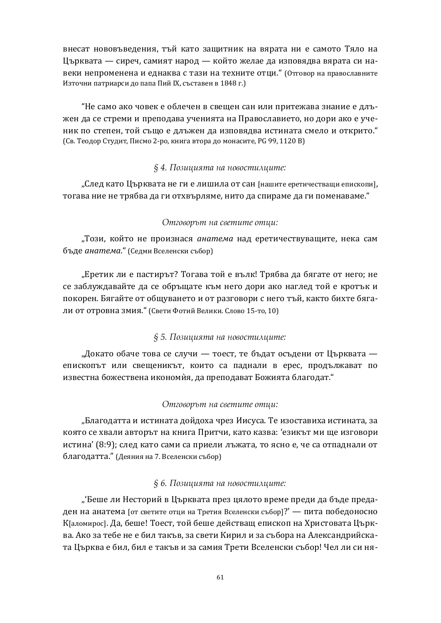внесат нововъведения, тъй като защитник на вярата ни е самото Тяло на Църквата — сиреч, самият народ — който желае да изповядва вярата си навеки непроменена и еднаква с тази на техните отци." (Отговор на православните Източни патриарси до папа Пий IX, съставен в 1848 г.)

"Не само ако човек е облечен в свещен сан или притежава знание е длъжен да се стреми и преподава ученията на Православието, но дори ако е ученик по степен, той също е длъжен да изповядва истината смело и открито." (Св. Теодор Студит, Писмо 2-ро, книга втора до монасите, PG 99, 1120 B)

#### *§ 4. ʆ˓˄ˆˢˆˮ˘ʲȱˑʲȱˑ˓ʵ˓˖˘ˆˏˢˆ˘ʺ:*

"След като Църквата не ги е лишила от сан [нашите еретичестващи епископи], тогава ние не трябва да ги отхвърляме, нито да спираме да ги поменаваме."

#### *ʅ˘ʶ˓ʵ˓˕˨˘ȱˑʲȱ˖ʵʺ˘ˆ˘ʺȱ˓˘ˢˆ:*

"Този, който не произнася *анатема* над еретичествуващите, нека сам бъде анатема." (Седми Вселенски събор)

"Еретик ли е пастирът? Тогава той е вълк! Трябва да бягате от него; не се заблуждавайте да се обръщате към него дори ако наглед той е кротък и покорен. Бягайте от общуването и от разговори с него тъй, както бихте бягали от отровна змия." (Свети Фотий Велики. Слово 15-то, 10)

#### *§ 5. ʆ˓˄ˆˢˆˮ˘ʲȱˑʲȱˑ˓ʵ˓˖˘ˆˏˢˆ˘ʺ:*

"Докато обаче това се случи — тоест, те бъдат осъдени от Църквата епископът или свещеникът, които са паднали в ерес, продължават по известна божествена икономия, да преподават Божията благодат."

#### *ʅ˘ʶ˓ʵ˓˕˨˘ȱˑʲȱ˖ʵʺ˘ˆ˘ʺȱ˓˘ˢˆ:*

"Благодатта и истината дойдоха чрез Иисуса. Те изоставиха истината, за която се хвали авторът на книга Притчи, като казва: 'езикът ми ще изговори истина' (8:9); след като сами са приели лъжата, то ясно е, че са отпаднали от благодатта." (Деяния на 7. Вселенски събор)

#### *§ 6. ʆ˓˄ˆˢˆˮ˘ʲȱˑʲȱˑ˓ʵ˓˖˘ˆˏˢˆ˘ʺ:*

"'Беше ли Несторий в Църквата през цялото време преди да бъде предаден на анатема [от светите отци на Третия Вселенски събор]?' — пита победоносно К[аломирос]. Да, беше! Тоест, той беше действащ епископ на Христовата Църква. Ако за тебе не е бил такъв, за свети Кирил и за събора на Александрийската Църква е бил, бил е такъв и за самия Трети Вселенски събор! Чел ли си ня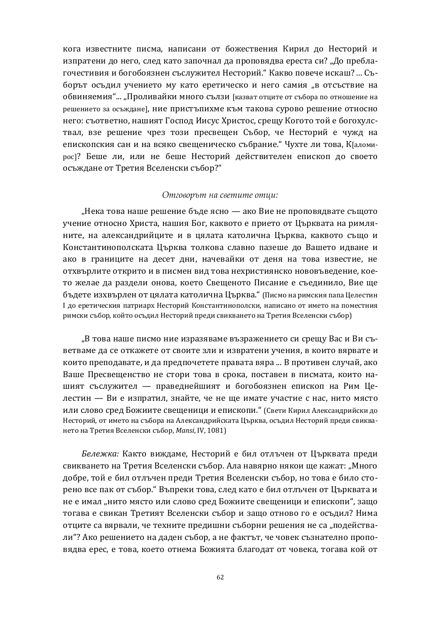кога известните писма, написани от божествения Кирил до Несторий и изпратени до него, след като започнал да проповядва ереста си? "До преблагочестивия и богобоязнен съслужител Несторий." Какво повече искаш? ... Съборът осъдил учението му като еретическо и него самия "в отсъствие на обвиняемия"... "Проливайки много сълзи [казват отците от събора по отношение на решението за осъждане], ние пристъпихме към такова сурово решение относно него: съответно, нашият Господ Иисус Христос, срещу Когото той е богохулствал, взе решение чрез този пресвещен Събор, че Несторий е чужд на епископския сан и на всяко свещеническо събрание." Чухте ли това, КЈаломирос]? Беше ли, или не беше Несторий действителен епископ до своето осъждане от Третия Вселенски събор?"

#### *ʅ˘ʶ˓ʵ˓˕˨˘ȱˑʲȱ˖ʵʺ˘ˆ˘ʺȱ˓˘ˢˆ:*

"Нека това наше решение бъде ясно — ако Вие не проповядвате същото учение относно Христа, нашия Бог, каквото е прието от Църквата на римляните, на александрийците и в цялата католична Църква, каквото също и Константинополската Църква толкова славно пазеше до Вашето идване и ако в границите на десет дни, начевайки от деня на това известие, не отхвърлите открито и в писмен вид това нехристиянско нововъведение, което желае да раздели онова, което Свещеното Писание е съединило, Вие ше бъдете изхвърлен от цялата католична Църква." (Писмо на римския папа Целестин I до еретическия патриарх Несторий Константинополски, написано от името на поместния римски събор, който осъдил Несторий преди свикването на Третия Вселенски събор)

"В това наше писмо ние изразяваме възражението си срещу Вас и Ви съветваме да се откажете от своите зли и извратени учения, в които вярвате и които преподавате, и да предпочетете правата вяра ... В противен случай, ако Ваше Пресвещенство не стори това в срока, поставен в писмата, които нашият съслужител — праведнейшият и богобоязнен епископ на Рим Целестин — Ви е изпратил, знайте, че не ще имате участие с нас, нито място или слово сред Божиите свешеници и епископи." (Свети Кирил Александрийски до Несторий, от името на събора на Александрийската Църква, осъдил Несторий преди свикването на Третия Вселенски събор, Mansi, IV, 1081)

Бележка: Както виждаме, Несторий е бил отлъчен от Църквата преди свикването на Третия Вселенски събор. Ала навярно някои ще кажат: "Много добре, той е бил отлъчен преди Третия Вселенски събор, но това е било сторено все пак от събор." Въпреки това, след като е бил отлъчен от Църквата и не е имал "нито място или слово сред Божиите свещеници и епископи", защо тогава е свикан Третият Вселенски събор и защо отново го е осъдил? Нима отците са вярвали, че техните предишни съборни решения не са "подействали"? Ако решението на даден събор, а не фактът, че човек съзнателно проповядва ерес, е това, което отнема Божията благодат от човека, тогава кой от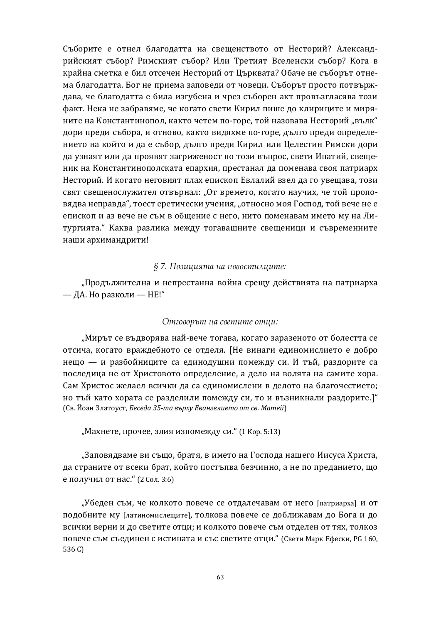Съборите е отнел благодатта на свещенството от Несторий? Александрийският събор? Римският събор? Или Третият Вселенски събор? Кога в крайна сметка е бил отсечен Несторий от Църквата? Обаче не съборът отнема благодатта. Бог не приема заповеди от човеци. Съборът просто потвърждава, че благодатта е била изгубена и чрез съборен акт провъзгласява този факт. Нека не забравяме, че когато свети Кирил пише до клириците и миряните на Константинопол, както четем по-горе, той назовава Несторий "вълк" дори преди събора, и отново, както видяхме по-горе, дълго преди определението на който и да е събор, дълго преди Кирил или Целестин Римски дори да узнаят или да проявят загриженост по този въпрос, свети Ипатий, свещеник на Константинополската епархия, престанал да поменава своя патриарх Несторий. И когато неговият плах епископ Евлалий взел да го увещава, този свят свещенослужител отвърнал: "От времето, когато научих, че той проповядва неправда", тоест еретически учения, "относно моя Господ, той вече не е епископ и аз вече не съм в общение с него, нито поменавам името му на Литургията. Каква разлика между тогавашните свещеници и съвременните наши архимандрити!

#### § 7. Позицията на новостилците:

"Продължителна и непрестанна война срещу действията на патриарха — ДА. Но разколи — НЕ!"

#### *ʅ˘ʶ˓ʵ˓˕˨˘ȱˑʲȱ˖ʵʺ˘ˆ˘ʺȱ˓˘ˢˆ:*

"Мирът се въдворява най-вече тогава, когато заразеното от болестта се отсича, когато враждебното се отделя. [Не винаги единомислието е добро нещо — и разбойниците са единодушни помежду си. И тъй, раздорите са последица не от Христовото определение, а дело на волята на самите хора. Сам Христос желаел всички да са единомислени в делото на благочестието; но тъй като хората се разделили помежду си, то и възникнали раздорите.]" ȋʠ˅. ʘˑ˃ːʖˎ˃˕ˑ˖˔˕, *ʐˈ˔ˈˇ˃ 35-˕˃˅˝˓˘˖ʔ˅˃ːˆˈˎˋˈ˕ˑˑ˕˔˅. ʛ˃˕ˈˌ*)

"Махнете, прочее, злия изпомежду си." (1 Кор. 5:13)

"Заповядваме ви също, братя, в името на Господа нашего Иисуса Христа, да страните от всеки брат, който постъпва безчинно, а не по преданието, що е получил от нас." (2 Сол. 3:6)

"Убеден съм, че колкото повече се отдалечавам от него [патриарха] и от подобните му [латиномислещите], толкова повече се доближавам до Бога и до всички верни и до светите отци; и колкото повече съм отделен от тях, толкоз повече съм съединен с истината и със светите отци." (Свети Марк Ефески, PG 160, 536 C)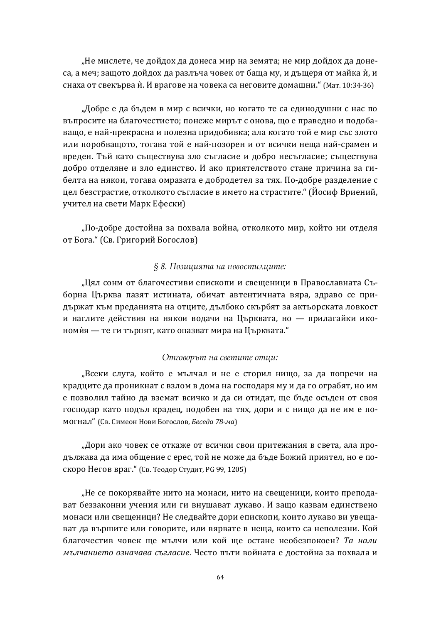"Не мислете, че дойдох да донеса мир на земята; не мир дойдох да донеса, а меч; защото дойдох да разлъча човек от баща му, и дъщеря от майка ѝ, и снаха от свекърва ѝ. И врагове на човека са неговите домашни." (Мат. 10:34-36)

"Добре е да бъдем в мир с всички, но когато те са единодушни с нас по въпросите на благочестието: понеже мирът с онова, що е праведно и подобаващо, е най-прекрасна и полезна придобивка; ала когато той е мир със злото или поробващото, тогава той е най-позорен и от всички неща най-срамен и вреден. Тъй като съществува зло съгласие и добро несъгласие; съществува добро отделяне и зло единство. И ако приятелството стане причина за гибелта на някои, тогава омразата е добродетел за тях. По-добре разделение с цел безстрастие, отколкото съгласие в името на страстите." (Йосиф Вриений, учител на свети Марк Ефески)

"По-добре достойна за похвала война, отколкото мир, който ни отделя от Бога." (Св. Григорий Богослов)

#### § 8. Позицията на новостилците:

"Цял сонм от благочестиви епископи и свещеници в Православната Съборна Църква пазят истината, обичат автентичната вяра, здраво се придържат към преданията на отците, дълбоко скърбят за актьорската ловкост и наглите действия на някои водачи на Църквата, но — прилагайки икономия — те ги търпят, като опазват мира на Църквата."

#### *ʅ˘ʶ˓ʵ˓˕˨˘ȱˑʲȱ˖ʵʺ˘ˆ˘ʺȱ˓˘ˢˆ:*

"Всеки слуга, който е мълчал и не е сторил нищо, за да попречи на крадците да проникнат с взлом в дома на господаря му и да го ограбят, но им е позволил тайно да вземат всичко и да си отидат, ще бъде осъден от своя господар като подъл крадец, подобен на тях, дори и с нищо да не им е помогнал" (Св. Симеон Нови Богослов, *Беседа 78-ма*)

"Дори ако човек се откаже от всички свои притежания в света, ала продължава да има общение с ерес, той не може да бъде Божий приятел, но е поскоро Негов враг." (Св. Теодор Студит, PG 99, 1205)

"Не се покорявайте нито на монаси, нито на свещеници, които преподават беззаконни учения или ги внушават лукаво. И защо казвам единствено монаси или свещеници? Не следвайте дори епископи, които лукаво ви увещават да вършите или говорите, или вярвате в неща, които са неполезни. Кой благочестив човек ще мълчи или кой ще остане необезпокоен? Та нали *мълчанието означава съгласие*. Често пъти войната е достойна за похвала и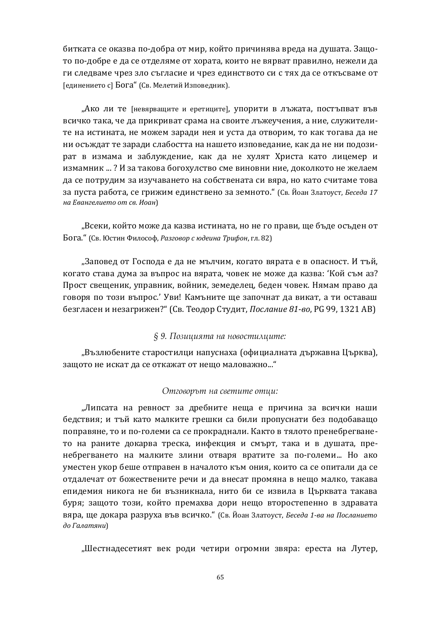битката се оказва по-добра от мир, който причинява вреда на душата. Защото по-добре е да се отделяме от хората, които не вярват правилно, нежели да ги следваме чрез зло съгласие и чрез единството си с тях да се откъсваме от [единението с] Бога" (Св. Мелетий Изповедник).

"Ако ли те [невярващите и еретиците], упорити в лъжата, постъпват във всичко така, че да прикриват срама на своите лъжеучения, а ние, служителите на истината, не можем заради нея и уста да отворим, то как тогава да не ни осъждат те заради слабостта на нашето изповедание, как да не ни подозират в измама и заблуждение, как да не хулят Христа като лицемер и измамник ... ? И за такова богохулство сме виновни ние, доколкото не желаем да се потрудим за изучаването на собствената си вяра, но като считаме това за пуста работа, се грижим единствено за земното." (Св. Йоан Златоуст, Беседа 17 **иа Евангелието от св. Иоан)** 

"Всеки, който може да казва истината, но не го прави, ще бъде осъден от Бога." (Св. Юстин Философ, Разговор с юдеина Трифон, гл. 82)

"Заповед от Господа е да не мълчим, когато вярата е в опасност. И тъй, когато става дума за въпрос на вярата, човек не може да казва: 'Кой съм аз? Прост свещеник, управник, войник, земеделец, беден човек. Нямам право да говоря по този въпрос.' Уви! Камъните ще започнат да викат, а ти оставаш безгласен и незагрижен?" (Св. Теодор Студит, *Послание 81-во*, PG 99, 1321 AB)

### § 9. Позицията на новостилиите:

"Възлюбените старостилци напуснаха (официалната държавна Църква), защото не искат да се откажат от нещо маловажно..."

#### *ʅ˘ʶ˓ʵ˓˕˨˘ȱˑʲȱ˖ʵʺ˘ˆ˘ʺȱ˓˘ˢˆ:*

"Липсата на ревност за дребните неща е причина за всички наши бедствия; и тъй като малките грешки са били пропуснати без подобаващо поправяне, то и по-големи са се прокраднали. Както в тялото пренебрегването на раните докарва треска, инфекция и смърт, така и в душата, пренебрегването на малките злини отваря вратите за по-големи... Но ако уместен укор беше отправен в началото към ония, които са се опитали да се отдалечат от божествените речи и да внесат промяна в нещо малко, такава епидемия никога не би възникнала, нито би се извила в Църквата такава буря; защото този, който премахва дори нещо второстепенно в здравата вяра, ще докара разруха във всичко." (Св. Йоан Златоуст, *Беседа 1-ва на Посланието*  $\partial$ *o* Галатяни)

"Шестнадесетият век роди четири огромни звяра: ереста на Лутер,